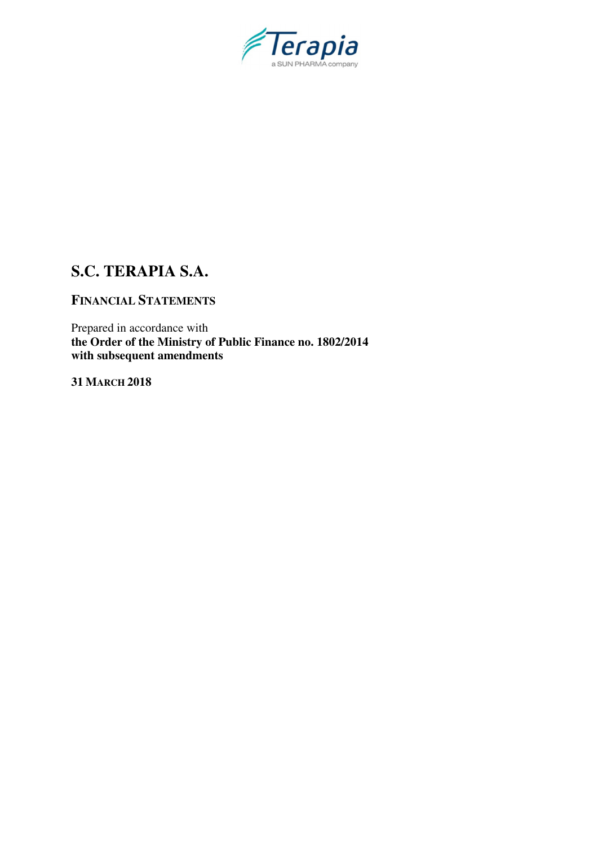

# **S.C. TERAPIA S.A.**

**FINANCIAL STATEMENTS**

Prepared in accordance with **the Order of the Ministry of Public Finance no. 1802/2014 with subsequent amendments** 

**31 MARCH 2018**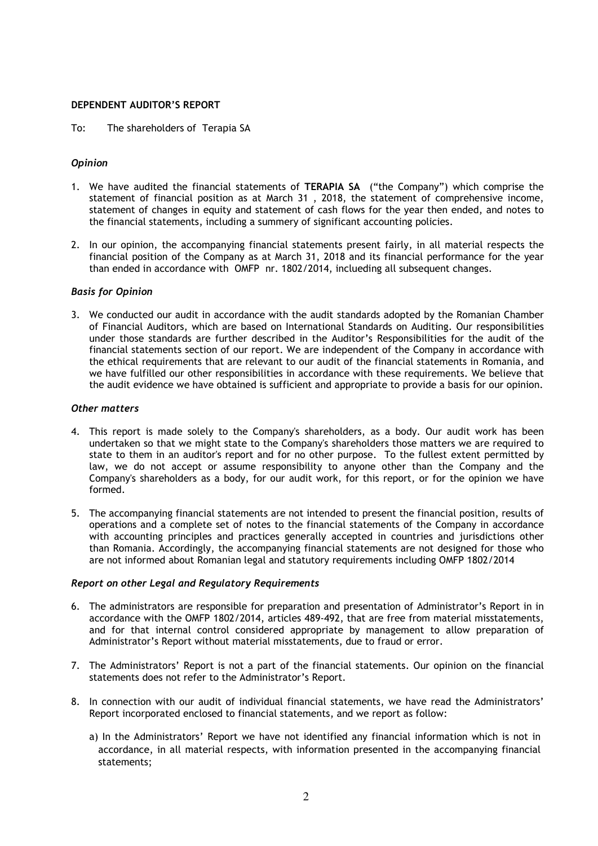#### DEPENDENT AUDITOR'S REPORT

#### To: The shareholders of Terapia SA

#### **Opinion**

- 1. We have audited the financial statements of TERAPIA SA ("the Company") which comprise the statement of financial position as at March 31 , 2018, the statement of comprehensive income, statement of changes in equity and statement of cash flows for the year then ended, and notes to the financial statements, including a summery of significant accounting policies.
- 2. In our opinion, the accompanying financial statements present fairly, in all material respects the financial position of the Company as at March 31, 2018 and its financial performance for the year than ended in accordance with OMFP nr. 1802/2014, inclueding all subsequent changes.

#### Basis for Opinion

3. We conducted our audit in accordance with the audit standards adopted by the Romanian Chamber of Financial Auditors, which are based on International Standards on Auditing. Our responsibilities under those standards are further described in the Auditor's Responsibilities for the audit of the financial statements section of our report. We are independent of the Company in accordance with the ethical requirements that are relevant to our audit of the financial statements in Romania, and we have fulfilled our other responsibilities in accordance with these requirements. We believe that the audit evidence we have obtained is sufficient and appropriate to provide a basis for our opinion.

#### Other matters

- 4. This report is made solely to the Company's shareholders, as a body. Our audit work has been undertaken so that we might state to the Company's shareholders those matters we are required to state to them in an auditor's report and for no other purpose. To the fullest extent permitted by law, we do not accept or assume responsibility to anyone other than the Company and the Company's shareholders as a body, for our audit work, for this report, or for the opinion we have formed.
- 5. The accompanying financial statements are not intended to present the financial position, results of operations and a complete set of notes to the financial statements of the Company in accordance with accounting principles and practices generally accepted in countries and jurisdictions other than Romania. Accordingly, the accompanying financial statements are not designed for those who are not informed about Romanian legal and statutory requirements including OMFP 1802/2014

#### Report on other Legal and Regulatory Requirements

- 6. The administrators are responsible for preparation and presentation of Administrator's Report in in accordance with the OMFP 1802/2014, articles 489-492, that are free from material misstatements, and for that internal control considered appropriate by management to allow preparation of Administrator's Report without material misstatements, due to fraud or error.
- 7. The Administrators' Report is not a part of the financial statements. Our opinion on the financial statements does not refer to the Administrator's Report.
- 8. In connection with our audit of individual financial statements, we have read the Administrators' Report incorporated enclosed to financial statements, and we report as follow:
	- a) In the Administrators' Report we have not identified any financial information which is not in accordance, in all material respects, with information presented in the accompanying financial statements;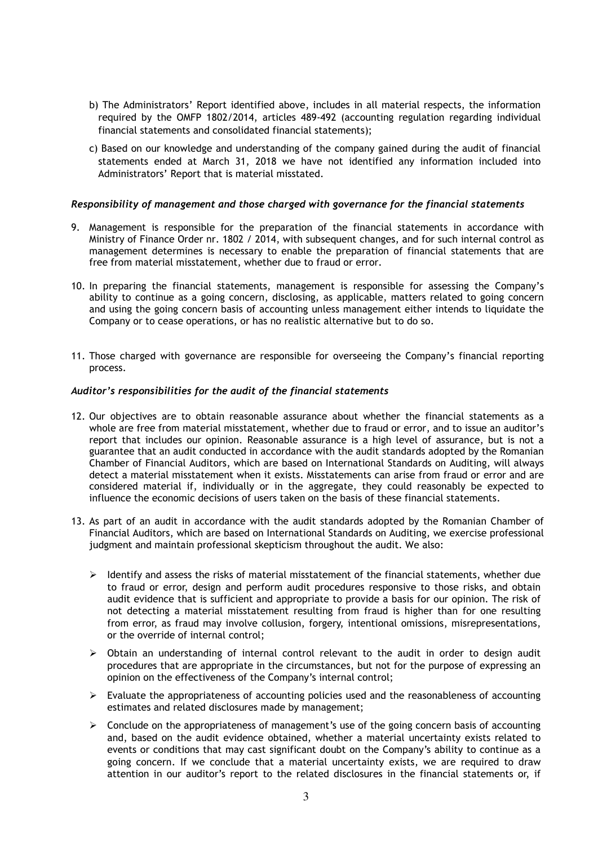- b) The Administrators' Report identified above, includes in all material respects, the information required by the OMFP 1802/2014, articles 489-492 (accounting regulation regarding individual financial statements and consolidated financial statements);
- c) Based on our knowledge and understanding of the company gained during the audit of financial statements ended at March 31, 2018 we have not identified any information included into Administrators' Report that is material misstated.

#### Responsibility of management and those charged with governance for the financial statements

- 9. Management is responsible for the preparation of the financial statements in accordance with Ministry of Finance Order nr. 1802 / 2014, with subsequent changes, and for such internal control as management determines is necessary to enable the preparation of financial statements that are free from material misstatement, whether due to fraud or error.
- 10. In preparing the financial statements, management is responsible for assessing the Company's ability to continue as a going concern, disclosing, as applicable, matters related to going concern and using the going concern basis of accounting unless management either intends to liquidate the Company or to cease operations, or has no realistic alternative but to do so.
- 11. Those charged with governance are responsible for overseeing the Company's financial reporting process.

#### Auditor's responsibilities for the audit of the financial statements

- 12. Our objectives are to obtain reasonable assurance about whether the financial statements as a whole are free from material misstatement, whether due to fraud or error, and to issue an auditor's report that includes our opinion. Reasonable assurance is a high level of assurance, but is not a guarantee that an audit conducted in accordance with the audit standards adopted by the Romanian Chamber of Financial Auditors, which are based on International Standards on Auditing, will always detect a material misstatement when it exists. Misstatements can arise from fraud or error and are considered material if, individually or in the aggregate, they could reasonably be expected to influence the economic decisions of users taken on the basis of these financial statements.
- 13. As part of an audit in accordance with the audit standards adopted by the Romanian Chamber of Financial Auditors, which are based on International Standards on Auditing, we exercise professional judgment and maintain professional skepticism throughout the audit. We also:
	- $\triangleright$  Identify and assess the risks of material misstatement of the financial statements, whether due to fraud or error, design and perform audit procedures responsive to those risks, and obtain audit evidence that is sufficient and appropriate to provide a basis for our opinion. The risk of not detecting a material misstatement resulting from fraud is higher than for one resulting from error, as fraud may involve collusion, forgery, intentional omissions, misrepresentations, or the override of internal control;
	- $\triangleright$  Obtain an understanding of internal control relevant to the audit in order to design audit procedures that are appropriate in the circumstances, but not for the purpose of expressing an opinion on the effectiveness of the Company's internal control;
	- $\triangleright$  Evaluate the appropriateness of accounting policies used and the reasonableness of accounting estimates and related disclosures made by management;
	- $\triangleright$  Conclude on the appropriateness of management's use of the going concern basis of accounting and, based on the audit evidence obtained, whether a material uncertainty exists related to events or conditions that may cast significant doubt on the Company's ability to continue as a going concern. If we conclude that a material uncertainty exists, we are required to draw attention in our auditor's report to the related disclosures in the financial statements or, if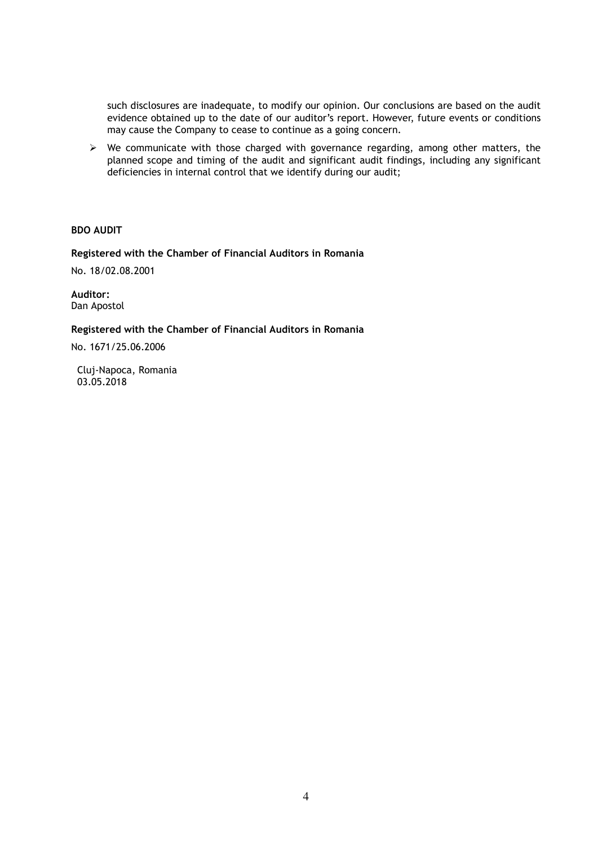such disclosures are inadequate, to modify our opinion. Our conclusions are based on the audit evidence obtained up to the date of our auditor's report. However, future events or conditions may cause the Company to cease to continue as a going concern.

 $\triangleright$  We communicate with those charged with governance regarding, among other matters, the planned scope and timing of the audit and significant audit findings, including any significant deficiencies in internal control that we identify during our audit;

#### BDO AUDIT

#### Registered with the Chamber of Financial Auditors in Romania

No. 18/02.08.2001

Auditor: Dan Apostol

Registered with the Chamber of Financial Auditors in Romania

No. 1671/25.06.2006

 Cluj-Napoca, Romania 03.05.2018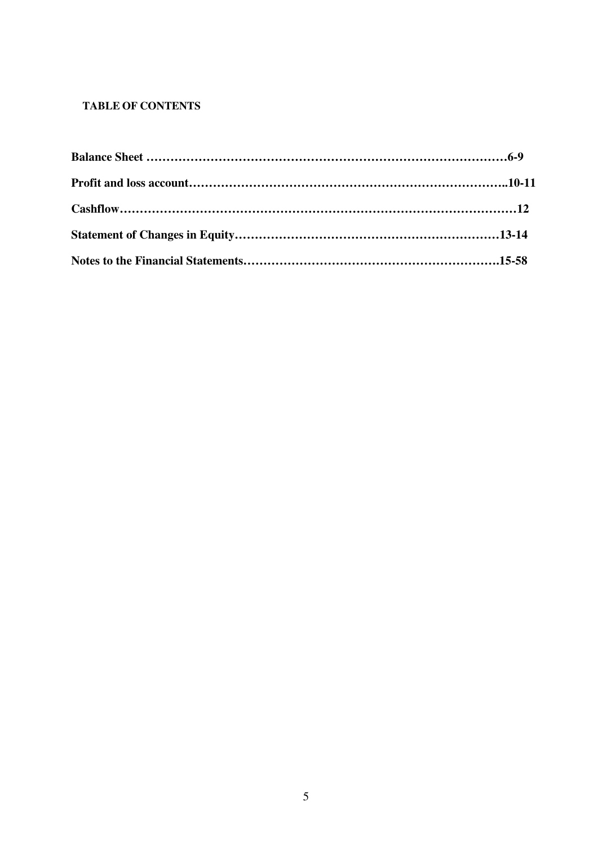## **TABLE OF CONTENTS**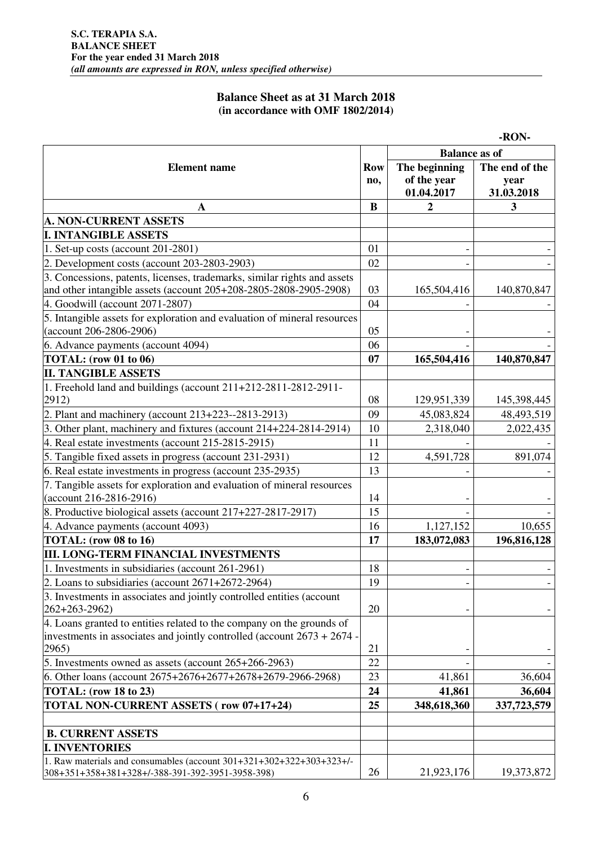## **Balance Sheet as at 31 March 2018 (in accordance with OMF 1802/2014)**

|                                                                                                                                                    |          |                                            | -RON-                                |  |  |
|----------------------------------------------------------------------------------------------------------------------------------------------------|----------|--------------------------------------------|--------------------------------------|--|--|
|                                                                                                                                                    |          | <b>Balance as of</b>                       |                                      |  |  |
| <b>Row</b><br><b>Element</b> name                                                                                                                  |          | The beginning<br>of the year<br>01.04.2017 | The end of the<br>year<br>31.03.2018 |  |  |
| A                                                                                                                                                  | $\bf{B}$ | $\boldsymbol{2}$                           | 3                                    |  |  |
| <b>A. NON-CURRENT ASSETS</b>                                                                                                                       |          |                                            |                                      |  |  |
| <b>I. INTANGIBLE ASSETS</b>                                                                                                                        |          |                                            |                                      |  |  |
| 1. Set-up costs (account $201-2801$ )                                                                                                              | 01       |                                            |                                      |  |  |
| 2. Development costs (account 203-2803-2903)                                                                                                       | 02       |                                            |                                      |  |  |
| 3. Concessions, patents, licenses, trademarks, similar rights and assets<br>and other intangible assets (account 205+208-2805-2808-2905-2908)      | 03       | 165,504,416                                | 140,870,847                          |  |  |
| 4. Goodwill (account 2071-2807)                                                                                                                    | 04       |                                            |                                      |  |  |
| 5. Intangible assets for exploration and evaluation of mineral resources<br>(account 206-2806-2906)                                                | 05       |                                            |                                      |  |  |
| 6. Advance payments (account 4094)                                                                                                                 | 06       |                                            |                                      |  |  |
| $\textbf{TOTAL:}$ (row 01 to 06)                                                                                                                   | 07       | 165,504,416                                | 140,870,847                          |  |  |
| <b>II. TANGIBLE ASSETS</b>                                                                                                                         |          |                                            |                                      |  |  |
| 1. Freehold land and buildings (account 211+212-2811-2812-2911-<br>2912)                                                                           | 08       | 129,951,339                                | 145,398,445                          |  |  |
| 2. Plant and machinery (account 213+223--2813-2913)                                                                                                | 09       | 45,083,824                                 | 48,493,519                           |  |  |
| 3. Other plant, machinery and fixtures (account 214+224-2814-2914)                                                                                 | 10       | 2,318,040                                  | 2,022,435                            |  |  |
| 4. Real estate investments (account 215-2815-2915)                                                                                                 | 11       |                                            |                                      |  |  |
| 5. Tangible fixed assets in progress (account 231-2931)                                                                                            | 12       | 4,591,728                                  | 891,074                              |  |  |
| 6. Real estate investments in progress (account 235-2935)                                                                                          | 13       |                                            |                                      |  |  |
| 7. Tangible assets for exploration and evaluation of mineral resources<br>(account 216-2816-2916)                                                  | 14       |                                            |                                      |  |  |
| 8. Productive biological assets (account 217+227-2817-2917)                                                                                        | 15       |                                            |                                      |  |  |
| 4. Advance payments (account 4093)                                                                                                                 | 16       | 1,127,152                                  | 10,655                               |  |  |
| TOTAL: (row $08$ to $16$ )                                                                                                                         | 17       | 183,072,083                                | 196,816,128                          |  |  |
| III. LONG-TERM FINANCIAL INVESTMENTS                                                                                                               |          |                                            |                                      |  |  |
| 1. Investments in subsidiaries (account 261-2961)                                                                                                  | 18       |                                            |                                      |  |  |
| 2. Loans to subsidiaries (account $2671+2672-2964$ )                                                                                               | 19       |                                            |                                      |  |  |
| 3. Investments in associates and jointly controlled entities (account<br>262+263-2962)                                                             | 20       |                                            |                                      |  |  |
| 4. Loans granted to entities related to the company on the grounds of<br>investments in associates and jointly controlled (account $2673 + 2674$ - |          |                                            |                                      |  |  |
| 2965)                                                                                                                                              | 21       |                                            |                                      |  |  |
| 5. Investments owned as assets (account $265+266-2963$ )                                                                                           | 22       |                                            |                                      |  |  |
| 6. Other loans (account 2675+2676+2677+2678+2679-2966-2968)                                                                                        | 23       | 41,861                                     | 36,604                               |  |  |
| TOTAL: (row 18 to 23)                                                                                                                              | 24       | 41,861                                     | 36,604                               |  |  |
| TOTAL NON-CURRENT ASSETS (row 07+17+24)                                                                                                            | 25       | 348,618,360                                | 337,723,579                          |  |  |
| <b>B. CURRENT ASSETS</b>                                                                                                                           |          |                                            |                                      |  |  |
| <b>I. INVENTORIES</b>                                                                                                                              |          |                                            |                                      |  |  |
| 1. Raw materials and consumables (account 301+321+302+322+303+323+/-<br>308+351+358+381+328+/-388-391-392-3951-3958-398)                           | 26       | 21,923,176                                 | 19,373,872                           |  |  |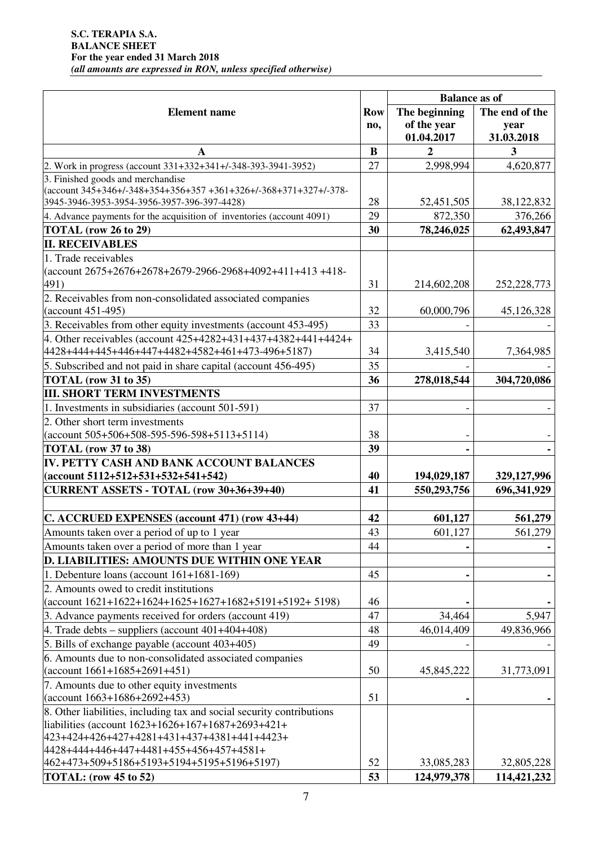#### **S.C. TERAPIA S.A. BALANCE SHEET For the year ended 31 March 2018**  *(all amounts are expressed in RON, unless specified otherwise)*

|                                                                                                                                                      |                   | <b>Balance as of</b>                       |                                      |  |
|------------------------------------------------------------------------------------------------------------------------------------------------------|-------------------|--------------------------------------------|--------------------------------------|--|
| <b>Element</b> name                                                                                                                                  | <b>Row</b><br>no, | The beginning<br>of the year<br>01.04.2017 | The end of the<br>year<br>31.03.2018 |  |
| A                                                                                                                                                    | $\bf{B}$          | 2                                          | 3                                    |  |
| 2. Work in progress (account 331+332+341+/-348-393-3941-3952)                                                                                        | 27                | 2,998,994                                  | 4,620,877                            |  |
| 3. Finished goods and merchandise<br>(account 345+346+/-348+354+356+357 +361+326+/-368+371+327+/-378-<br>3945-3946-3953-3954-3956-3957-396-397-4428) | 28                | 52,451,505                                 | 38,122,832                           |  |
| 4. Advance payments for the acquisition of inventories (account 4091)                                                                                | 29                | 872,350                                    | 376,266                              |  |
| $\overline{TOTAL}$ (row 26 to 29)                                                                                                                    | 30                | 78,246,025                                 | 62,493,847                           |  |
| <b>II. RECEIVABLES</b>                                                                                                                               |                   |                                            |                                      |  |
| 1. Trade receivables<br>account 2675+2676+2678+2679-2966-2968+4092+411+413 +418-                                                                     |                   |                                            |                                      |  |
| 491)                                                                                                                                                 | 31                | 214,602,208                                | 252, 228, 773                        |  |
| 2. Receivables from non-consolidated associated companies                                                                                            |                   |                                            |                                      |  |
| (account 451-495)                                                                                                                                    | 32                | 60,000,796                                 | 45,126,328                           |  |
| 3. Receivables from other equity investments (account 453-495)                                                                                       | 33                |                                            |                                      |  |
| 4. Other receivables (account 425+4282+431+437+4382+441+4424+                                                                                        |                   |                                            |                                      |  |
| 4428+444+445+446+447+4482+4582+461+473-496+5187)                                                                                                     | 34                | 3,415,540                                  | 7,364,985                            |  |
| 5. Subscribed and not paid in share capital (account 456-495)                                                                                        | 35                |                                            |                                      |  |
| <b>TOTAL</b> (row 31 to 35)                                                                                                                          | 36                | 278,018,544                                | 304,720,086                          |  |
| <b>III. SHORT TERM INVESTMENTS</b>                                                                                                                   |                   |                                            |                                      |  |
| 1. Investments in subsidiaries (account 501-591)                                                                                                     | 37                |                                            |                                      |  |
| 2. Other short term investments                                                                                                                      |                   |                                            |                                      |  |
| $\left( \text{account } 505 + 506 + 508 - 595 - 596 - 598 + 5113 + 5114 \right)$                                                                     | 38                |                                            |                                      |  |
| <b>TOTAL</b> (row 37 to 38)                                                                                                                          | 39                |                                            |                                      |  |
| IV. PETTY CASH AND BANK ACCOUNT BALANCES                                                                                                             |                   |                                            |                                      |  |
| $(\text{account } 5112 + 512 + 531 + 532 + 541 + 542)$                                                                                               | 40                | 194,029,187                                | 329,127,996                          |  |
| CURRENT ASSETS - TOTAL (row 30+36+39+40)                                                                                                             | 41                | 550,293,756                                | 696,341,929                          |  |
|                                                                                                                                                      |                   |                                            |                                      |  |
| C. ACCRUED EXPENSES (account 471) (row 43+44)                                                                                                        | 42                | 601,127                                    | 561,279                              |  |
| Amounts taken over a period of up to 1 year                                                                                                          | 43                | 601,127                                    | 561,279                              |  |
| Amounts taken over a period of more than 1 year                                                                                                      | 44                |                                            |                                      |  |
| D. LIABILITIES: AMOUNTS DUE WITHIN ONE YEAR                                                                                                          |                   |                                            |                                      |  |
| 1. Debenture loans (account $161+1681-169$ )                                                                                                         | 45                |                                            |                                      |  |
| 2. Amounts owed to credit institutions                                                                                                               |                   |                                            |                                      |  |
| $(\text{account } 1621+1622+1624+1625+1627+1682+5191+5192+5198)$                                                                                     | 46                |                                            |                                      |  |
| 3. Advance payments received for orders (account 419)                                                                                                | 47                | 34,464                                     | 5,947                                |  |
| 4. Trade debts – suppliers (account $401+404+408$ )                                                                                                  | 48                | 46,014,409                                 | 49,836,966                           |  |
| 5. Bills of exchange payable (account 403+405)                                                                                                       | 49                |                                            |                                      |  |
| 6. Amounts due to non-consolidated associated companies                                                                                              |                   |                                            |                                      |  |
| $(\text{account } 1661 + 1685 + 2691 + 451)$                                                                                                         | 50                | 45,845,222                                 | 31,773,091                           |  |
| 7. Amounts due to other equity investments                                                                                                           |                   |                                            |                                      |  |
| $(\text{account } 1663 + 1686 + 2692 + 453)$                                                                                                         | 51                |                                            |                                      |  |
| 8. Other liabilities, including tax and social security contributions                                                                                |                   |                                            |                                      |  |
| liabilities (account 1623+1626+167+1687+2693+421+                                                                                                    |                   |                                            |                                      |  |
| 423+424+426+427+4281+431+437+4381+441+4423+                                                                                                          |                   |                                            |                                      |  |
| 4428+444+446+447+4481+455+456+457+4581+                                                                                                              |                   |                                            |                                      |  |
| 462+473+509+5186+5193+5194+5195+5196+5197)                                                                                                           | 52                | 33,085,283                                 | 32,805,228                           |  |
| TOTAL: (row $45$ to $52$ )                                                                                                                           | 53                | 124,979,378                                | 114,421,232                          |  |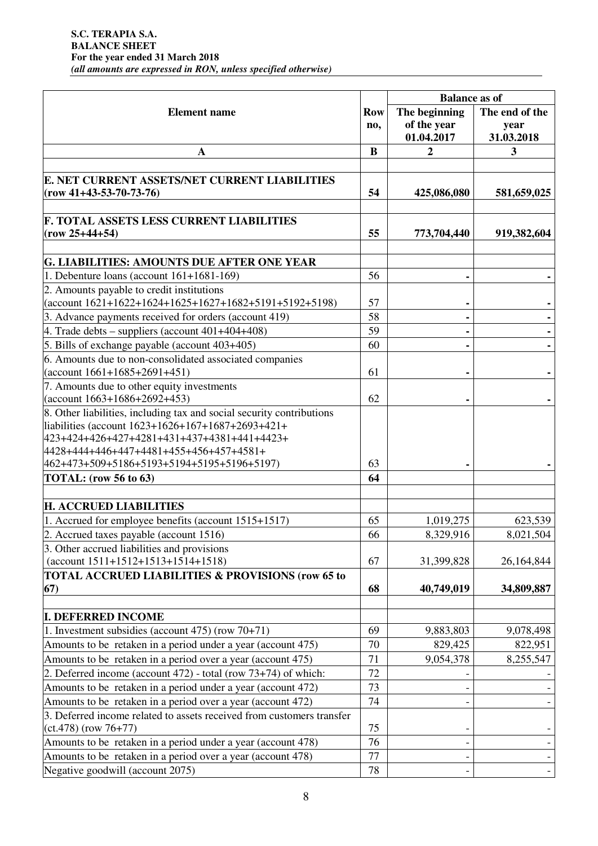|                                                                                                                                                                                                                      |                   | <b>Balance as of</b>                       |                                      |  |
|----------------------------------------------------------------------------------------------------------------------------------------------------------------------------------------------------------------------|-------------------|--------------------------------------------|--------------------------------------|--|
| <b>Element</b> name                                                                                                                                                                                                  | <b>Row</b><br>no, | The beginning<br>of the year<br>01.04.2017 | The end of the<br>year<br>31.03.2018 |  |
| A                                                                                                                                                                                                                    | $\bf{B}$          | 2                                          | 3                                    |  |
|                                                                                                                                                                                                                      |                   |                                            |                                      |  |
| E. NET CURRENT ASSETS/NET CURRENT LIABILITIES<br>$(row 41+43-53-70-73-76)$                                                                                                                                           | 54                | 425,086,080                                | 581,659,025                          |  |
| <b>F. TOTAL ASSETS LESS CURRENT LIABILITIES</b><br>$(row 25+44+54)$                                                                                                                                                  | 55                | 773,704,440                                | 919,382,604                          |  |
| G. LIABILITIES: AMOUNTS DUE AFTER ONE YEAR                                                                                                                                                                           |                   |                                            |                                      |  |
| 1. Debenture loans (account $161+1681-169$ )                                                                                                                                                                         | 56                |                                            |                                      |  |
| 2. Amounts payable to credit institutions                                                                                                                                                                            |                   |                                            |                                      |  |
| (account 1621+1622+1624+1625+1627+1682+5191+5192+5198)                                                                                                                                                               | 57                |                                            |                                      |  |
| 3. Advance payments received for orders (account 419)                                                                                                                                                                | 58                |                                            |                                      |  |
| 4. Trade debts – suppliers (account $401+404+408$ )                                                                                                                                                                  | 59                |                                            |                                      |  |
| 5. Bills of exchange payable (account 403+405)                                                                                                                                                                       | 60                |                                            |                                      |  |
| 6. Amounts due to non-consolidated associated companies                                                                                                                                                              |                   |                                            |                                      |  |
| $(\text{account } 1661 + 1685 + 2691 + 451)$                                                                                                                                                                         | 61                |                                            |                                      |  |
| 7. Amounts due to other equity investments                                                                                                                                                                           |                   |                                            |                                      |  |
| $(\text{account } 1663 + 1686 + 2692 + 453)$                                                                                                                                                                         | 62                |                                            |                                      |  |
| 8. Other liabilities, including tax and social security contributions<br>liabilities (account 1623+1626+167+1687+2693+421+<br>423+424+426+427+4281+431+437+4381+441+4423+<br>4428+444+446+447+4481+455+456+457+4581+ |                   |                                            |                                      |  |
| 462+473+509+5186+5193+5194+5195+5196+5197)                                                                                                                                                                           | 63                |                                            |                                      |  |
| <b>TOTAL:</b> (row 56 to 63)                                                                                                                                                                                         | 64                |                                            |                                      |  |
|                                                                                                                                                                                                                      |                   |                                            |                                      |  |
| <b>H. ACCRUED LIABILITIES</b>                                                                                                                                                                                        |                   |                                            |                                      |  |
| 1. Accrued for employee benefits (account 1515+1517)                                                                                                                                                                 | 65                | 1,019,275                                  | 623,539                              |  |
| 2. Accrued taxes payable (account 1516)                                                                                                                                                                              | 66                | 8,329,916                                  | 8,021,504                            |  |
| 3. Other accrued liabilities and provisions                                                                                                                                                                          |                   |                                            |                                      |  |
| (account 1511+1512+1513+1514+1518)                                                                                                                                                                                   | 67                | 31,399,828                                 | 26,164,844                           |  |
| <b>TOTAL ACCRUED LIABILITIES &amp; PROVISIONS (row 65 to</b>                                                                                                                                                         |                   |                                            |                                      |  |
| 67)                                                                                                                                                                                                                  | 68                | 40,749,019                                 | 34,809,887                           |  |
|                                                                                                                                                                                                                      |                   |                                            |                                      |  |
| <b>I. DEFERRED INCOME</b>                                                                                                                                                                                            |                   |                                            |                                      |  |
| 1. Investment subsidies (account 475) (row 70+71)                                                                                                                                                                    | 69                | 9,883,803                                  | 9,078,498                            |  |
| Amounts to be retaken in a period under a year (account 475)                                                                                                                                                         | 70                | 829,425                                    | 822,951                              |  |
| Amounts to be retaken in a period over a year (account 475)                                                                                                                                                          | 71                | 9,054,378                                  | 8,255,547                            |  |
| 2. Deferred income (account 472) - total (row 73+74) of which:                                                                                                                                                       | 72                |                                            |                                      |  |
| Amounts to be retaken in a period under a year (account 472)                                                                                                                                                         | 73                |                                            |                                      |  |
| Amounts to be retaken in a period over a year (account 472)                                                                                                                                                          | 74                |                                            |                                      |  |
| 3. Deferred income related to assets received from customers transfer                                                                                                                                                |                   |                                            |                                      |  |
| $(ct.478)$ (row 76+77)                                                                                                                                                                                               | 75                |                                            |                                      |  |
| Amounts to be retaken in a period under a year (account 478)                                                                                                                                                         | 76                |                                            |                                      |  |
| Amounts to be retaken in a period over a year (account 478)                                                                                                                                                          | 77                |                                            |                                      |  |
| Negative goodwill (account 2075)                                                                                                                                                                                     | 78                |                                            |                                      |  |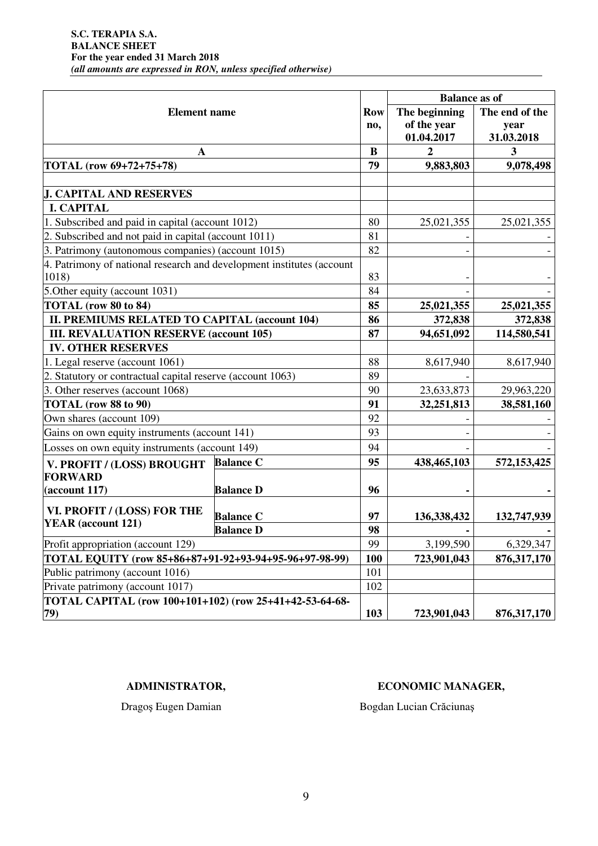#### **S.C. TERAPIA S.A. BALANCE SHEET For the year ended 31 March 2018**  *(all amounts are expressed in RON, unless specified otherwise)*

| <b>Element</b> name                                                   |                  |              | <b>Balance as of</b> |                |  |
|-----------------------------------------------------------------------|------------------|--------------|----------------------|----------------|--|
|                                                                       |                  |              | The beginning        | The end of the |  |
|                                                                       |                  | no,          | of the year          | year           |  |
|                                                                       |                  |              | 01.04.2017           | 31.03.2018     |  |
| $\mathbf{A}$                                                          | $\bf{B}$         | $\mathbf{2}$ | 3                    |                |  |
| TOTAL (row 69+72+75+78)                                               |                  | 79           | 9,883,803            | 9,078,498      |  |
| <b>J. CAPITAL AND RESERVES</b>                                        |                  |              |                      |                |  |
| <b>I. CAPITAL</b>                                                     |                  |              |                      |                |  |
| 1. Subscribed and paid in capital (account 1012)                      |                  | 80           | 25,021,355           | 25,021,355     |  |
| 2. Subscribed and not paid in capital (account 1011)                  |                  | 81           |                      |                |  |
| 3. Patrimony (autonomous companies) (account 1015)                    |                  | 82           |                      |                |  |
| 4. Patrimony of national research and development institutes (account |                  |              |                      |                |  |
| 1018)                                                                 |                  | 83           |                      |                |  |
| 5. Other equity (account 1031)                                        |                  | 84           |                      |                |  |
| TOTAL (row 80 to 84)                                                  |                  | 85           | 25,021,355           | 25,021,355     |  |
| II. PREMIUMS RELATED TO CAPITAL (account 104)                         |                  | 86           | 372,838              | 372,838        |  |
| <b>III. REVALUATION RESERVE (account 105)</b>                         |                  |              | 94,651,092           | 114,580,541    |  |
| <b>IV. OTHER RESERVES</b>                                             |                  |              |                      |                |  |
| 1. Legal reserve (account 1061)                                       |                  | 88           | 8,617,940            | 8,617,940      |  |
| 2. Statutory or contractual capital reserve (account 1063)            |                  | 89           |                      |                |  |
| 3. Other reserves (account 1068)                                      |                  | 90           | 23,633,873           | 29,963,220     |  |
| TOTAL (row 88 to 90)                                                  |                  | 91           | 32,251,813           | 38,581,160     |  |
| Own shares (account 109)                                              |                  | 92           |                      |                |  |
| Gains on own equity instruments (account 141)                         |                  | 93           |                      |                |  |
| Losses on own equity instruments (account 149)                        |                  | 94           |                      |                |  |
| V. PROFIT / (LOSS) BROUGHT                                            | <b>Balance C</b> | 95           | 438,465,103          | 572,153,425    |  |
| FORWARD                                                               |                  |              |                      |                |  |
| $(\text{account } 117)$                                               | <b>Balance D</b> | 96           |                      |                |  |
| VI. PROFIT / (LOSS) FOR THE                                           | <b>Balance C</b> | 97           | 136,338,432          | 132,747,939    |  |
| <b>YEAR</b> (account 121)                                             | <b>Balance D</b> | 98           |                      |                |  |
| Profit appropriation (account 129)                                    |                  |              | 3,199,590            | 6,329,347      |  |
| TOTAL EQUITY (row 85+86+87+91-92+93-94+95-96+97-98-99)                |                  |              | 723,901,043          | 876, 317, 170  |  |
| Public patrimony (account 1016)                                       |                  |              |                      |                |  |
| Private patrimony (account 1017)                                      | 101<br>102       |              |                      |                |  |
| TOTAL CAPITAL (row 100+101+102) (row 25+41+42-53-64-68-               |                  |              |                      |                |  |
| (79)                                                                  | 103              | 723,901,043  | 876, 317, 170        |                |  |

## **ADMINISTRATOR, ECONOMIC MANAGER,**

Dragoș Eugen Damian Bogdan Lucian Crăciunaș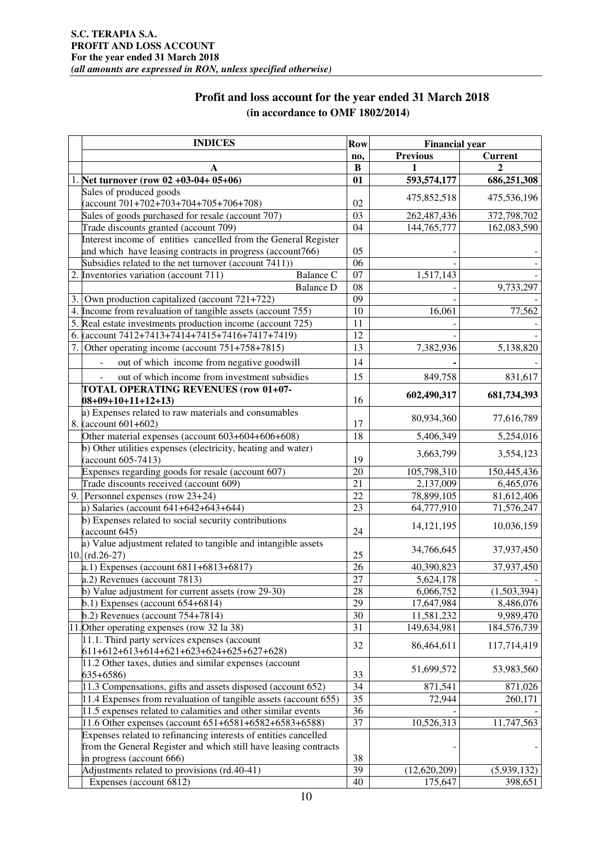#### **S.C. TERAPIA S.A. PROFIT AND LOSS ACCOUNT For the year ended 31 March 2018**  *(all amounts are expressed in RON, unless specified otherwise)*

|    | <b>INDICES</b>                                                                               |                 | Row<br><b>Financial year</b> |                |  |
|----|----------------------------------------------------------------------------------------------|-----------------|------------------------------|----------------|--|
|    |                                                                                              | no,             | <b>Previous</b>              | <b>Current</b> |  |
|    |                                                                                              | B               | 1                            | 2              |  |
|    | 1. Net turnover (row 02 +03-04+ 05+06)                                                       | 01              | 593,574,177                  | 686,251,308    |  |
|    | Sales of produced goods<br>(account $701+702+703+704+705+706+708$ )                          | 02              | 475,852,518                  | 475,536,196    |  |
|    | Sales of goods purchased for resale (account 707)                                            | 03              | 262,487,436                  | 372,798,702    |  |
|    | Trade discounts granted (account 709)                                                        | 04              | 144,765,777                  | 162,083,590    |  |
|    | Interest income of entities cancelled from the General Register                              |                 |                              |                |  |
|    | and which have leasing contracts in progress (account766)                                    | 05              |                              |                |  |
|    | Subsidies related to the net turnover (account 7411))                                        | 06              |                              |                |  |
|    | Inventories variation (account 711)<br><b>Balance C</b>                                      | 07              | 1,517,143                    |                |  |
|    | <b>Balance D</b>                                                                             | 08              |                              | 9,733,297      |  |
| 3. | Own production capitalized (account 721+722)                                                 | 09              |                              |                |  |
|    | 4. Income from revaluation of tangible assets (account 755)                                  | 10              | 16,061                       | 77,562         |  |
|    | 5. Real estate investments production income (account 725)                                   | 11              |                              |                |  |
|    | 6. (account $7412+7413+7414+7415+7416+7417+7419$ )                                           | 12              |                              |                |  |
| 7. | Other operating income (account 751+758+7815)                                                | 13              | 7,382,936                    | 5,138,820      |  |
|    | out of which income from negative goodwill                                                   | 14              |                              |                |  |
|    | out of which income from investment subsidies                                                | 15              | 849,758                      | 831,617        |  |
|    | TOTAL OPERATING REVENUES (row 01+07-<br>$08+09+10+11+12+13$                                  | 16              | 602,490,317                  | 681,734,393    |  |
|    | a) Expenses related to raw materials and consumables<br>8. (account 601+602)                 | 17              | 80,934,360                   | 77,616,789     |  |
|    | Other material expenses (account 603+604+606+608)                                            | 18              | 5,406,349                    | 5,254,016      |  |
|    | b) Other utilities expenses (electricity, heating and water)<br>$(\text{account } 605-7413)$ | 19              | 3,663,799                    | 3,554,123      |  |
|    | Expenses regarding goods for resale (account 607)                                            | $\overline{20}$ | 105,798,310                  | 150,445,436    |  |
|    | Trade discounts received (account 609)                                                       | 21              | 2,137,009                    | 6,465,076      |  |
|    | 9. Personnel expenses (row $23+24$ )                                                         | 22              | 78,899,105                   | 81,612,406     |  |
|    | a) Salaries (account 641+642+643+644)                                                        | 23              | 64,777,910                   | 71,576,247     |  |
|    | b) Expenses related to social security contributions<br>$(\text{account } 645)$              | 24              | 14, 121, 195                 | 10,036,159     |  |
|    | a) Value adjustment related to tangible and intangible assets<br>$10. (rd.26-27)$            | 25              | 34,766,645                   | 37,937,450     |  |
|    | a.1) Expenses (account 6811+6813+6817)                                                       | 26              | 40,390,823                   | 37,937,450     |  |
|    | a.2) Revenues (account 7813)                                                                 | 27              | 5,624,178                    |                |  |
|    | b) Value adjustment for current assets (row 29-30)                                           | 28              | 6,066,752                    | (1,503,394)    |  |
|    | $b.1$ ) Expenses (account 654+6814)                                                          | 29              | 17,647,984                   | 8,486,076      |  |
|    | $b.2$ ) Revenues (account $754+7814$ )                                                       | 30              | 11,581,232                   | 9,989,470      |  |
|    | 11. Other operating expenses (row 32 la 38)                                                  | 31              | 149,634,981                  | 184,576,739    |  |
|    | 11.1. Third party services expenses (account<br>611+612+613+614+621+623+624+625+627+628)     | 32              | 86,464,611                   | 117,714,419    |  |
|    | 11.2 Other taxes, duties and similar expenses (account<br>635+6586)                          | 33              | 51,699,572                   | 53,983,560     |  |
|    | 11.3 Compensations, gifts and assets disposed (account 652)                                  | 34              | 871,541                      | 871,026        |  |
|    | 11.4 Expenses from revaluation of tangible assets (account 655)                              | 35              | 72,944                       | 260,171        |  |
|    | 11.5 expenses related to calamities and other similar events                                 | 36              |                              |                |  |
|    | 11.6 Other expenses (account 651+6581+6582+6583+6588)                                        | 37              | 10,526,313                   | 11,747,563     |  |
|    | Expenses related to refinancing interests of entities cancelled                              |                 |                              |                |  |
|    | from the General Register and which still have leasing contracts                             |                 |                              |                |  |
|    | in progress (account 666)                                                                    | 38              |                              |                |  |
|    | Adjustments related to provisions (rd.40-41)                                                 | 39              | (12,620,209)                 | (5,939,132)    |  |
|    | Expenses (account 6812)                                                                      | 40              | 175,647                      | 398,651        |  |

## **Profit and loss account for the year ended 31 March 2018 (in accordance to OMF 1802/2014)**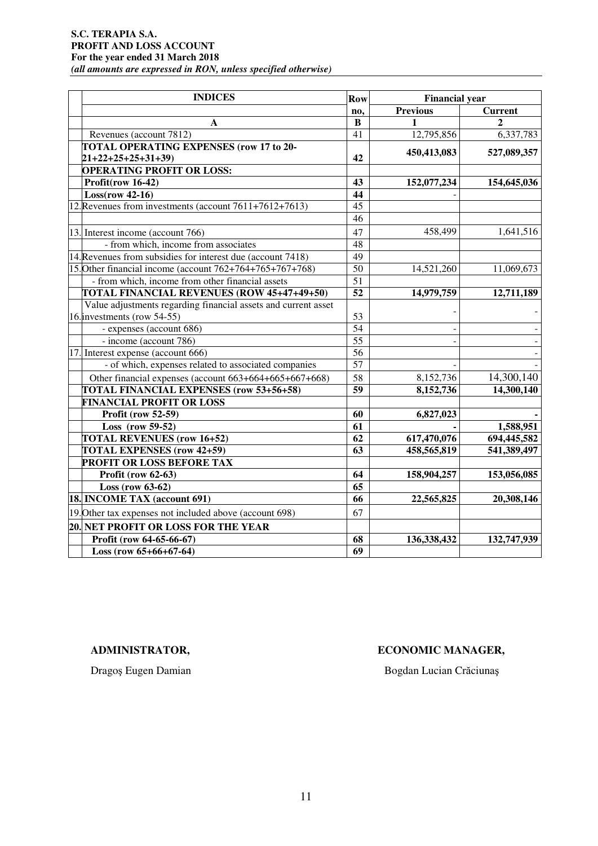## **S.C. TERAPIA S.A. PROFIT AND LOSS ACCOUNT For the year ended 31 March 2018**

*(all amounts are expressed in RON, unless specified otherwise)* 

| <b>INDICES</b>                                                 | Row             | <b>Financial year</b> |                |  |
|----------------------------------------------------------------|-----------------|-----------------------|----------------|--|
|                                                                | no,             | <b>Previous</b>       | <b>Current</b> |  |
| A                                                              | B               | 1                     | $\mathbf{2}$   |  |
| Revenues (account 7812)                                        | $\overline{41}$ | 12,795,856            | 6,337,783      |  |
| <b>TOTAL OPERATING EXPENSES (row 17 to 20-</b>                 |                 | 450,413,083           | 527,089,357    |  |
| $21+22+25+25+31+39$                                            | 42              |                       |                |  |
| <b>OPERATING PROFIT OR LOSS:</b>                               |                 |                       |                |  |
| Profit(row 16-42)                                              | 43              | 152,077,234           | 154,645,036    |  |
| $Loss(row 42-16)$                                              | 44              |                       |                |  |
| 12. Revenues from investments (account 7611+7612+7613)         | 45              |                       |                |  |
|                                                                | $\overline{46}$ |                       |                |  |
| 13. Interest income (account 766)                              | 47              | 458,499               | 1,641,516      |  |
| - from which, income from associates                           | 48              |                       |                |  |
| 14. Revenues from subsidies for interest due (account 7418)    | 49              |                       |                |  |
| 15. Other financial income (account 762+764+765+767+768)       | 50              | 14,521,260            | 11,069,673     |  |
| - from which, income from other financial assets               | $\overline{51}$ |                       |                |  |
| TOTAL FINANCIAL REVENUES (ROW 45+47+49+50)                     | $\overline{52}$ | 14,979,759            | 12,711,189     |  |
| Value adjustments regarding financial assets and current asset |                 |                       |                |  |
| 16. investments (row 54-55)                                    | 53              |                       |                |  |
| - expenses (account 686)                                       | $\overline{54}$ |                       |                |  |
| - income (account 786)                                         | $\overline{55}$ |                       |                |  |
| 17. Interest expense (account 666)                             | 56              |                       |                |  |
| - of which, expenses related to associated companies           | $\overline{57}$ |                       |                |  |
| Other financial expenses (account 663+664+665+667+668)         | 58              | 8,152,736             | 14,300,140     |  |
| TOTAL FINANCIAL EXPENSES (row 53+56+58)                        | 59              | 8,152,736             | 14,300,140     |  |
| <b>FINANCIAL PROFIT OR LOSS</b>                                |                 |                       |                |  |
| <b>Profit (row 52-59)</b>                                      | 60              | 6,827,023             |                |  |
| Loss (row $59-52$ )                                            | 61              |                       | 1,588,951      |  |
| <b>TOTAL REVENUES (row 16+52)</b>                              | 62              | 617,470,076           | 694,445,582    |  |
| <b>TOTAL EXPENSES (row 42+59)</b>                              | 63              | 458,565,819           | 541,389,497    |  |
| PROFIT OR LOSS BEFORE TAX                                      |                 |                       |                |  |
| <b>Profit (row 62-63)</b>                                      | 64              | 158,904,257           | 153,056,085    |  |
| Loss (row $63-62$ )                                            | 65              |                       |                |  |
| 18. INCOME TAX (account 691)                                   | 66              | 22,565,825            | 20,308,146     |  |
| 19. Other tax expenses not included above (account 698)        | 67              |                       |                |  |
| <b>20. NET PROFIT OR LOSS FOR THE YEAR</b>                     |                 |                       |                |  |
| Profit (row 64-65-66-67)                                       | 68              | 136,338,432           | 132,747,939    |  |
| Loss (row $65+66+67-64$ )                                      | 69              |                       |                |  |

## **ADMINISTRATOR, ECONOMIC MANAGER,**

Dragoș Eugen Damian Bogdan Lucian Crăciunaș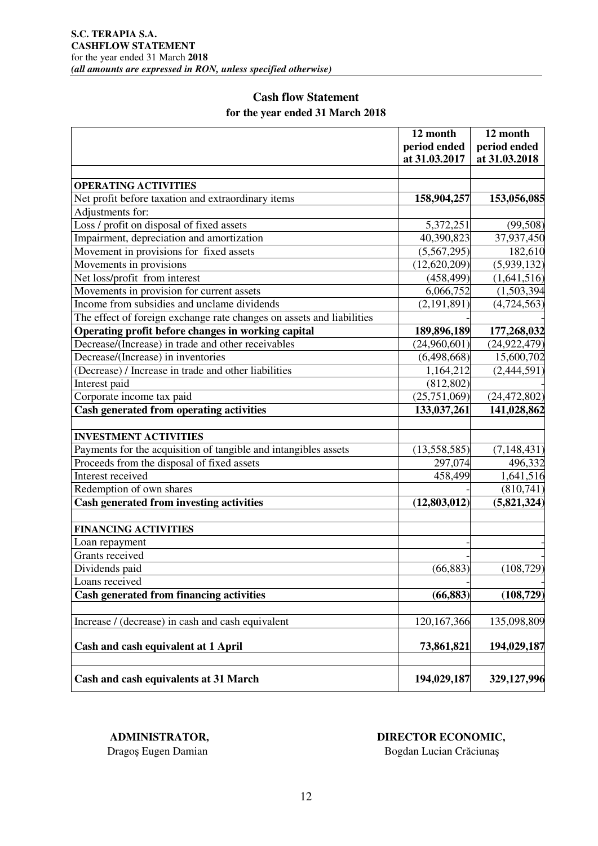#### **S.C. TERAPIA S.A. CASHFLOW STATEMENT**  for the year ended 31 March **2018**  *(all amounts are expressed in RON, unless specified otherwise)*

| <b>Cash flow Statement</b>       |  |
|----------------------------------|--|
| for the year ended 31 March 2018 |  |

|                                                                       | 12 month       | 12 month       |
|-----------------------------------------------------------------------|----------------|----------------|
|                                                                       | period ended   | period ended   |
|                                                                       | at 31.03.2017  | at 31.03.2018  |
|                                                                       |                |                |
| <b>OPERATING ACTIVITIES</b>                                           |                |                |
| Net profit before taxation and extraordinary items                    | 158,904,257    | 153,056,085    |
| Adjustments for:                                                      |                |                |
| Loss / profit on disposal of fixed assets                             | 5,372,251      | (99, 508)      |
| Impairment, depreciation and amortization                             | 40,390,823     | 37,937,450     |
| Movement in provisions for fixed assets                               | (5,567,295)    | 182,610        |
| Movements in provisions                                               | (12,620,209)   | (5,939,132)    |
| Net loss/profit from interest                                         | (458, 499)     | (1,641,516)    |
| Movements in provision for current assets                             | 6,066,752      | (1,503,394)    |
| Income from subsidies and unclame dividends                           | (2, 191, 891)  | (4,724,563)    |
| The effect of foreign exchange rate changes on assets and liabilities |                |                |
| Operating profit before changes in working capital                    | 189,896,189    | 177,268,032    |
| Decrease/(Increase) in trade and other receivables                    | (24,960,601)   | (24, 922, 479) |
| Decrease/(Increase) in inventories                                    | (6,498,668)    | 15,600,702     |
| (Decrease) / Increase in trade and other liabilities                  | 1,164,212      | (2,444,591)    |
| Interest paid                                                         | (812, 802)     |                |
| Corporate income tax paid                                             | (25,751,069)   | (24, 472, 802) |
| Cash generated from operating activities                              | 133,037,261    | 141,028,862    |
|                                                                       |                |                |
| <b>INVESTMENT ACTIVITIES</b>                                          |                |                |
| Payments for the acquisition of tangible and intangibles assets       | (13, 558, 585) | (7, 148, 431)  |
| Proceeds from the disposal of fixed assets                            | 297,074        | 496,332        |
| Interest received                                                     | 458,499        | 1,641,516      |
| Redemption of own shares                                              |                | (810,741)      |
| <b>Cash generated from investing activities</b>                       | (12,803,012)   | (5,821,324)    |
|                                                                       |                |                |
| <b>FINANCING ACTIVITIES</b>                                           |                |                |
| Loan repayment                                                        |                |                |
| Grants received                                                       |                |                |
| Dividends paid                                                        | (66, 883)      | (108, 729)     |
| Loans received                                                        |                |                |
| <b>Cash generated from financing activities</b>                       | (66, 883)      | (108, 729)     |
|                                                                       |                |                |
| Increase / (decrease) in cash and cash equivalent                     | 120, 167, 366  | 135,098,809    |
|                                                                       |                |                |
| Cash and cash equivalent at 1 April                                   | 73,861,821     | 194,029,187    |
|                                                                       |                |                |
| Cash and cash equivalents at 31 March                                 | 194,029,187    | 329,127,996    |

**ADMINISTRATOR, DIRECTOR ECONOMIC,** 

Dragoş Eugen Damian Bogdan Lucian Crăciunaș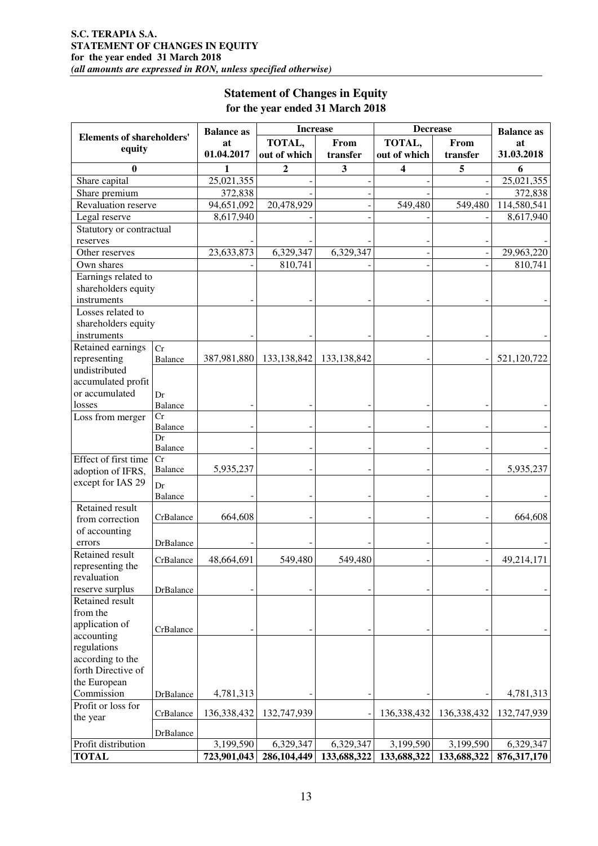#### **S.C. TERAPIA S.A. STATEMENT OF CHANGES IN EQUITY for the year ended 31 March 2018**  *(all amounts are expressed in RON, unless specified otherwise)*

## **Statement of Changes in Equity for the year ended 31 March 2018**

|                                  |                  | <b>Balance</b> as | <b>Increase</b> |             | <b>Decrease</b> |                         | <b>Balance</b> as |
|----------------------------------|------------------|-------------------|-----------------|-------------|-----------------|-------------------------|-------------------|
| <b>Elements of shareholders'</b> |                  | at                | TOTAL,          | From        | TOTAL,          | From                    | at                |
| equity                           |                  | 01.04.2017        | out of which    | transfer    | out of which    | transfer                | 31.03.2018        |
| $\mathbf{0}$                     |                  | 1                 | $\overline{2}$  | 3           | 4               | 5                       | 6                 |
| Share capital                    |                  | 25,021,355        |                 |             |                 |                         | 25,021,355        |
| Share premium                    |                  | 372,838           |                 |             |                 |                         | 372,838           |
| Revaluation reserve              |                  | 94,651,092        | 20,478,929      |             | 549,480         | 549,480                 | 114,580,541       |
| Legal reserve                    |                  | 8,617,940         |                 |             |                 |                         | 8,617,940         |
| Statutory or contractual         |                  |                   |                 |             |                 |                         |                   |
| reserves                         |                  |                   |                 |             |                 |                         |                   |
| Other reserves                   |                  | 23,633,873        | 6,329,347       | 6,329,347   |                 |                         | 29,963,220        |
| Own shares                       |                  |                   | 810,741         |             |                 |                         | 810,741           |
| Earnings related to              |                  |                   |                 |             |                 |                         |                   |
| shareholders equity              |                  |                   |                 |             |                 |                         |                   |
| instruments                      |                  |                   |                 |             |                 |                         |                   |
| Losses related to                |                  |                   |                 |             |                 |                         |                   |
| shareholders equity              |                  |                   |                 |             |                 |                         |                   |
| instruments                      |                  |                   |                 |             |                 |                         |                   |
| Retained earnings                | Cr               | 387,981,880       | 133, 138, 842   |             |                 |                         |                   |
| representing<br>undistributed    | <b>Balance</b>   |                   |                 | 133,138,842 |                 |                         | 521,120,722       |
| accumulated profit               |                  |                   |                 |             |                 |                         |                   |
| or accumulated                   | Dr               |                   |                 |             |                 |                         |                   |
| losses                           | <b>Balance</b>   |                   |                 |             |                 |                         |                   |
| Loss from merger                 | Cr               |                   |                 |             |                 |                         |                   |
|                                  | <b>Balance</b>   |                   |                 |             |                 |                         |                   |
|                                  | Dr               |                   |                 |             |                 |                         |                   |
|                                  | <b>Balance</b>   |                   |                 |             |                 |                         |                   |
| Effect of first time             | Cr               | 5,935,237         |                 |             |                 |                         | 5,935,237         |
| adoption of IFRS,                | Balance          |                   |                 |             |                 |                         |                   |
| except for IAS 29                | Dr               |                   |                 |             |                 |                         |                   |
|                                  | Balance          |                   |                 |             |                 |                         |                   |
| Retained result                  | CrBalance        | 664,608           |                 |             |                 |                         | 664,608           |
| from correction<br>of accounting |                  |                   |                 |             |                 |                         |                   |
| errors                           | <b>DrBalance</b> |                   |                 |             |                 |                         |                   |
| Retained result                  |                  |                   |                 |             |                 |                         |                   |
| representing the                 | CrBalance        | 48,664,691        | 549,480         | 549,480     |                 |                         | 49,214,171        |
| revaluation                      |                  |                   |                 |             |                 |                         |                   |
| reserve surplus                  | DrBalance        |                   |                 |             |                 |                         |                   |
| Retained result                  |                  |                   |                 |             |                 |                         |                   |
| from the                         |                  |                   |                 |             |                 |                         |                   |
| application of                   | CrBalance        |                   |                 |             |                 |                         |                   |
| accounting                       |                  |                   |                 |             |                 |                         |                   |
| regulations                      |                  |                   |                 |             |                 |                         |                   |
| according to the                 |                  |                   |                 |             |                 |                         |                   |
| forth Directive of               |                  |                   |                 |             |                 |                         |                   |
| the European                     |                  |                   |                 |             |                 |                         |                   |
| Commission                       | <b>DrBalance</b> | 4,781,313         |                 |             |                 |                         | 4,781,313         |
| Profit or loss for               | CrBalance        | 136,338,432       | 132,747,939     |             | 136,338,432     | 136,338,432             | 132,747,939       |
| the year                         |                  |                   |                 |             |                 |                         |                   |
|                                  | <b>DrBalance</b> |                   |                 |             |                 |                         |                   |
| Profit distribution              |                  | 3,199,590         | 6,329,347       | 6,329,347   | 3,199,590       | 3,199,590               | 6,329,347         |
| <b>TOTAL</b>                     |                  | 723,901,043       | 286,104,449     | 133,688,322 |                 | 133,688,322 133,688,322 | 876,317,170       |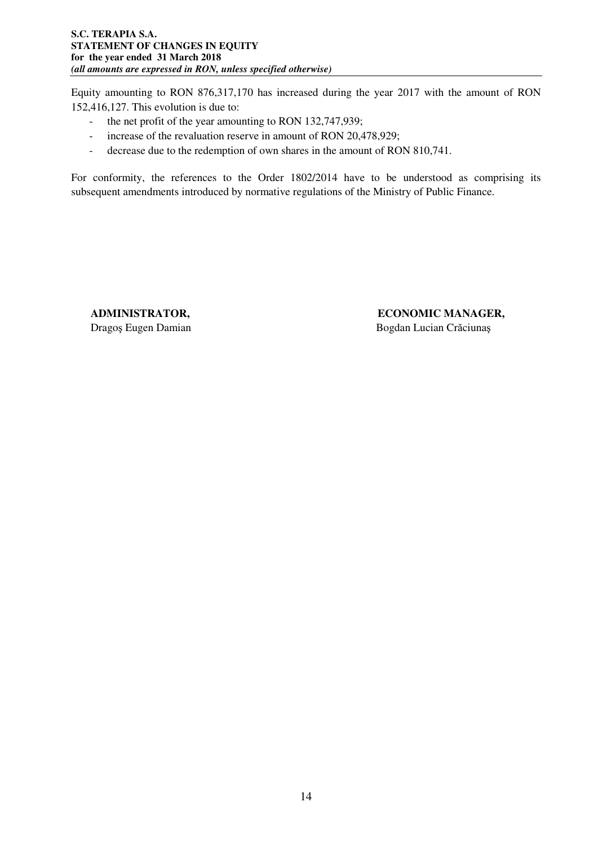Equity amounting to RON 876,317,170 has increased during the year 2017 with the amount of RON 152,416,127. This evolution is due to:

- the net profit of the year amounting to RON 132,747,939;
- increase of the revaluation reserve in amount of RON 20,478,929;
- decrease due to the redemption of own shares in the amount of RON 810,741.

For conformity, the references to the Order 1802/2014 have to be understood as comprising its subsequent amendments introduced by normative regulations of the Ministry of Public Finance.

 **ADMINISTRATOR, ECONOMIC MANAGER,**  Dragoș Eugen Damian Bogdan Lucian Crăciunaș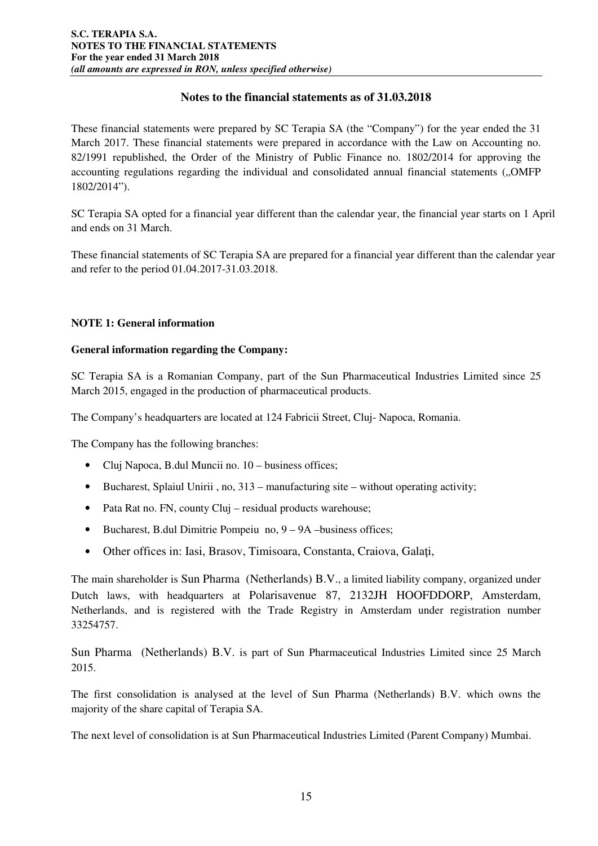## **Notes to the financial statements as of 31.03.2018**

These financial statements were prepared by SC Terapia SA (the "Company") for the year ended the 31 March 2017. These financial statements were prepared in accordance with the Law on Accounting no. 82/1991 republished, the Order of the Ministry of Public Finance no. 1802/2014 for approving the accounting regulations regarding the individual and consolidated annual financial statements (... OMFP 1802/2014").

SC Terapia SA opted for a financial year different than the calendar year, the financial year starts on 1 April and ends on 31 March.

These financial statements of SC Terapia SA are prepared for a financial year different than the calendar year and refer to the period 01.04.2017-31.03.2018.

## **NOTE 1: General information**

## **General information regarding the Company:**

SC Terapia SA is a Romanian Company, part of the Sun Pharmaceutical Industries Limited since 25 March 2015, engaged in the production of pharmaceutical products.

The Company's headquarters are located at 124 Fabricii Street, Cluj- Napoca, Romania.

The Company has the following branches:

- Cluj Napoca, B.dul Muncii no. 10 business offices;
- Bucharest, Splaiul Unirii, no, 313 manufacturing site without operating activity;
- Pata Rat no. FN, county Cluj residual products warehouse;
- Bucharest, B.dul Dimitrie Pompeiu no,  $9 9A$  –business offices;
- Other offices in: Iasi, Brasov, Timisoara, Constanta, Craiova, Galaţi,

The main shareholder is Sun Pharma (Netherlands) B.V., a limited liability company, organized under Dutch laws, with headquarters at Polarisavenue 87, 2132JH HOOFDDORP, Amsterdam, Netherlands, and is registered with the Trade Registry in Amsterdam under registration number 33254757.

Sun Pharma (Netherlands) B.V. is part of Sun Pharmaceutical Industries Limited since 25 March 2015.

The first consolidation is analysed at the level of Sun Pharma (Netherlands) B.V. which owns the majority of the share capital of Terapia SA.

The next level of consolidation is at Sun Pharmaceutical Industries Limited (Parent Company) Mumbai.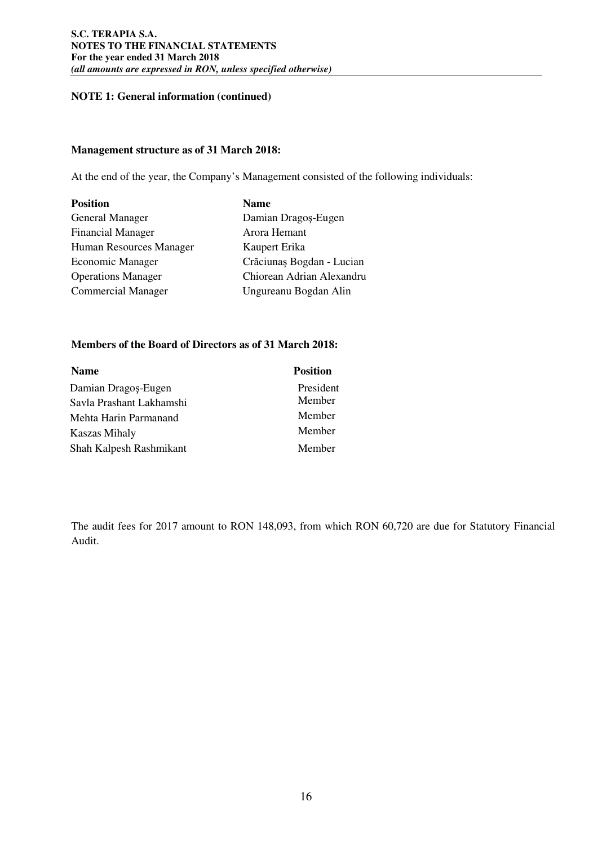## **NOTE 1: General information (continued)**

## **Management structure as of 31 March 2018:**

At the end of the year, the Company's Management consisted of the following individuals:

| <b>Position</b>           | <b>Name</b>               |
|---------------------------|---------------------------|
| General Manager           | Damian Dragos-Eugen       |
| <b>Financial Manager</b>  | Arora Hemant              |
| Human Resources Manager   | Kaupert Erika             |
| <b>Economic Manager</b>   | Crăciunaș Bogdan - Lucian |
| <b>Operations Manager</b> | Chiorean Adrian Alexandru |
| <b>Commercial Manager</b> | Ungureanu Bogdan Alin     |

## **Members of the Board of Directors as of 31 March 2018:**

| <b>Name</b>              | <b>Position</b> |
|--------------------------|-----------------|
| Damian Dragos-Eugen      | President       |
| Savla Prashant Lakhamshi | Member          |
| Mehta Harin Parmanand    | Member          |
| <b>Kaszas Mihaly</b>     | Member          |
| Shah Kalpesh Rashmikant  | Member          |

The audit fees for 2017 amount to RON 148,093, from which RON 60,720 are due for Statutory Financial Audit.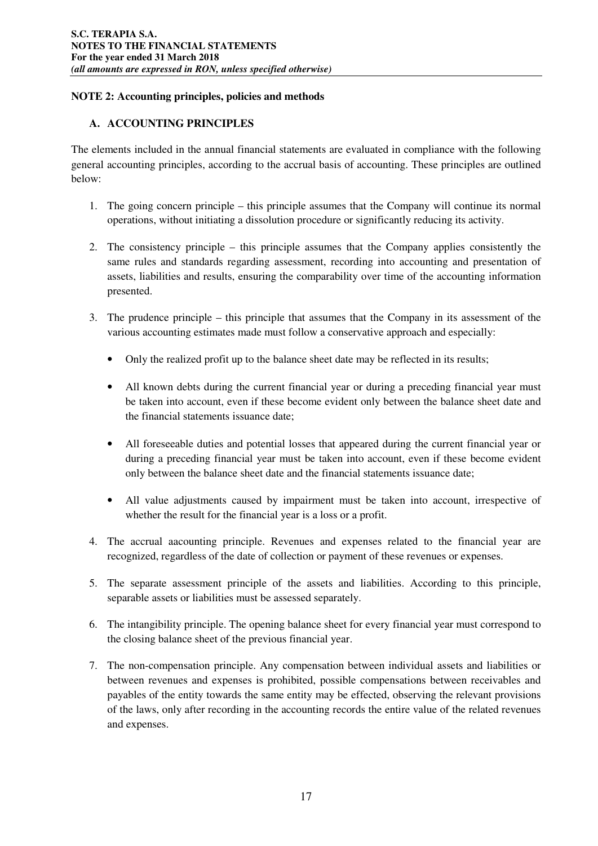## **NOTE 2: Accounting principles, policies and methods**

## **A. ACCOUNTING PRINCIPLES**

The elements included in the annual financial statements are evaluated in compliance with the following general accounting principles, according to the accrual basis of accounting. These principles are outlined below:

- 1. The going concern principle this principle assumes that the Company will continue its normal operations, without initiating a dissolution procedure or significantly reducing its activity.
- 2. The consistency principle this principle assumes that the Company applies consistently the same rules and standards regarding assessment, recording into accounting and presentation of assets, liabilities and results, ensuring the comparability over time of the accounting information presented.
- 3. The prudence principle this principle that assumes that the Company in its assessment of the various accounting estimates made must follow a conservative approach and especially:
	- Only the realized profit up to the balance sheet date may be reflected in its results;
	- All known debts during the current financial year or during a preceding financial year must be taken into account, even if these become evident only between the balance sheet date and the financial statements issuance date;
	- All foreseeable duties and potential losses that appeared during the current financial year or during a preceding financial year must be taken into account, even if these become evident only between the balance sheet date and the financial statements issuance date;
	- All value adjustments caused by impairment must be taken into account, irrespective of whether the result for the financial year is a loss or a profit.
- 4. The accrual aacounting principle. Revenues and expenses related to the financial year are recognized, regardless of the date of collection or payment of these revenues or expenses.
- 5. The separate assessment principle of the assets and liabilities. According to this principle, separable assets or liabilities must be assessed separately.
- 6. The intangibility principle. The opening balance sheet for every financial year must correspond to the closing balance sheet of the previous financial year.
- 7. The non-compensation principle. Any compensation between individual assets and liabilities or between revenues and expenses is prohibited, possible compensations between receivables and payables of the entity towards the same entity may be effected, observing the relevant provisions of the laws, only after recording in the accounting records the entire value of the related revenues and expenses.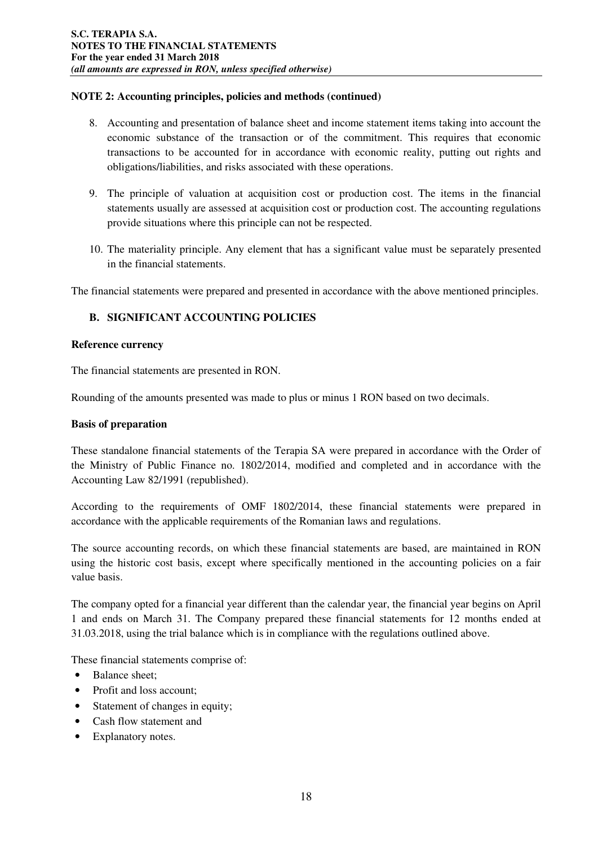- 8. Accounting and presentation of balance sheet and income statement items taking into account the economic substance of the transaction or of the commitment. This requires that economic transactions to be accounted for in accordance with economic reality, putting out rights and obligations/liabilities, and risks associated with these operations.
- 9. The principle of valuation at acquisition cost or production cost. The items in the financial statements usually are assessed at acquisition cost or production cost. The accounting regulations provide situations where this principle can not be respected.
- 10. The materiality principle. Any element that has a significant value must be separately presented in the financial statements.

The financial statements were prepared and presented in accordance with the above mentioned principles.

## **B. SIGNIFICANT ACCOUNTING POLICIES**

#### **Reference currency**

The financial statements are presented in RON.

Rounding of the amounts presented was made to plus or minus 1 RON based on two decimals.

#### **Basis of preparation**

These standalone financial statements of the Terapia SA were prepared in accordance with the Order of the Ministry of Public Finance no. 1802/2014, modified and completed and in accordance with the Accounting Law 82/1991 (republished).

According to the requirements of OMF 1802/2014, these financial statements were prepared in accordance with the applicable requirements of the Romanian laws and regulations.

The source accounting records, on which these financial statements are based, are maintained in RON using the historic cost basis, except where specifically mentioned in the accounting policies on a fair value basis.

The company opted for a financial year different than the calendar year, the financial year begins on April 1 and ends on March 31. The Company prepared these financial statements for 12 months ended at 31.03.2018, using the trial balance which is in compliance with the regulations outlined above.

These financial statements comprise of:

- Balance sheet:
- Profit and loss account;
- Statement of changes in equity;
- Cash flow statement and
- Explanatory notes.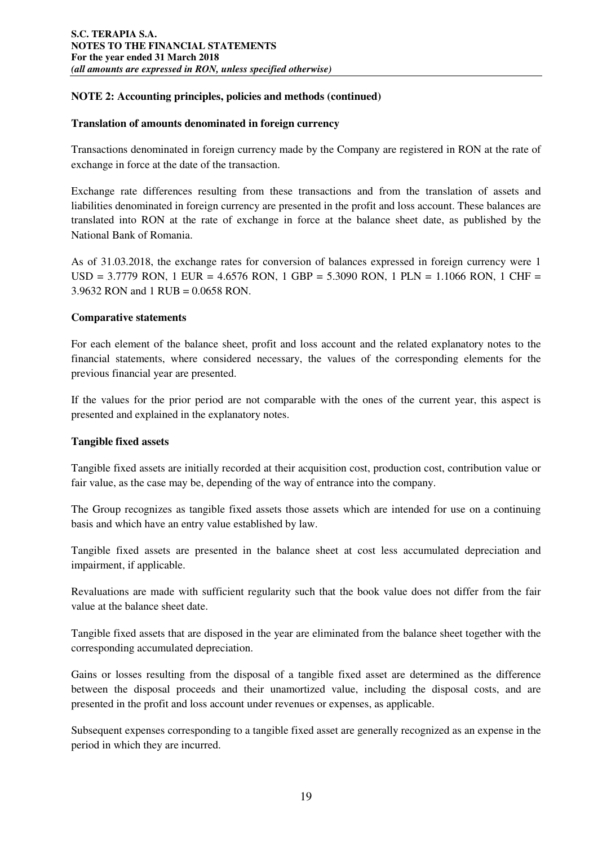#### **Translation of amounts denominated in foreign currency**

Transactions denominated in foreign currency made by the Company are registered in RON at the rate of exchange in force at the date of the transaction.

Exchange rate differences resulting from these transactions and from the translation of assets and liabilities denominated in foreign currency are presented in the profit and loss account. These balances are translated into RON at the rate of exchange in force at the balance sheet date, as published by the National Bank of Romania.

As of 31.03.2018, the exchange rates for conversion of balances expressed in foreign currency were 1  $USD = 3.7779 RON, 1 EUR = 4.6576 RON, 1 GBP = 5.3090 RON, 1 PLN = 1.1066 RON, 1 CHF =$ 3.9632 RON and 1 RUB = 0.0658 RON.

## **Comparative statements**

For each element of the balance sheet, profit and loss account and the related explanatory notes to the financial statements, where considered necessary, the values of the corresponding elements for the previous financial year are presented.

If the values for the prior period are not comparable with the ones of the current year, this aspect is presented and explained in the explanatory notes.

#### **Tangible fixed assets**

Tangible fixed assets are initially recorded at their acquisition cost, production cost, contribution value or fair value, as the case may be, depending of the way of entrance into the company.

The Group recognizes as tangible fixed assets those assets which are intended for use on a continuing basis and which have an entry value established by law.

Tangible fixed assets are presented in the balance sheet at cost less accumulated depreciation and impairment, if applicable.

Revaluations are made with sufficient regularity such that the book value does not differ from the fair value at the balance sheet date.

Tangible fixed assets that are disposed in the year are eliminated from the balance sheet together with the corresponding accumulated depreciation.

Gains or losses resulting from the disposal of a tangible fixed asset are determined as the difference between the disposal proceeds and their unamortized value, including the disposal costs, and are presented in the profit and loss account under revenues or expenses, as applicable.

Subsequent expenses corresponding to a tangible fixed asset are generally recognized as an expense in the period in which they are incurred.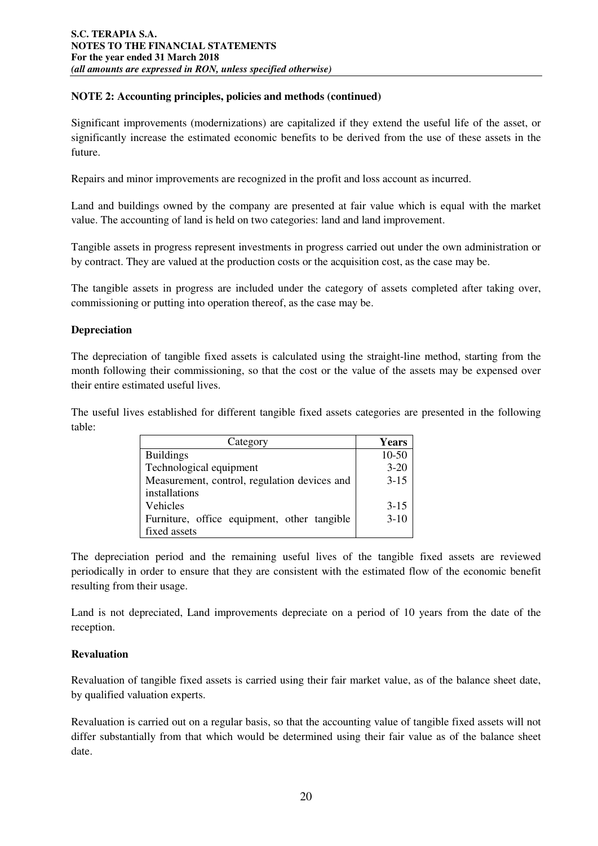Significant improvements (modernizations) are capitalized if they extend the useful life of the asset, or significantly increase the estimated economic benefits to be derived from the use of these assets in the future.

Repairs and minor improvements are recognized in the profit and loss account as incurred.

Land and buildings owned by the company are presented at fair value which is equal with the market value. The accounting of land is held on two categories: land and land improvement.

Tangible assets in progress represent investments in progress carried out under the own administration or by contract. They are valued at the production costs or the acquisition cost, as the case may be.

The tangible assets in progress are included under the category of assets completed after taking over, commissioning or putting into operation thereof, as the case may be.

## **Depreciation**

The depreciation of tangible fixed assets is calculated using the straight-line method, starting from the month following their commissioning, so that the cost or the value of the assets may be expensed over their entire estimated useful lives.

The useful lives established for different tangible fixed assets categories are presented in the following table:

| Category                                     | Years    |
|----------------------------------------------|----------|
| <b>Buildings</b>                             | $10-50$  |
| Technological equipment                      | $3 - 20$ |
| Measurement, control, regulation devices and | $3 - 15$ |
| installations                                |          |
| Vehicles                                     | $3 - 15$ |
| Furniture, office equipment, other tangible  | $3-10$   |
| fixed assets                                 |          |

The depreciation period and the remaining useful lives of the tangible fixed assets are reviewed periodically in order to ensure that they are consistent with the estimated flow of the economic benefit resulting from their usage.

Land is not depreciated, Land improvements depreciate on a period of 10 years from the date of the reception.

## **Revaluation**

Revaluation of tangible fixed assets is carried using their fair market value, as of the balance sheet date, by qualified valuation experts.

Revaluation is carried out on a regular basis, so that the accounting value of tangible fixed assets will not differ substantially from that which would be determined using their fair value as of the balance sheet date.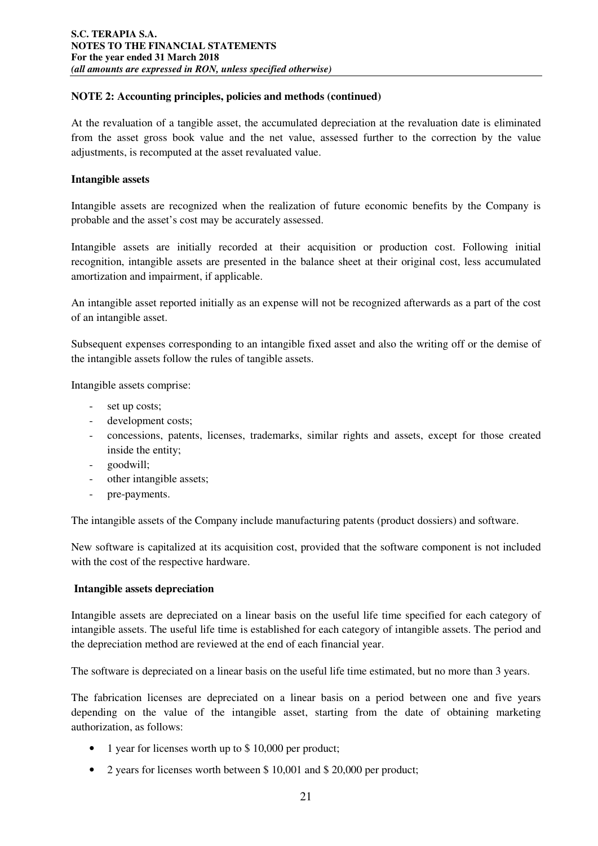At the revaluation of a tangible asset, the accumulated depreciation at the revaluation date is eliminated from the asset gross book value and the net value, assessed further to the correction by the value adjustments, is recomputed at the asset revaluated value.

#### **Intangible assets**

Intangible assets are recognized when the realization of future economic benefits by the Company is probable and the asset's cost may be accurately assessed.

Intangible assets are initially recorded at their acquisition or production cost. Following initial recognition, intangible assets are presented in the balance sheet at their original cost, less accumulated amortization and impairment, if applicable.

An intangible asset reported initially as an expense will not be recognized afterwards as a part of the cost of an intangible asset.

Subsequent expenses corresponding to an intangible fixed asset and also the writing off or the demise of the intangible assets follow the rules of tangible assets.

Intangible assets comprise:

- set up costs;
- development costs;
- concessions, patents, licenses, trademarks, similar rights and assets, except for those created inside the entity;
- goodwill;
- other intangible assets;
- pre-payments.

The intangible assets of the Company include manufacturing patents (product dossiers) and software.

New software is capitalized at its acquisition cost, provided that the software component is not included with the cost of the respective hardware.

#### **Intangible assets depreciation**

Intangible assets are depreciated on a linear basis on the useful life time specified for each category of intangible assets. The useful life time is established for each category of intangible assets. The period and the depreciation method are reviewed at the end of each financial year.

The software is depreciated on a linear basis on the useful life time estimated, but no more than 3 years.

The fabrication licenses are depreciated on a linear basis on a period between one and five years depending on the value of the intangible asset, starting from the date of obtaining marketing authorization, as follows:

- 1 year for licenses worth up to \$ 10,000 per product;
- 2 years for licenses worth between \$ 10,001 and \$ 20,000 per product;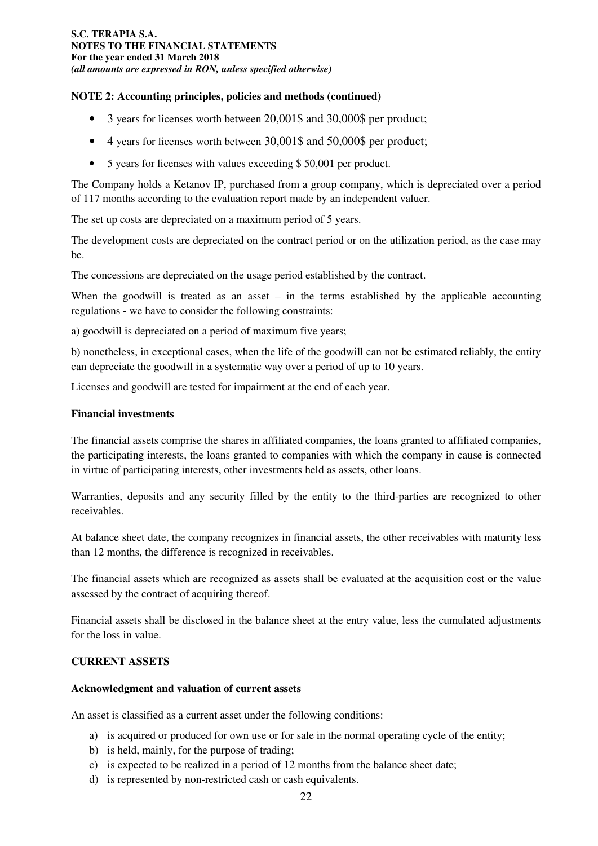- 3 years for licenses worth between 20,001\$ and 30,000\$ per product;
- 4 years for licenses worth between 30,001\$ and 50,000\$ per product;
- 5 years for licenses with values exceeding \$ 50,001 per product.

The Company holds a Ketanov IP, purchased from a group company, which is depreciated over a period of 117 months according to the evaluation report made by an independent valuer.

The set up costs are depreciated on a maximum period of 5 years.

The development costs are depreciated on the contract period or on the utilization period, as the case may be.

The concessions are depreciated on the usage period established by the contract.

When the goodwill is treated as an asset  $-$  in the terms established by the applicable accounting regulations - we have to consider the following constraints:

a) goodwill is depreciated on a period of maximum five years;

b) nonetheless, in exceptional cases, when the life of the goodwill can not be estimated reliably, the entity can depreciate the goodwill in a systematic way over a period of up to 10 years.

Licenses and goodwill are tested for impairment at the end of each year.

#### **Financial investments**

The financial assets comprise the shares in affiliated companies, the loans granted to affiliated companies, the participating interests, the loans granted to companies with which the company in cause is connected in virtue of participating interests, other investments held as assets, other loans.

Warranties, deposits and any security filled by the entity to the third-parties are recognized to other receivables.

At balance sheet date, the company recognizes in financial assets, the other receivables with maturity less than 12 months, the difference is recognized in receivables.

The financial assets which are recognized as assets shall be evaluated at the acquisition cost or the value assessed by the contract of acquiring thereof.

Financial assets shall be disclosed in the balance sheet at the entry value, less the cumulated adjustments for the loss in value.

#### **CURRENT ASSETS**

#### **Acknowledgment and valuation of current assets**

An asset is classified as a current asset under the following conditions:

- a) is acquired or produced for own use or for sale in the normal operating cycle of the entity;
- b) is held, mainly, for the purpose of trading;
- c) is expected to be realized in a period of 12 months from the balance sheet date;
- d) is represented by non-restricted cash or cash equivalents.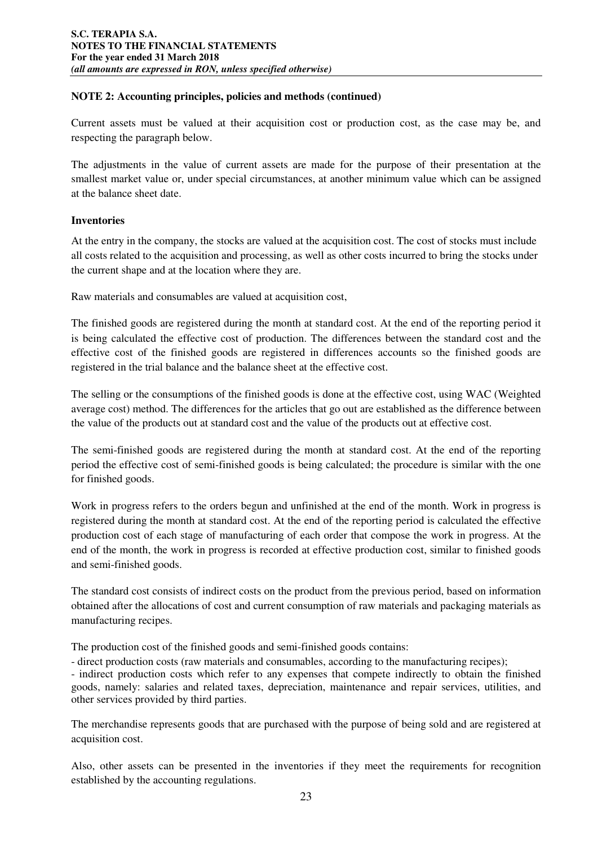Current assets must be valued at their acquisition cost or production cost, as the case may be, and respecting the paragraph below.

The adjustments in the value of current assets are made for the purpose of their presentation at the smallest market value or, under special circumstances, at another minimum value which can be assigned at the balance sheet date.

## **Inventories**

At the entry in the company, the stocks are valued at the acquisition cost. The cost of stocks must include all costs related to the acquisition and processing, as well as other costs incurred to bring the stocks under the current shape and at the location where they are.

Raw materials and consumables are valued at acquisition cost,

The finished goods are registered during the month at standard cost. At the end of the reporting period it is being calculated the effective cost of production. The differences between the standard cost and the effective cost of the finished goods are registered in differences accounts so the finished goods are registered in the trial balance and the balance sheet at the effective cost.

The selling or the consumptions of the finished goods is done at the effective cost, using WAC (Weighted average cost) method. The differences for the articles that go out are established as the difference between the value of the products out at standard cost and the value of the products out at effective cost.

The semi-finished goods are registered during the month at standard cost. At the end of the reporting period the effective cost of semi-finished goods is being calculated; the procedure is similar with the one for finished goods.

Work in progress refers to the orders begun and unfinished at the end of the month. Work in progress is registered during the month at standard cost. At the end of the reporting period is calculated the effective production cost of each stage of manufacturing of each order that compose the work in progress. At the end of the month, the work in progress is recorded at effective production cost, similar to finished goods and semi-finished goods.

The standard cost consists of indirect costs on the product from the previous period, based on information obtained after the allocations of cost and current consumption of raw materials and packaging materials as manufacturing recipes.

The production cost of the finished goods and semi-finished goods contains:

- direct production costs (raw materials and consumables, according to the manufacturing recipes);

- indirect production costs which refer to any expenses that compete indirectly to obtain the finished goods, namely: salaries and related taxes, depreciation, maintenance and repair services, utilities, and other services provided by third parties.

The merchandise represents goods that are purchased with the purpose of being sold and are registered at acquisition cost.

Also, other assets can be presented in the inventories if they meet the requirements for recognition established by the accounting regulations.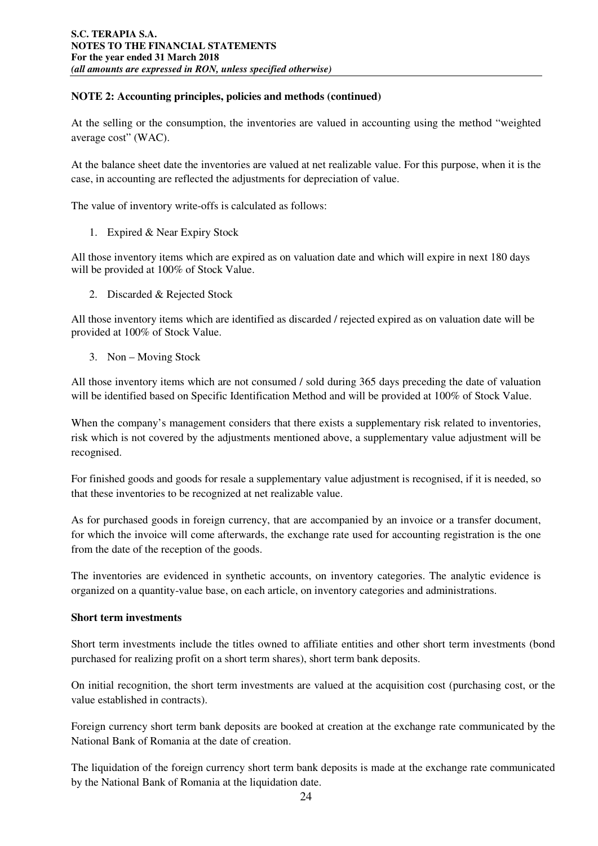At the selling or the consumption, the inventories are valued in accounting using the method "weighted average cost" (WAC).

At the balance sheet date the inventories are valued at net realizable value. For this purpose, when it is the case, in accounting are reflected the adjustments for depreciation of value.

The value of inventory write-offs is calculated as follows:

1. Expired & Near Expiry Stock

All those inventory items which are expired as on valuation date and which will expire in next 180 days will be provided at 100% of Stock Value.

2. Discarded & Rejected Stock

All those inventory items which are identified as discarded / rejected expired as on valuation date will be provided at 100% of Stock Value.

3. Non – Moving Stock

All those inventory items which are not consumed / sold during 365 days preceding the date of valuation will be identified based on Specific Identification Method and will be provided at 100% of Stock Value.

When the company's management considers that there exists a supplementary risk related to inventories, risk which is not covered by the adjustments mentioned above, a supplementary value adjustment will be recognised.

For finished goods and goods for resale a supplementary value adjustment is recognised, if it is needed, so that these inventories to be recognized at net realizable value.

As for purchased goods in foreign currency, that are accompanied by an invoice or a transfer document, for which the invoice will come afterwards, the exchange rate used for accounting registration is the one from the date of the reception of the goods.

The inventories are evidenced in synthetic accounts, on inventory categories. The analytic evidence is organized on a quantity-value base, on each article, on inventory categories and administrations.

## **Short term investments**

Short term investments include the titles owned to affiliate entities and other short term investments (bond purchased for realizing profit on a short term shares), short term bank deposits.

On initial recognition, the short term investments are valued at the acquisition cost (purchasing cost, or the value established in contracts).

Foreign currency short term bank deposits are booked at creation at the exchange rate communicated by the National Bank of Romania at the date of creation.

The liquidation of the foreign currency short term bank deposits is made at the exchange rate communicated by the National Bank of Romania at the liquidation date.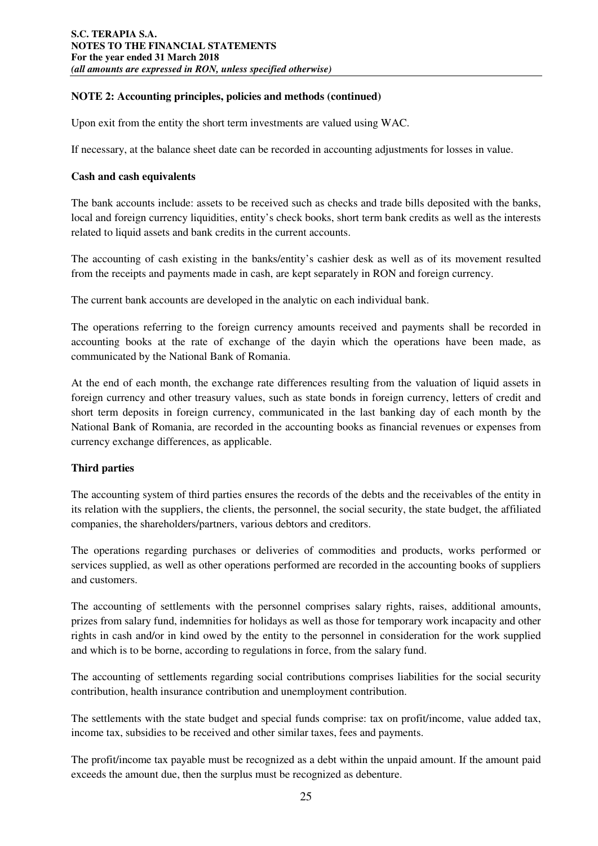Upon exit from the entity the short term investments are valued using WAC.

If necessary, at the balance sheet date can be recorded in accounting adjustments for losses in value.

## **Cash and cash equivalents**

The bank accounts include: assets to be received such as checks and trade bills deposited with the banks, local and foreign currency liquidities, entity's check books, short term bank credits as well as the interests related to liquid assets and bank credits in the current accounts.

The accounting of cash existing in the banks/entity's cashier desk as well as of its movement resulted from the receipts and payments made in cash, are kept separately in RON and foreign currency.

The current bank accounts are developed in the analytic on each individual bank.

The operations referring to the foreign currency amounts received and payments shall be recorded in accounting books at the rate of exchange of the dayin which the operations have been made, as communicated by the National Bank of Romania.

At the end of each month, the exchange rate differences resulting from the valuation of liquid assets in foreign currency and other treasury values, such as state bonds in foreign currency, letters of credit and short term deposits in foreign currency, communicated in the last banking day of each month by the National Bank of Romania, are recorded in the accounting books as financial revenues or expenses from currency exchange differences, as applicable.

## **Third parties**

The accounting system of third parties ensures the records of the debts and the receivables of the entity in its relation with the suppliers, the clients, the personnel, the social security, the state budget, the affiliated companies, the shareholders/partners, various debtors and creditors.

The operations regarding purchases or deliveries of commodities and products, works performed or services supplied, as well as other operations performed are recorded in the accounting books of suppliers and customers.

The accounting of settlements with the personnel comprises salary rights, raises, additional amounts, prizes from salary fund, indemnities for holidays as well as those for temporary work incapacity and other rights in cash and/or in kind owed by the entity to the personnel in consideration for the work supplied and which is to be borne, according to regulations in force, from the salary fund.

The accounting of settlements regarding social contributions comprises liabilities for the social security contribution, health insurance contribution and unemployment contribution.

The settlements with the state budget and special funds comprise: tax on profit/income, value added tax, income tax, subsidies to be received and other similar taxes, fees and payments.

The profit/income tax payable must be recognized as a debt within the unpaid amount. If the amount paid exceeds the amount due, then the surplus must be recognized as debenture.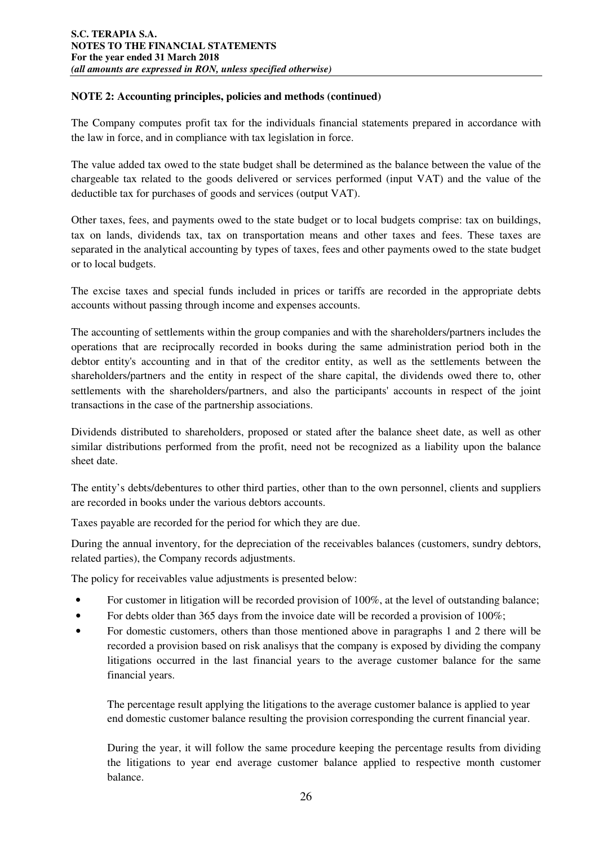The Company computes profit tax for the individuals financial statements prepared in accordance with the law in force, and in compliance with tax legislation in force.

The value added tax owed to the state budget shall be determined as the balance between the value of the chargeable tax related to the goods delivered or services performed (input VAT) and the value of the deductible tax for purchases of goods and services (output VAT).

Other taxes, fees, and payments owed to the state budget or to local budgets comprise: tax on buildings, tax on lands, dividends tax, tax on transportation means and other taxes and fees. These taxes are separated in the analytical accounting by types of taxes, fees and other payments owed to the state budget or to local budgets.

The excise taxes and special funds included in prices or tariffs are recorded in the appropriate debts accounts without passing through income and expenses accounts.

The accounting of settlements within the group companies and with the shareholders/partners includes the operations that are reciprocally recorded in books during the same administration period both in the debtor entity's accounting and in that of the creditor entity, as well as the settlements between the shareholders/partners and the entity in respect of the share capital, the dividends owed there to, other settlements with the shareholders/partners, and also the participants' accounts in respect of the joint transactions in the case of the partnership associations.

Dividends distributed to shareholders, proposed or stated after the balance sheet date, as well as other similar distributions performed from the profit, need not be recognized as a liability upon the balance sheet date.

The entity's debts/debentures to other third parties, other than to the own personnel, clients and suppliers are recorded in books under the various debtors accounts.

Taxes payable are recorded for the period for which they are due.

During the annual inventory, for the depreciation of the receivables balances (customers, sundry debtors, related parties), the Company records adjustments.

The policy for receivables value adjustments is presented below:

- For customer in litigation will be recorded provision of 100%, at the level of outstanding balance;
- For debts older than 365 days from the invoice date will be recorded a provision of 100%;
- For domestic customers, others than those mentioned above in paragraphs 1 and 2 there will be recorded a provision based on risk analisys that the company is exposed by dividing the company litigations occurred in the last financial years to the average customer balance for the same financial years.

The percentage result applying the litigations to the average customer balance is applied to year end domestic customer balance resulting the provision corresponding the current financial year.

During the year, it will follow the same procedure keeping the percentage results from dividing the litigations to year end average customer balance applied to respective month customer balance.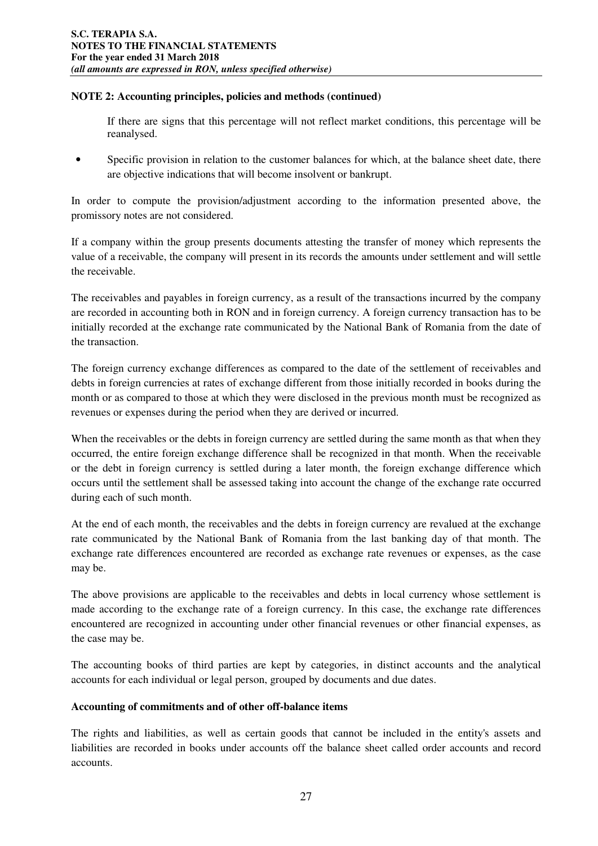If there are signs that this percentage will not reflect market conditions, this percentage will be reanalysed.

Specific provision in relation to the customer balances for which, at the balance sheet date, there are objective indications that will become insolvent or bankrupt.

In order to compute the provision/adjustment according to the information presented above, the promissory notes are not considered.

If a company within the group presents documents attesting the transfer of money which represents the value of a receivable, the company will present in its records the amounts under settlement and will settle the receivable.

The receivables and payables in foreign currency, as a result of the transactions incurred by the company are recorded in accounting both in RON and in foreign currency. A foreign currency transaction has to be initially recorded at the exchange rate communicated by the National Bank of Romania from the date of the transaction.

The foreign currency exchange differences as compared to the date of the settlement of receivables and debts in foreign currencies at rates of exchange different from those initially recorded in books during the month or as compared to those at which they were disclosed in the previous month must be recognized as revenues or expenses during the period when they are derived or incurred.

When the receivables or the debts in foreign currency are settled during the same month as that when they occurred, the entire foreign exchange difference shall be recognized in that month. When the receivable or the debt in foreign currency is settled during a later month, the foreign exchange difference which occurs until the settlement shall be assessed taking into account the change of the exchange rate occurred during each of such month.

At the end of each month, the receivables and the debts in foreign currency are revalued at the exchange rate communicated by the National Bank of Romania from the last banking day of that month. The exchange rate differences encountered are recorded as exchange rate revenues or expenses, as the case may be.

The above provisions are applicable to the receivables and debts in local currency whose settlement is made according to the exchange rate of a foreign currency. In this case, the exchange rate differences encountered are recognized in accounting under other financial revenues or other financial expenses, as the case may be.

The accounting books of third parties are kept by categories, in distinct accounts and the analytical accounts for each individual or legal person, grouped by documents and due dates.

## **Accounting of commitments and of other off-balance items**

The rights and liabilities, as well as certain goods that cannot be included in the entity's assets and liabilities are recorded in books under accounts off the balance sheet called order accounts and record accounts.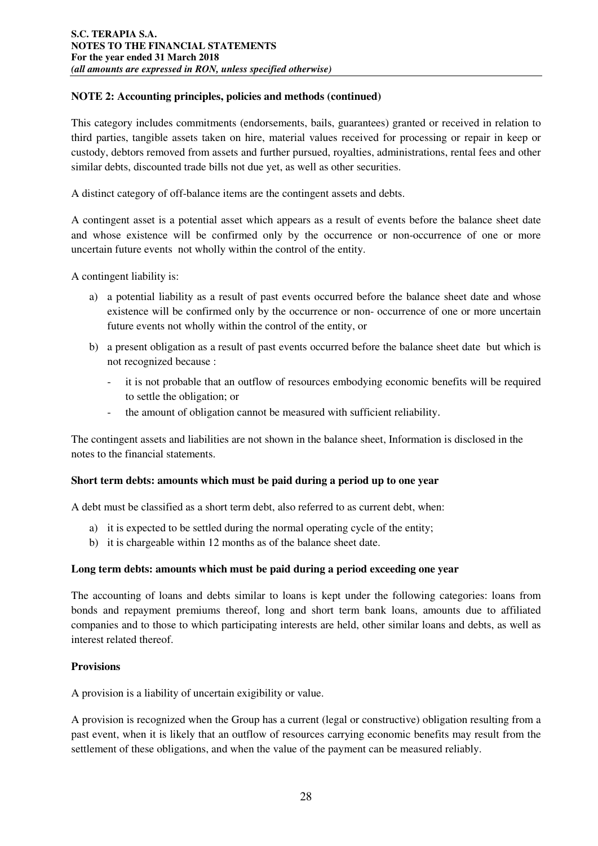This category includes commitments (endorsements, bails, guarantees) granted or received in relation to third parties, tangible assets taken on hire, material values received for processing or repair in keep or custody, debtors removed from assets and further pursued, royalties, administrations, rental fees and other similar debts, discounted trade bills not due yet, as well as other securities.

A distinct category of off-balance items are the contingent assets and debts.

A contingent asset is a potential asset which appears as a result of events before the balance sheet date and whose existence will be confirmed only by the occurrence or non-occurrence of one or more uncertain future events not wholly within the control of the entity.

A contingent liability is:

- a) a potential liability as a result of past events occurred before the balance sheet date and whose existence will be confirmed only by the occurrence or non- occurrence of one or more uncertain future events not wholly within the control of the entity, or
- b) a present obligation as a result of past events occurred before the balance sheet date but which is not recognized because :
	- it is not probable that an outflow of resources embodying economic benefits will be required to settle the obligation; or
	- the amount of obligation cannot be measured with sufficient reliability.

The contingent assets and liabilities are not shown in the balance sheet, Information is disclosed in the notes to the financial statements.

#### **Short term debts: amounts which must be paid during a period up to one year**

A debt must be classified as a short term debt, also referred to as current debt, when:

- a) it is expected to be settled during the normal operating cycle of the entity;
- b) it is chargeable within 12 months as of the balance sheet date.

#### **Long term debts: amounts which must be paid during a period exceeding one year**

The accounting of loans and debts similar to loans is kept under the following categories: loans from bonds and repayment premiums thereof, long and short term bank loans, amounts due to affiliated companies and to those to which participating interests are held, other similar loans and debts, as well as interest related thereof.

#### **Provisions**

A provision is a liability of uncertain exigibility or value.

A provision is recognized when the Group has a current (legal or constructive) obligation resulting from a past event, when it is likely that an outflow of resources carrying economic benefits may result from the settlement of these obligations, and when the value of the payment can be measured reliably.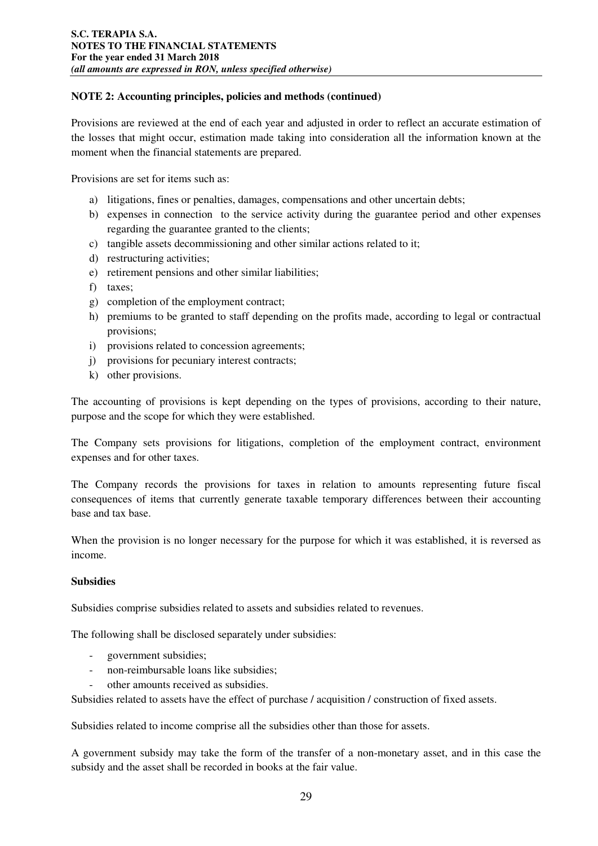Provisions are reviewed at the end of each year and adjusted in order to reflect an accurate estimation of the losses that might occur, estimation made taking into consideration all the information known at the moment when the financial statements are prepared.

Provisions are set for items such as:

- a) litigations, fines or penalties, damages, compensations and other uncertain debts;
- b) expenses in connection to the service activity during the guarantee period and other expenses regarding the guarantee granted to the clients;
- c) tangible assets decommissioning and other similar actions related to it;
- d) restructuring activities;
- e) retirement pensions and other similar liabilities;
- f) taxes;
- g) completion of the employment contract;
- h) premiums to be granted to staff depending on the profits made, according to legal or contractual provisions;
- i) provisions related to concession agreements;
- j) provisions for pecuniary interest contracts;
- k) other provisions.

The accounting of provisions is kept depending on the types of provisions, according to their nature, purpose and the scope for which they were established.

The Company sets provisions for litigations, completion of the employment contract, environment expenses and for other taxes.

The Company records the provisions for taxes in relation to amounts representing future fiscal consequences of items that currently generate taxable temporary differences between their accounting base and tax base.

When the provision is no longer necessary for the purpose for which it was established, it is reversed as income.

#### **Subsidies**

Subsidies comprise subsidies related to assets and subsidies related to revenues.

The following shall be disclosed separately under subsidies:

- government subsidies;
- non-reimbursable loans like subsidies;
- other amounts received as subsidies.

Subsidies related to assets have the effect of purchase / acquisition / construction of fixed assets.

Subsidies related to income comprise all the subsidies other than those for assets.

A government subsidy may take the form of the transfer of a non-monetary asset, and in this case the subsidy and the asset shall be recorded in books at the fair value.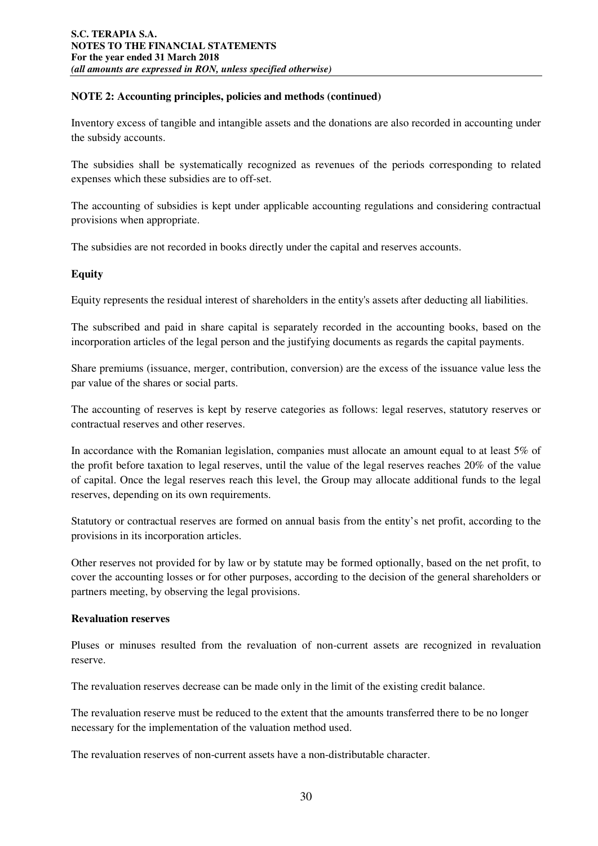Inventory excess of tangible and intangible assets and the donations are also recorded in accounting under the subsidy accounts.

The subsidies shall be systematically recognized as revenues of the periods corresponding to related expenses which these subsidies are to off-set.

The accounting of subsidies is kept under applicable accounting regulations and considering contractual provisions when appropriate.

The subsidies are not recorded in books directly under the capital and reserves accounts.

## **Equity**

Equity represents the residual interest of shareholders in the entity's assets after deducting all liabilities.

The subscribed and paid in share capital is separately recorded in the accounting books, based on the incorporation articles of the legal person and the justifying documents as regards the capital payments.

Share premiums (issuance, merger, contribution, conversion) are the excess of the issuance value less the par value of the shares or social parts.

The accounting of reserves is kept by reserve categories as follows: legal reserves, statutory reserves or contractual reserves and other reserves.

In accordance with the Romanian legislation, companies must allocate an amount equal to at least 5% of the profit before taxation to legal reserves, until the value of the legal reserves reaches 20% of the value of capital. Once the legal reserves reach this level, the Group may allocate additional funds to the legal reserves, depending on its own requirements.

Statutory or contractual reserves are formed on annual basis from the entity's net profit, according to the provisions in its incorporation articles.

Other reserves not provided for by law or by statute may be formed optionally, based on the net profit, to cover the accounting losses or for other purposes, according to the decision of the general shareholders or partners meeting, by observing the legal provisions.

#### **Revaluation reserves**

Pluses or minuses resulted from the revaluation of non-current assets are recognized in revaluation reserve.

The revaluation reserves decrease can be made only in the limit of the existing credit balance.

The revaluation reserve must be reduced to the extent that the amounts transferred there to be no longer necessary for the implementation of the valuation method used.

The revaluation reserves of non-current assets have a non-distributable character.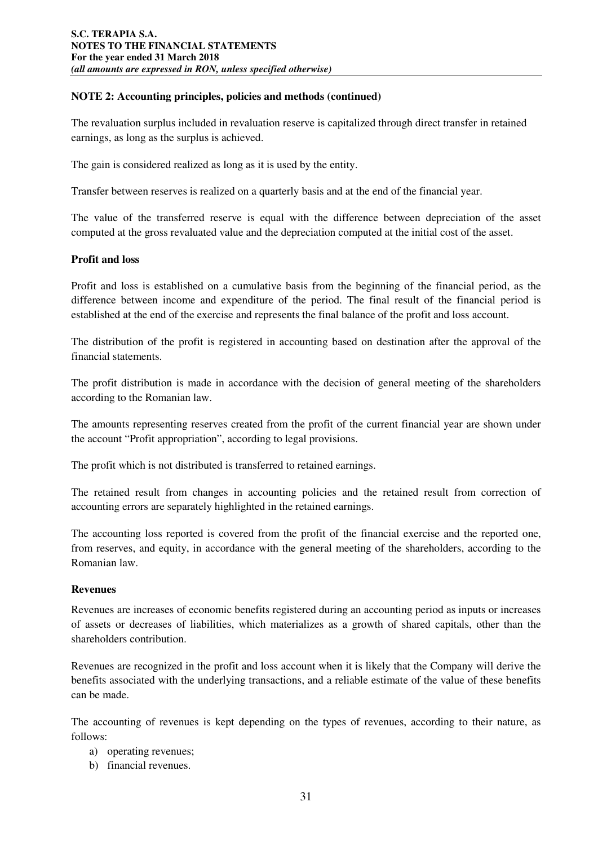The revaluation surplus included in revaluation reserve is capitalized through direct transfer in retained earnings, as long as the surplus is achieved.

The gain is considered realized as long as it is used by the entity.

Transfer between reserves is realized on a quarterly basis and at the end of the financial year.

The value of the transferred reserve is equal with the difference between depreciation of the asset computed at the gross revaluated value and the depreciation computed at the initial cost of the asset.

## **Profit and loss**

Profit and loss is established on a cumulative basis from the beginning of the financial period, as the difference between income and expenditure of the period. The final result of the financial period is established at the end of the exercise and represents the final balance of the profit and loss account.

The distribution of the profit is registered in accounting based on destination after the approval of the financial statements.

The profit distribution is made in accordance with the decision of general meeting of the shareholders according to the Romanian law.

The amounts representing reserves created from the profit of the current financial year are shown under the account "Profit appropriation", according to legal provisions.

The profit which is not distributed is transferred to retained earnings.

The retained result from changes in accounting policies and the retained result from correction of accounting errors are separately highlighted in the retained earnings.

The accounting loss reported is covered from the profit of the financial exercise and the reported one, from reserves, and equity, in accordance with the general meeting of the shareholders, according to the Romanian law.

## **Revenues**

Revenues are increases of economic benefits registered during an accounting period as inputs or increases of assets or decreases of liabilities, which materializes as a growth of shared capitals, other than the shareholders contribution.

Revenues are recognized in the profit and loss account when it is likely that the Company will derive the benefits associated with the underlying transactions, and a reliable estimate of the value of these benefits can be made.

The accounting of revenues is kept depending on the types of revenues, according to their nature, as follows:

- a) operating revenues;
- b) financial revenues.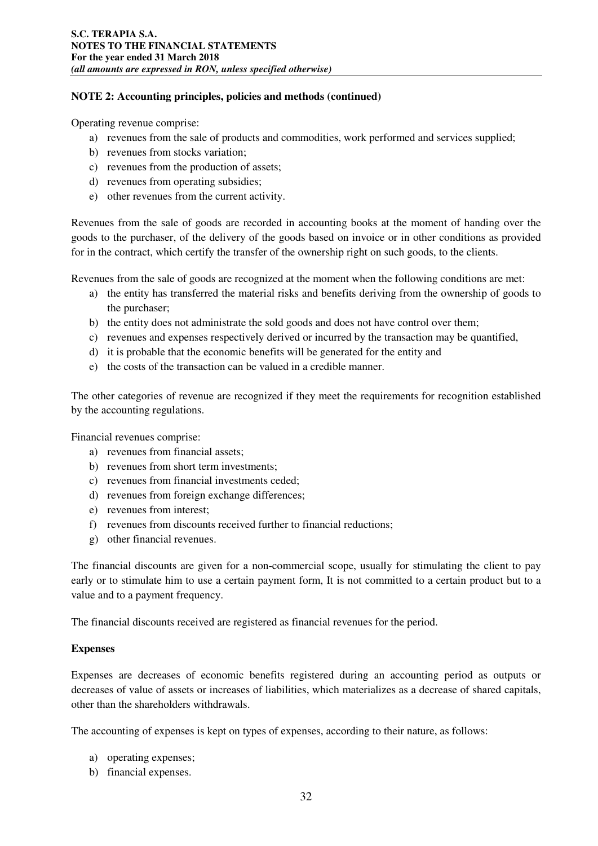Operating revenue comprise:

- a) revenues from the sale of products and commodities, work performed and services supplied;
- b) revenues from stocks variation;
- c) revenues from the production of assets;
- d) revenues from operating subsidies;
- e) other revenues from the current activity.

Revenues from the sale of goods are recorded in accounting books at the moment of handing over the goods to the purchaser, of the delivery of the goods based on invoice or in other conditions as provided for in the contract, which certify the transfer of the ownership right on such goods, to the clients.

Revenues from the sale of goods are recognized at the moment when the following conditions are met:

- a) the entity has transferred the material risks and benefits deriving from the ownership of goods to the purchaser;
- b) the entity does not administrate the sold goods and does not have control over them;
- c) revenues and expenses respectively derived or incurred by the transaction may be quantified,
- d) it is probable that the economic benefits will be generated for the entity and
- e) the costs of the transaction can be valued in a credible manner.

The other categories of revenue are recognized if they meet the requirements for recognition established by the accounting regulations.

Financial revenues comprise:

- a) revenues from financial assets;
- b) revenues from short term investments;
- c) revenues from financial investments ceded;
- d) revenues from foreign exchange differences;
- e) revenues from interest;
- f) revenues from discounts received further to financial reductions;
- g) other financial revenues.

The financial discounts are given for a non-commercial scope, usually for stimulating the client to pay early or to stimulate him to use a certain payment form, It is not committed to a certain product but to a value and to a payment frequency.

The financial discounts received are registered as financial revenues for the period.

#### **Expenses**

Expenses are decreases of economic benefits registered during an accounting period as outputs or decreases of value of assets or increases of liabilities, which materializes as a decrease of shared capitals, other than the shareholders withdrawals.

The accounting of expenses is kept on types of expenses, according to their nature, as follows:

- a) operating expenses;
- b) financial expenses.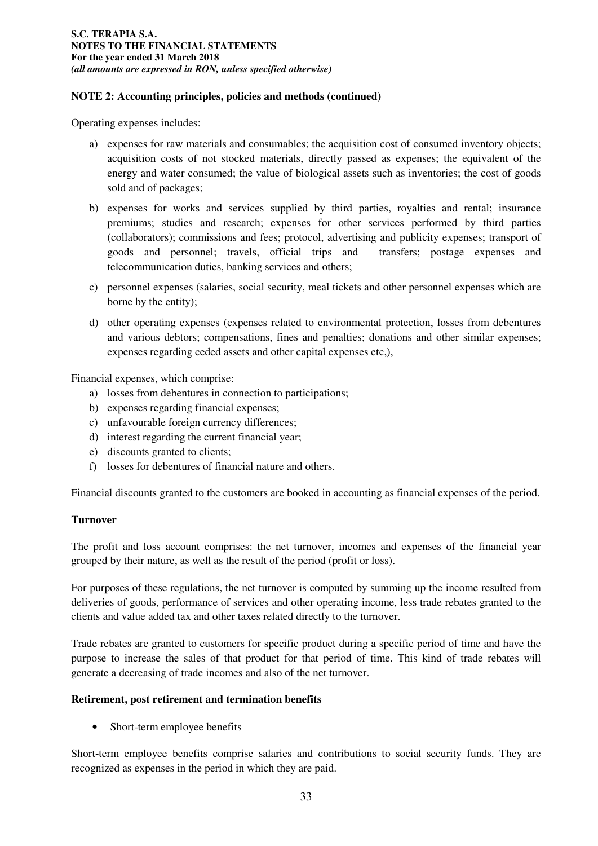Operating expenses includes:

- a) expenses for raw materials and consumables; the acquisition cost of consumed inventory objects; acquisition costs of not stocked materials, directly passed as expenses; the equivalent of the energy and water consumed; the value of biological assets such as inventories; the cost of goods sold and of packages;
- b) expenses for works and services supplied by third parties, royalties and rental; insurance premiums; studies and research; expenses for other services performed by third parties (collaborators); commissions and fees; protocol, advertising and publicity expenses; transport of goods and personnel; travels, official trips and transfers; postage expenses and telecommunication duties, banking services and others;
- c) personnel expenses (salaries, social security, meal tickets and other personnel expenses which are borne by the entity);
- d) other operating expenses (expenses related to environmental protection, losses from debentures and various debtors; compensations, fines and penalties; donations and other similar expenses; expenses regarding ceded assets and other capital expenses etc,),

Financial expenses, which comprise:

- a) losses from debentures in connection to participations;
- b) expenses regarding financial expenses;
- c) unfavourable foreign currency differences;
- d) interest regarding the current financial year;
- e) discounts granted to clients;
- f) losses for debentures of financial nature and others.

Financial discounts granted to the customers are booked in accounting as financial expenses of the period.

#### **Turnover**

The profit and loss account comprises: the net turnover, incomes and expenses of the financial year grouped by their nature, as well as the result of the period (profit or loss).

For purposes of these regulations, the net turnover is computed by summing up the income resulted from deliveries of goods, performance of services and other operating income, less trade rebates granted to the clients and value added tax and other taxes related directly to the turnover.

Trade rebates are granted to customers for specific product during a specific period of time and have the purpose to increase the sales of that product for that period of time. This kind of trade rebates will generate a decreasing of trade incomes and also of the net turnover.

#### **Retirement, post retirement and termination benefits**

• Short-term employee benefits

Short-term employee benefits comprise salaries and contributions to social security funds. They are recognized as expenses in the period in which they are paid.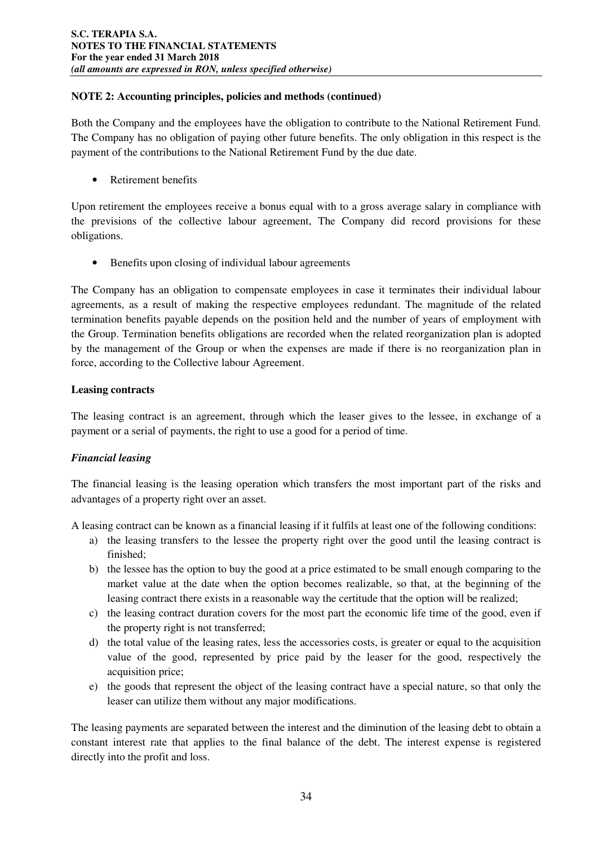Both the Company and the employees have the obligation to contribute to the National Retirement Fund. The Company has no obligation of paying other future benefits. The only obligation in this respect is the payment of the contributions to the National Retirement Fund by the due date.

Retirement benefits

Upon retirement the employees receive a bonus equal with to a gross average salary in compliance with the previsions of the collective labour agreement, The Company did record provisions for these obligations.

• Benefits upon closing of individual labour agreements

The Company has an obligation to compensate employees in case it terminates their individual labour agreements, as a result of making the respective employees redundant. The magnitude of the related termination benefits payable depends on the position held and the number of years of employment with the Group. Termination benefits obligations are recorded when the related reorganization plan is adopted by the management of the Group or when the expenses are made if there is no reorganization plan in force, according to the Collective labour Agreement.

## **Leasing contracts**

The leasing contract is an agreement, through which the leaser gives to the lessee, in exchange of a payment or a serial of payments, the right to use a good for a period of time.

## *Financial leasing*

The financial leasing is the leasing operation which transfers the most important part of the risks and advantages of a property right over an asset.

A leasing contract can be known as a financial leasing if it fulfils at least one of the following conditions:

- a) the leasing transfers to the lessee the property right over the good until the leasing contract is finished;
- b) the lessee has the option to buy the good at a price estimated to be small enough comparing to the market value at the date when the option becomes realizable, so that, at the beginning of the leasing contract there exists in a reasonable way the certitude that the option will be realized;
- c) the leasing contract duration covers for the most part the economic life time of the good, even if the property right is not transferred;
- d) the total value of the leasing rates, less the accessories costs, is greater or equal to the acquisition value of the good, represented by price paid by the leaser for the good, respectively the acquisition price;
- e) the goods that represent the object of the leasing contract have a special nature, so that only the leaser can utilize them without any major modifications.

The leasing payments are separated between the interest and the diminution of the leasing debt to obtain a constant interest rate that applies to the final balance of the debt. The interest expense is registered directly into the profit and loss.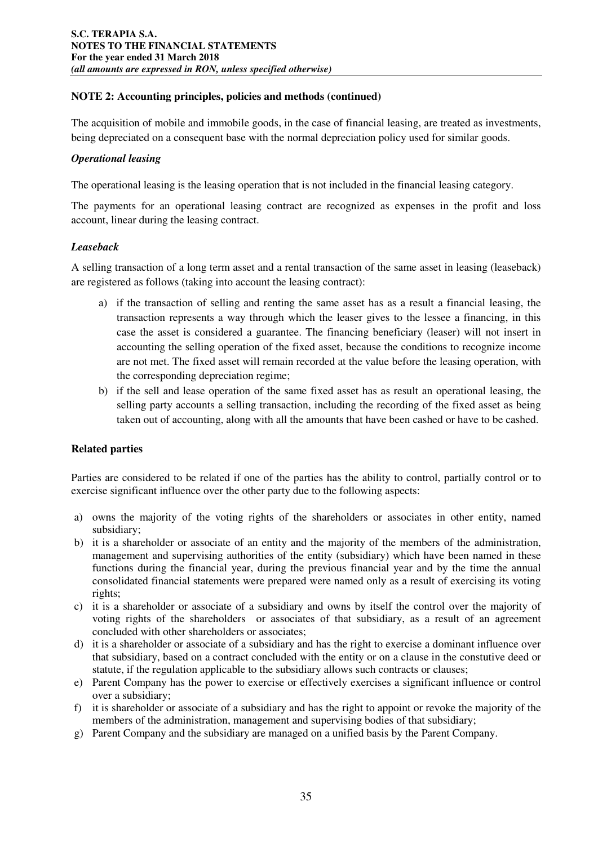The acquisition of mobile and immobile goods, in the case of financial leasing, are treated as investments, being depreciated on a consequent base with the normal depreciation policy used for similar goods.

## *Operational leasing*

The operational leasing is the leasing operation that is not included in the financial leasing category.

The payments for an operational leasing contract are recognized as expenses in the profit and loss account, linear during the leasing contract.

## *Leaseback*

A selling transaction of a long term asset and a rental transaction of the same asset in leasing (leaseback) are registered as follows (taking into account the leasing contract):

- a) if the transaction of selling and renting the same asset has as a result a financial leasing, the transaction represents a way through which the leaser gives to the lessee a financing, in this case the asset is considered a guarantee. The financing beneficiary (leaser) will not insert in accounting the selling operation of the fixed asset, because the conditions to recognize income are not met. The fixed asset will remain recorded at the value before the leasing operation, with the corresponding depreciation regime;
- b) if the sell and lease operation of the same fixed asset has as result an operational leasing, the selling party accounts a selling transaction, including the recording of the fixed asset as being taken out of accounting, along with all the amounts that have been cashed or have to be cashed.

## **Related parties**

Parties are considered to be related if one of the parties has the ability to control, partially control or to exercise significant influence over the other party due to the following aspects:

- a) owns the majority of the voting rights of the shareholders or associates in other entity, named subsidiary;
- b) it is a shareholder or associate of an entity and the majority of the members of the administration, management and supervising authorities of the entity (subsidiary) which have been named in these functions during the financial year, during the previous financial year and by the time the annual consolidated financial statements were prepared were named only as a result of exercising its voting rights;
- c) it is a shareholder or associate of a subsidiary and owns by itself the control over the majority of voting rights of the shareholders or associates of that subsidiary, as a result of an agreement concluded with other shareholders or associates;
- d) it is a shareholder or associate of a subsidiary and has the right to exercise a dominant influence over that subsidiary, based on a contract concluded with the entity or on a clause in the constutive deed or statute, if the regulation applicable to the subsidiary allows such contracts or clauses;
- e) Parent Company has the power to exercise or effectively exercises a significant influence or control over a subsidiary;
- f) it is shareholder or associate of a subsidiary and has the right to appoint or revoke the majority of the members of the administration, management and supervising bodies of that subsidiary;
- g) Parent Company and the subsidiary are managed on a unified basis by the Parent Company.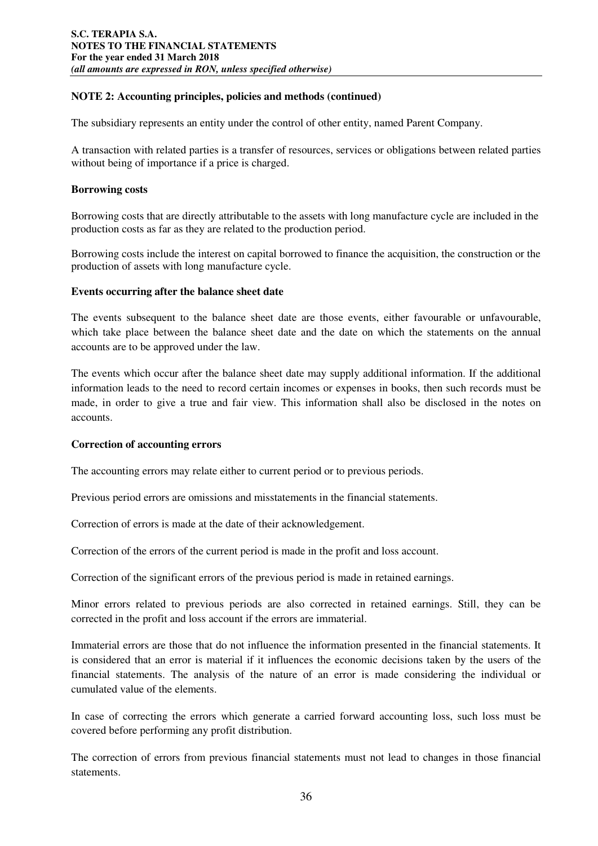The subsidiary represents an entity under the control of other entity, named Parent Company.

A transaction with related parties is a transfer of resources, services or obligations between related parties without being of importance if a price is charged.

#### **Borrowing costs**

Borrowing costs that are directly attributable to the assets with long manufacture cycle are included in the production costs as far as they are related to the production period.

Borrowing costs include the interest on capital borrowed to finance the acquisition, the construction or the production of assets with long manufacture cycle.

## **Events occurring after the balance sheet date**

The events subsequent to the balance sheet date are those events, either favourable or unfavourable, which take place between the balance sheet date and the date on which the statements on the annual accounts are to be approved under the law.

The events which occur after the balance sheet date may supply additional information. If the additional information leads to the need to record certain incomes or expenses in books, then such records must be made, in order to give a true and fair view. This information shall also be disclosed in the notes on accounts.

#### **Correction of accounting errors**

The accounting errors may relate either to current period or to previous periods.

Previous period errors are omissions and misstatements in the financial statements.

Correction of errors is made at the date of their acknowledgement.

Correction of the errors of the current period is made in the profit and loss account.

Correction of the significant errors of the previous period is made in retained earnings.

Minor errors related to previous periods are also corrected in retained earnings. Still, they can be corrected in the profit and loss account if the errors are immaterial.

Immaterial errors are those that do not influence the information presented in the financial statements. It is considered that an error is material if it influences the economic decisions taken by the users of the financial statements. The analysis of the nature of an error is made considering the individual or cumulated value of the elements.

In case of correcting the errors which generate a carried forward accounting loss, such loss must be covered before performing any profit distribution.

The correction of errors from previous financial statements must not lead to changes in those financial statements.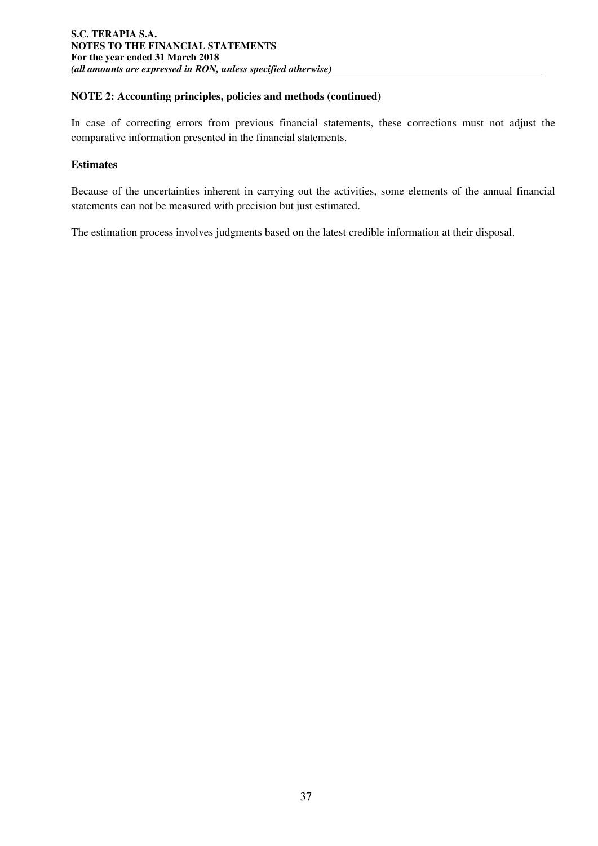In case of correcting errors from previous financial statements, these corrections must not adjust the comparative information presented in the financial statements.

## **Estimates**

Because of the uncertainties inherent in carrying out the activities, some elements of the annual financial statements can not be measured with precision but just estimated.

The estimation process involves judgments based on the latest credible information at their disposal.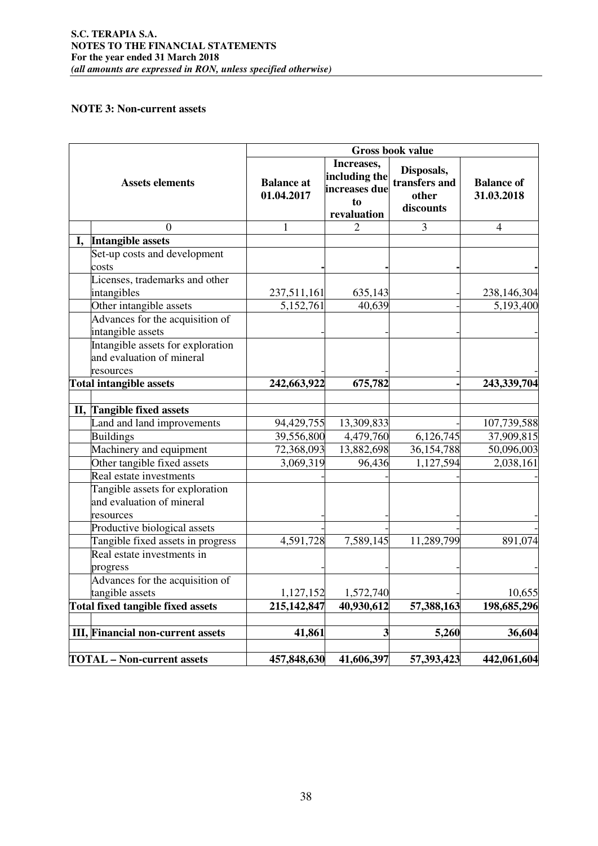#### **S.C. TERAPIA S.A. NOTES TO THE FINANCIAL STATEMENTS For the year ended 31 March 2018**  *(all amounts are expressed in RON, unless specified otherwise)*

## **NOTE 3: Non-current assets**

|                                   | <b>Gross book value</b>         |                                                                   |                                                   |                                 |
|-----------------------------------|---------------------------------|-------------------------------------------------------------------|---------------------------------------------------|---------------------------------|
| <b>Assets elements</b>            | <b>Balance</b> at<br>01.04.2017 | Increases,<br>including the<br>increases due<br>to<br>revaluation | Disposals,<br>transfers and<br>other<br>discounts | <b>Balance of</b><br>31.03.2018 |
| $\theta$                          | $\mathbf{1}$                    | 2                                                                 | 3                                                 | 4                               |
| <b>Intangible assets</b><br>I,    |                                 |                                                                   |                                                   |                                 |
| Set-up costs and development      |                                 |                                                                   |                                                   |                                 |
| costs                             |                                 |                                                                   |                                                   |                                 |
| Licenses, trademarks and other    |                                 |                                                                   |                                                   |                                 |
| intangibles                       | 237,511,161                     | 635,143                                                           |                                                   | 238,146,304                     |
| Other intangible assets           | 5,152,761                       | 40,639                                                            |                                                   | 5,193,400                       |
| Advances for the acquisition of   |                                 |                                                                   |                                                   |                                 |
| intangible assets                 |                                 |                                                                   |                                                   |                                 |
| Intangible assets for exploration |                                 |                                                                   |                                                   |                                 |
| and evaluation of mineral         |                                 |                                                                   |                                                   |                                 |
| resources                         |                                 |                                                                   |                                                   |                                 |
| <b>Total intangible assets</b>    | 242,663,922                     | 675,782                                                           |                                                   | 243,339,704                     |
|                                   |                                 |                                                                   |                                                   |                                 |
| II, Tangible fixed assets         |                                 |                                                                   |                                                   |                                 |
| Land and land improvements        | 94,429,755                      | 13,309,833                                                        |                                                   | 107,739,588                     |
| <b>Buildings</b>                  | 39,556,800                      | 4,479,760                                                         | 6,126,745                                         | 37,909,815                      |
| Machinery and equipment           | 72,368,093                      | 13,882,698                                                        | 36,154,788                                        | 50,096,003                      |
| Other tangible fixed assets       | 3,069,319                       | 96,436                                                            | 1,127,594                                         | 2,038,161                       |
| Real estate investments           |                                 |                                                                   |                                                   |                                 |
| Tangible assets for exploration   |                                 |                                                                   |                                                   |                                 |
| and evaluation of mineral         |                                 |                                                                   |                                                   |                                 |
| resources                         |                                 |                                                                   |                                                   |                                 |
| Productive biological assets      |                                 |                                                                   |                                                   |                                 |
| Tangible fixed assets in progress | 4,591,728                       | 7,589,145                                                         | 11,289,799                                        | 891,074                         |
| Real estate investments in        |                                 |                                                                   |                                                   |                                 |
| progress                          |                                 |                                                                   |                                                   |                                 |
| Advances for the acquisition of   |                                 |                                                                   |                                                   |                                 |
| tangible assets                   | 1,127,152                       | 1,572,740                                                         |                                                   | 10,655                          |
| Total fixed tangible fixed assets | 215,142,847                     | 40,930,612                                                        | 57,388,163                                        | 198,685,296                     |
| III, Financial non-current assets | 41,861                          | 3                                                                 | 5,260                                             | 36,604                          |
| <b>TOTAL - Non-current assets</b> | 457,848,630                     | 41,606,397                                                        | 57,393,423                                        | 442,061,604                     |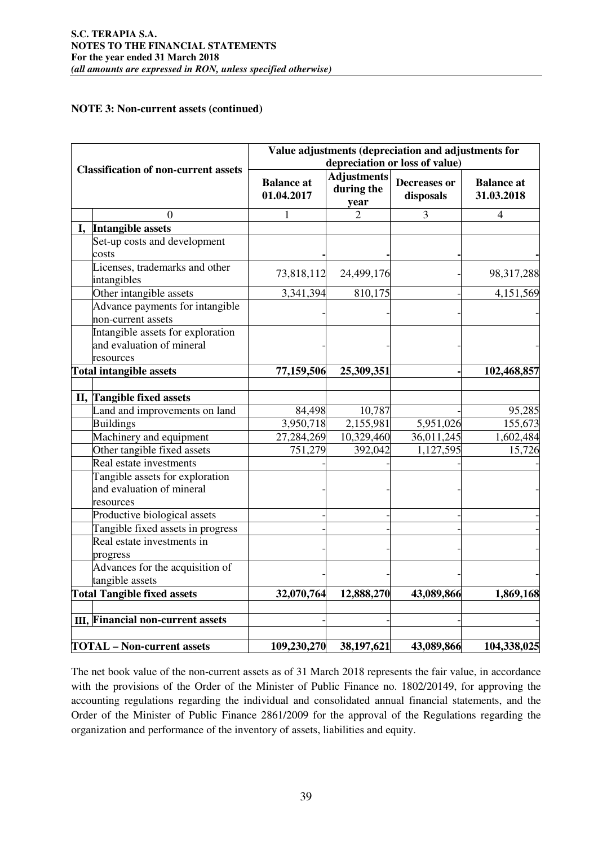## **NOTE 3: Non-current assets (continued)**

|                                             | Value adjustments (depreciation and adjustments for<br>depreciation or loss of value) |                                 |                                          |                                  |                                 |
|---------------------------------------------|---------------------------------------------------------------------------------------|---------------------------------|------------------------------------------|----------------------------------|---------------------------------|
| <b>Classification of non-current assets</b> |                                                                                       | <b>Balance</b> at<br>01.04.2017 | <b>Adjustments</b><br>during the<br>year | <b>Decreases or</b><br>disposals | <b>Balance</b> at<br>31.03.2018 |
|                                             | $\Omega$                                                                              | $\mathbf{1}$                    | $\overline{c}$                           | 3                                | $\overline{4}$                  |
|                                             | I, Intangible assets                                                                  |                                 |                                          |                                  |                                 |
|                                             | Set-up costs and development                                                          |                                 |                                          |                                  |                                 |
|                                             | costs                                                                                 |                                 |                                          |                                  |                                 |
|                                             | Licenses, trademarks and other<br>intangibles                                         | 73,818,112                      | 24,499,176                               |                                  | 98,317,288                      |
|                                             | Other intangible assets                                                               | 3,341,394                       | 810,175                                  |                                  | 4,151,569                       |
|                                             | Advance payments for intangible<br>non-current assets                                 |                                 |                                          |                                  |                                 |
|                                             | Intangible assets for exploration<br>and evaluation of mineral<br>resources           |                                 |                                          |                                  |                                 |
|                                             | Total intangible assets                                                               | 77,159,506                      | 25,309,351                               |                                  | 102,468,857                     |
|                                             |                                                                                       |                                 |                                          |                                  |                                 |
|                                             | II, Tangible fixed assets                                                             |                                 |                                          |                                  |                                 |
|                                             | Land and improvements on land                                                         | 84,498                          | 10,787                                   |                                  | 95,285                          |
|                                             | <b>Buildings</b>                                                                      | 3,950,718                       | 2,155,981                                | 5,951,026                        | 155,673                         |
|                                             | Machinery and equipment                                                               | 27,284,269                      | 10,329,460                               | 36,011,245                       | 1,602,484                       |
|                                             | Other tangible fixed assets                                                           | 751,279                         | 392,042                                  | 1,127,595                        | 15,726                          |
|                                             | Real estate investments                                                               |                                 |                                          |                                  |                                 |
|                                             | Tangible assets for exploration<br>and evaluation of mineral<br>resources             |                                 |                                          |                                  |                                 |
|                                             | Productive biological assets                                                          |                                 |                                          |                                  |                                 |
|                                             | Tangible fixed assets in progress                                                     |                                 |                                          |                                  |                                 |
|                                             | Real estate investments in                                                            |                                 |                                          |                                  |                                 |
|                                             | progress                                                                              |                                 |                                          |                                  |                                 |
|                                             | Advances for the acquisition of                                                       |                                 |                                          |                                  |                                 |
|                                             | tangible assets                                                                       |                                 |                                          |                                  |                                 |
|                                             | <b>Total Tangible fixed assets</b>                                                    | 32,070,764                      | 12,888,270                               | 43,089,866                       | 1,869,168                       |
|                                             | III, Financial non-current assets                                                     |                                 |                                          |                                  |                                 |
|                                             | <b>TOTAL</b> - Non-current assets                                                     | 109,230,270                     | 38,197,621                               | 43,089,866                       | 104,338,025                     |

The net book value of the non-current assets as of 31 March 2018 represents the fair value, in accordance with the provisions of the Order of the Minister of Public Finance no. 1802/20149, for approving the accounting regulations regarding the individual and consolidated annual financial statements, and the Order of the Minister of Public Finance 2861/2009 for the approval of the Regulations regarding the organization and performance of the inventory of assets, liabilities and equity.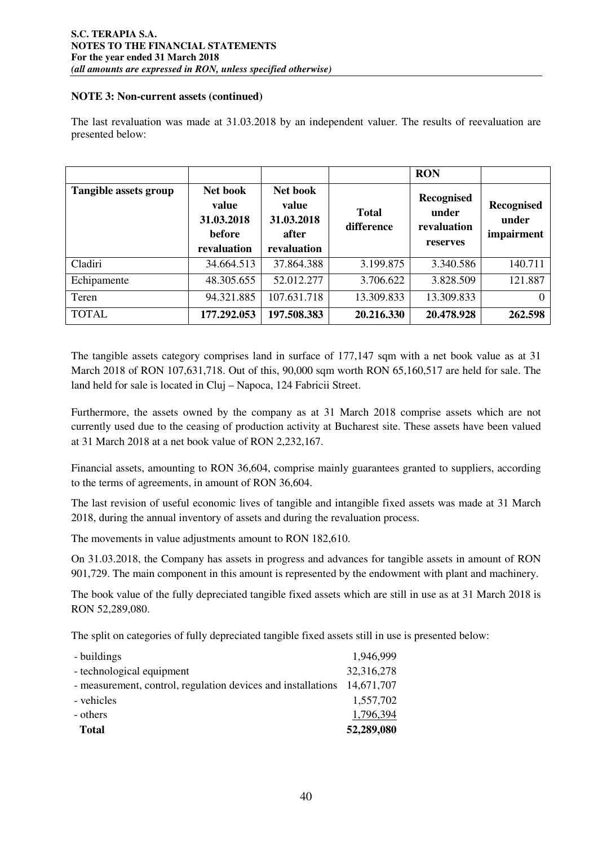#### **NOTE 3: Non-current assets (continued)**

The last revaluation was made at 31.03.2018 by an independent valuer. The results of reevaluation are presented below:

|                       |                                                                 |                                                         |                            | <b>RON</b>                                     |                                   |
|-----------------------|-----------------------------------------------------------------|---------------------------------------------------------|----------------------------|------------------------------------------------|-----------------------------------|
| Tangible assets group | Net book<br>value<br>31.03.2018<br><b>before</b><br>revaluation | Net book<br>value<br>31.03.2018<br>after<br>revaluation | <b>Total</b><br>difference | Recognised<br>under<br>revaluation<br>reserves | Recognised<br>under<br>impairment |
| Cladiri               | 34.664.513                                                      | 37.864.388                                              | 3.199.875                  | 3.340.586                                      | 140.711                           |
| Echipamente           | 48.305.655                                                      | 52.012.277                                              | 3.706.622                  | 3.828.509                                      | 121.887                           |
| Teren                 | 94.321.885                                                      | 107.631.718                                             | 13.309.833                 | 13.309.833                                     | $\theta$                          |
| <b>TOTAL</b>          | 177.292.053                                                     | 197.508.383                                             | 20.216.330                 | 20.478.928                                     | 262.598                           |

The tangible assets category comprises land in surface of 177,147 sqm with a net book value as at 31 March 2018 of RON 107,631,718. Out of this, 90,000 sqm worth RON 65,160,517 are held for sale. The land held for sale is located in Cluj – Napoca, 124 Fabricii Street.

Furthermore, the assets owned by the company as at 31 March 2018 comprise assets which are not currently used due to the ceasing of production activity at Bucharest site. These assets have been valued at 31 March 2018 at a net book value of RON 2,232,167.

Financial assets, amounting to RON 36,604, comprise mainly guarantees granted to suppliers, according to the terms of agreements, in amount of RON 36,604.

The last revision of useful economic lives of tangible and intangible fixed assets was made at 31 March 2018, during the annual inventory of assets and during the revaluation process.

The movements in value adjustments amount to RON 182,610.

On 31.03.2018, the Company has assets in progress and advances for tangible assets in amount of RON 901,729. The main component in this amount is represented by the endowment with plant and machinery.

The book value of the fully depreciated tangible fixed assets which are still in use as at 31 March 2018 is RON 52,289,080.

The split on categories of fully depreciated tangible fixed assets still in use is presented below:

| - others                                                     | 1,796,394  |
|--------------------------------------------------------------|------------|
| - vehicles                                                   | 1.557.702  |
| - measurement, control, regulation devices and installations | 14,671,707 |
| - technological equipment                                    | 32,316,278 |
| - buildings                                                  | 1,946,999  |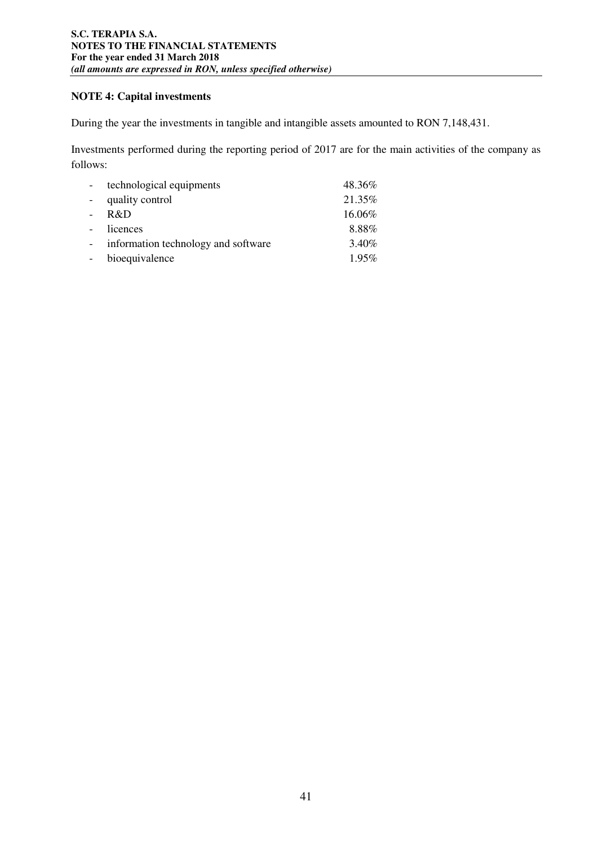## **NOTE 4: Capital investments**

During the year the investments in tangible and intangible assets amounted to RON 7,148,431.

Investments performed during the reporting period of 2017 are for the main activities of the company as follows:

| $\sim$ | technological equipments            | 48.36%   |
|--------|-------------------------------------|----------|
| $\sim$ | quality control                     | 21.35%   |
| $\sim$ | R&D                                 | 16.06%   |
| $\sim$ | licences                            | 8.88%    |
| $\sim$ | information technology and software | $3.40\%$ |
|        | bioequivalence                      | 1.95%    |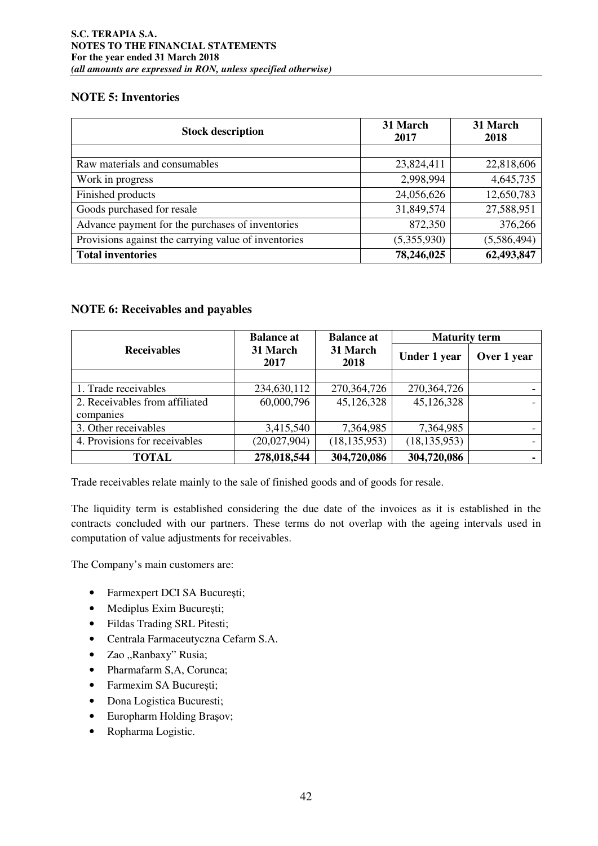## **NOTE 5: Inventories**

| <b>Stock description</b>                             | 31 March<br>2017 | 31 March<br>2018 |
|------------------------------------------------------|------------------|------------------|
|                                                      |                  |                  |
| Raw materials and consumables                        | 23,824,411       | 22,818,606       |
| Work in progress                                     | 2,998,994        | 4,645,735        |
| Finished products                                    | 24,056,626       | 12,650,783       |
| Goods purchased for resale                           | 31,849,574       | 27,588,951       |
| Advance payment for the purchases of inventories     | 872,350          | 376,266          |
| Provisions against the carrying value of inventories | (5,355,930)      | (5,586,494)      |
| <b>Total inventories</b>                             | 78,246,025       | 62,493,847       |

## **NOTE 6: Receivables and payables**

|                                | <b>Balance at</b> | <b>Balance at</b> | <b>Maturity term</b> |             |
|--------------------------------|-------------------|-------------------|----------------------|-------------|
| <b>Receivables</b>             | 31 March<br>2017  | 31 March<br>2018  | <b>Under 1 year</b>  | Over 1 year |
|                                |                   |                   |                      |             |
| 1. Trade receivables           | 234,630,112       | 270, 364, 726     | 270, 364, 726        |             |
| 2. Receivables from affiliated | 60,000,796        | 45,126,328        | 45,126,328           |             |
| companies                      |                   |                   |                      |             |
| 3. Other receivables           | 3,415,540         | 7,364,985         | 7,364,985            |             |
| 4. Provisions for receivables  | (20,027,904)      | (18, 135, 953)    | (18, 135, 953)       |             |
| <b>TOTAL</b>                   | 278,018,544       | 304,720,086       | 304,720,086          |             |

Trade receivables relate mainly to the sale of finished goods and of goods for resale.

The liquidity term is established considering the due date of the invoices as it is established in the contracts concluded with our partners. These terms do not overlap with the ageing intervals used in computation of value adjustments for receivables.

The Company's main customers are:

- Farmexpert DCI SA Bucureşti;
- Mediplus Exim Bucureşti;
- Fildas Trading SRL Pitesti;
- Centrala Farmaceutyczna Cefarm S.A.
- Zao "Ranbaxy" Rusia;
- Pharmafarm S,A, Corunca;
- Farmexim SA București;
- Dona Logistica Bucuresti;
- Europharm Holding Brasov;
- Ropharma Logistic.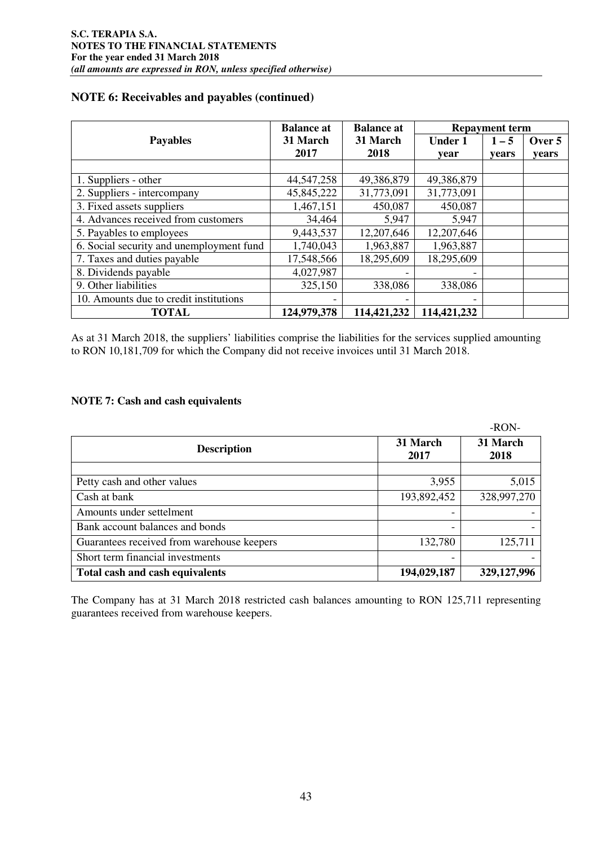# **NOTE 6: Receivables and payables (continued)**

|                                          | <b>Balance at</b> | <b>Balance at</b> | <b>Repayment term</b> |         |        |
|------------------------------------------|-------------------|-------------------|-----------------------|---------|--------|
| <b>Payables</b>                          | 31 March          | 31 March          | <b>Under 1</b>        | $1 - 5$ | Over 5 |
|                                          | 2017              | 2018              | year                  | vears   | years  |
|                                          |                   |                   |                       |         |        |
| 1. Suppliers - other                     | 44, 547, 258      | 49,386,879        | 49,386,879            |         |        |
| 2. Suppliers - intercompany              | 45,845,222        | 31,773,091        | 31,773,091            |         |        |
| 3. Fixed assets suppliers                | 1,467,151         | 450,087           | 450,087               |         |        |
| 4. Advances received from customers      | 34,464            | 5,947             | 5,947                 |         |        |
| 5. Payables to employees                 | 9,443,537         | 12,207,646        | 12,207,646            |         |        |
| 6. Social security and unemployment fund | 1,740,043         | 1,963,887         | 1,963,887             |         |        |
| 7. Taxes and duties payable              | 17,548,566        | 18,295,609        | 18,295,609            |         |        |
| 8. Dividends payable                     | 4,027,987         |                   |                       |         |        |
| 9. Other liabilities                     | 325,150           | 338,086           | 338,086               |         |        |
| 10. Amounts due to credit institutions   |                   |                   |                       |         |        |
| <b>TOTAL</b>                             | 124,979,378       | 114,421,232       | 114,421,232           |         |        |

As at 31 March 2018, the suppliers' liabilities comprise the liabilities for the services supplied amounting to RON 10,181,709 for which the Company did not receive invoices until 31 March 2018.

## **NOTE 7: Cash and cash equivalents**

|                                            |                  | $-RON-$          |
|--------------------------------------------|------------------|------------------|
| <b>Description</b>                         | 31 March<br>2017 | 31 March<br>2018 |
|                                            |                  |                  |
| Petty cash and other values                | 3,955            | 5,015            |
| Cash at bank                               | 193,892,452      | 328,997,270      |
| Amounts under settelment                   |                  |                  |
| Bank account balances and bonds            |                  |                  |
| Guarantees received from warehouse keepers | 132,780          | 125,711          |
| Short term financial investments           |                  |                  |
| Total cash and cash equivalents            | 194,029,187      | 329,127,996      |

The Company has at 31 March 2018 restricted cash balances amounting to RON 125,711 representing guarantees received from warehouse keepers.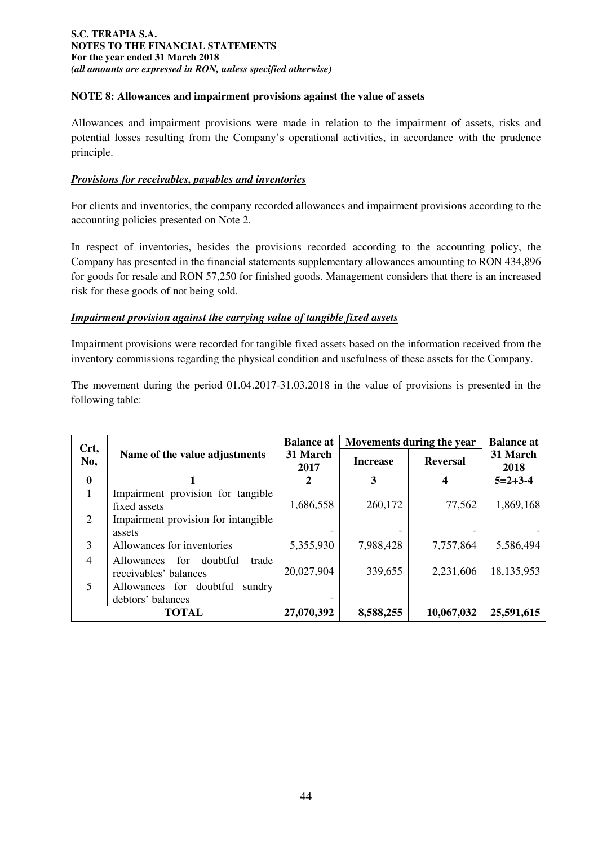## **NOTE 8: Allowances and impairment provisions against the value of assets**

Allowances and impairment provisions were made in relation to the impairment of assets, risks and potential losses resulting from the Company's operational activities, in accordance with the prudence principle.

#### *Provisions for receivables, payables and inventories*

For clients and inventories, the company recorded allowances and impairment provisions according to the accounting policies presented on Note 2.

In respect of inventories, besides the provisions recorded according to the accounting policy, the Company has presented in the financial statements supplementary allowances amounting to RON 434,896 for goods for resale and RON 57,250 for finished goods. Management considers that there is an increased risk for these goods of not being sold.

## *Impairment provision against the carrying value of tangible fixed assets*

Impairment provisions were recorded for tangible fixed assets based on the information received from the inventory commissions regarding the physical condition and usefulness of these assets for the Company.

The movement during the period 01.04.2017-31.03.2018 in the value of provisions is presented in the following table:

| Crt,           |                                                                        | <b>Balance</b> at |                 | Movements during the year | <b>Balance</b> at |
|----------------|------------------------------------------------------------------------|-------------------|-----------------|---------------------------|-------------------|
| No,            | Name of the value adjustments                                          | 31 March<br>2017  | <b>Increase</b> | <b>Reversal</b>           | 31 March<br>2018  |
| $\mathbf{0}$   |                                                                        | 2                 | 3               |                           | $5=2+3-4$         |
|                | Impairment provision for tangible<br>fixed assets                      | 1,686,558         | 260,172         | 77,562                    | 1,869,168         |
| $\overline{2}$ | Impairment provision for intangible<br>assets                          |                   |                 |                           |                   |
| 3              | Allowances for inventories                                             | 5,355,930         | 7,988,428       | 7,757,864                 | 5,586,494         |
| $\overline{4}$ | for<br>doubtful<br><b>Allowances</b><br>trade<br>receivables' balances | 20,027,904        | 339,655         | 2,231,606                 | 18,135,953        |
| 5              | Allowances for doubtful<br>sundry<br>debtors' balances                 |                   |                 |                           |                   |
|                | <b>TOTAL</b>                                                           | 27,070,392        | 8,588,255       | 10,067,032                | 25,591,615        |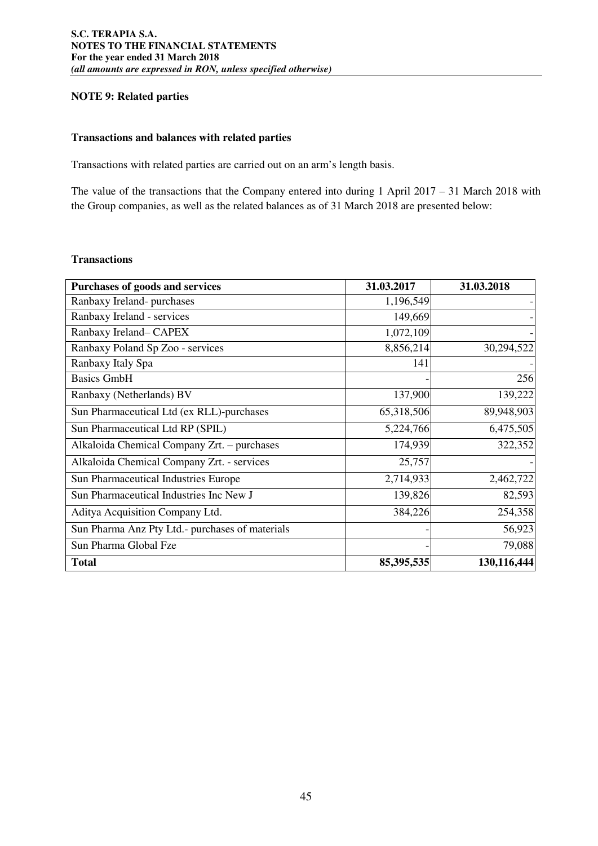## **NOTE 9: Related parties**

#### **Transactions and balances with related parties**

Transactions with related parties are carried out on an arm's length basis.

The value of the transactions that the Company entered into during 1 April 2017 – 31 March 2018 with the Group companies, as well as the related balances as of 31 March 2018 are presented below:

## **Transactions**

| Purchases of goods and services                 | 31.03.2017 | 31.03.2018  |
|-------------------------------------------------|------------|-------------|
| Ranbaxy Ireland-purchases                       | 1,196,549  |             |
| Ranbaxy Ireland - services                      | 149,669    |             |
| Ranbaxy Ireland-CAPEX                           | 1,072,109  |             |
| Ranbaxy Poland Sp Zoo - services                | 8,856,214  | 30,294,522  |
| Ranbaxy Italy Spa                               | 141        |             |
| <b>Basics GmbH</b>                              |            | 256         |
| Ranbaxy (Netherlands) BV                        | 137,900    | 139,222     |
| Sun Pharmaceutical Ltd (ex RLL)-purchases       | 65,318,506 | 89,948,903  |
| Sun Pharmaceutical Ltd RP (SPIL)                | 5,224,766  | 6,475,505   |
| Alkaloida Chemical Company Zrt. - purchases     | 174,939    | 322,352     |
| Alkaloida Chemical Company Zrt. - services      | 25,757     |             |
| Sun Pharmaceutical Industries Europe            | 2,714,933  | 2,462,722   |
| Sun Pharmaceutical Industries Inc New J         | 139,826    | 82,593      |
| Aditya Acquisition Company Ltd.                 | 384,226    | 254,358     |
| Sun Pharma Anz Pty Ltd.- purchases of materials |            | 56,923      |
| Sun Pharma Global Fze                           |            | 79,088      |
| <b>Total</b>                                    | 85,395,535 | 130,116,444 |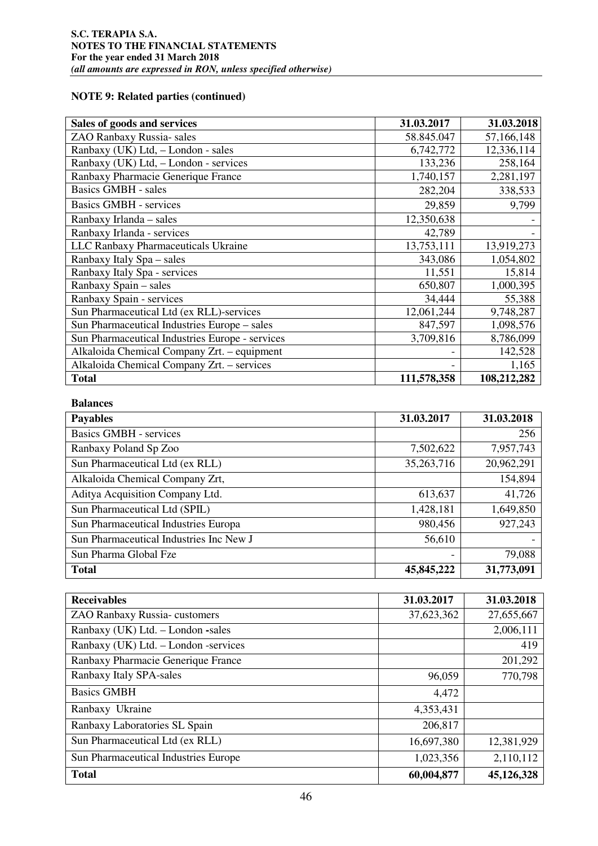## **NOTE 9: Related parties (continued)**

| Sales of goods and services                     | 31.03.2017  | 31.03.2018  |
|-------------------------------------------------|-------------|-------------|
| ZAO Ranbaxy Russia-sales                        | 58.845.047  | 57,166,148  |
| Ranbaxy (UK) Ltd, - London - sales              | 6,742,772   | 12,336,114  |
| Ranbaxy (UK) Ltd, - London - services           | 133,236     | 258,164     |
| Ranbaxy Pharmacie Generique France              | 1,740,157   | 2,281,197   |
| <b>Basics GMBH - sales</b>                      | 282,204     | 338,533     |
| <b>Basics GMBH - services</b>                   | 29,859      | 9,799       |
| Ranbaxy Irlanda – sales                         | 12,350,638  |             |
| Ranbaxy Irlanda - services                      | 42,789      |             |
| LLC Ranbaxy Pharmaceuticals Ukraine             | 13,753,111  | 13,919,273  |
| Ranbaxy Italy Spa – sales                       | 343,086     | 1,054,802   |
| Ranbaxy Italy Spa - services                    | 11,551      | 15,814      |
| Ranbaxy Spain - sales                           | 650,807     | 1,000,395   |
| Ranbaxy Spain - services                        | 34,444      | 55,388      |
| Sun Pharmaceutical Ltd (ex RLL)-services        | 12,061,244  | 9,748,287   |
| Sun Pharmaceutical Industries Europe – sales    | 847,597     | 1,098,576   |
| Sun Pharmaceutical Industries Europe - services | 3,709,816   | 8,786,099   |
| Alkaloida Chemical Company Zrt. - equipment     |             | 142,528     |
| Alkaloida Chemical Company Zrt. - services      |             | 1,165       |
| <b>Total</b>                                    | 111,578,358 | 108,212,282 |

## **Balances**

| <b>Payables</b>                         | 31.03.2017 | 31.03.2018 |
|-----------------------------------------|------------|------------|
| <b>Basics GMBH - services</b>           |            | 256        |
| Ranbaxy Poland Sp Zoo                   | 7,502,622  | 7,957,743  |
| Sun Pharmaceutical Ltd (ex RLL)         | 35,263,716 | 20,962,291 |
| Alkaloida Chemical Company Zrt,         |            | 154,894    |
| Aditya Acquisition Company Ltd.         | 613,637    | 41,726     |
| Sun Pharmaceutical Ltd (SPIL)           | 1,428,181  | 1,649,850  |
| Sun Pharmaceutical Industries Europa    | 980,456    | 927,243    |
| Sun Pharmaceutical Industries Inc New J | 56,610     |            |
| Sun Pharma Global Fze                   | ٠          | 79,088     |
| <b>Total</b>                            | 45,845,222 | 31,773,091 |

| <b>Receivables</b>                   | 31.03.2017 | 31.03.2018 |
|--------------------------------------|------------|------------|
| ZAO Ranbaxy Russia-customers         | 37,623,362 | 27,655,667 |
| Ranbaxy (UK) Ltd. - London -sales    |            | 2,006,111  |
| Ranbaxy (UK) Ltd. - London -services |            | 419        |
| Ranbaxy Pharmacie Generique France   |            | 201,292    |
| Ranbaxy Italy SPA-sales              | 96,059     | 770,798    |
| <b>Basics GMBH</b>                   | 4,472      |            |
| Ranbaxy Ukraine                      | 4,353,431  |            |
| Ranbaxy Laboratories SL Spain        | 206,817    |            |
| Sun Pharmaceutical Ltd (ex RLL)      | 16,697,380 | 12,381,929 |
| Sun Pharmaceutical Industries Europe | 1,023,356  | 2,110,112  |
| <b>Total</b>                         | 60,004,877 | 45,126,328 |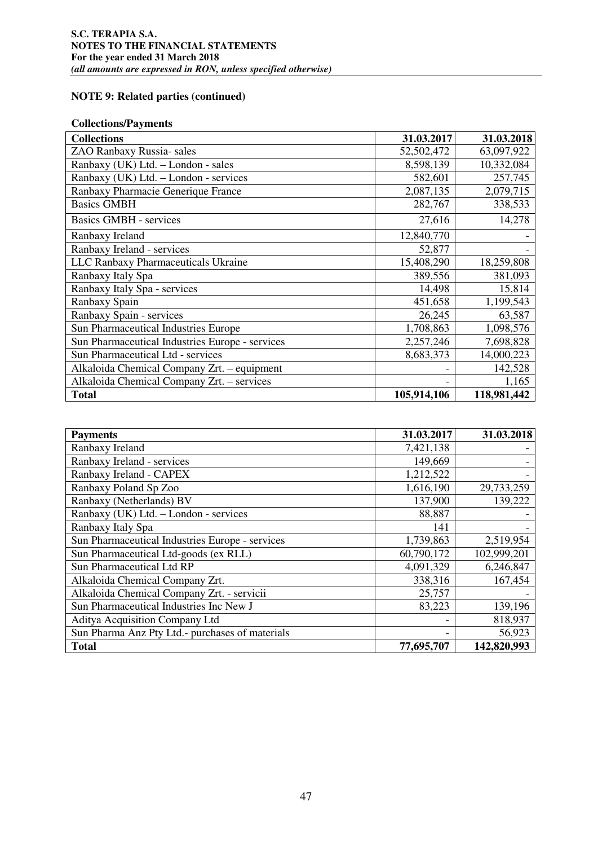## **NOTE 9: Related parties (continued)**

## **Collections/Payments**

| <b>Collections</b>                              | 31.03.2017  | 31.03.2018  |
|-------------------------------------------------|-------------|-------------|
| ZAO Ranbaxy Russia- sales                       | 52,502,472  | 63,097,922  |
| Ranbaxy (UK) Ltd. - London - sales              | 8,598,139   | 10,332,084  |
| Ranbaxy (UK) Ltd. - London - services           | 582,601     | 257,745     |
| Ranbaxy Pharmacie Generique France              | 2,087,135   | 2,079,715   |
| <b>Basics GMBH</b>                              | 282,767     | 338,533     |
| <b>Basics GMBH - services</b>                   | 27,616      | 14,278      |
| Ranbaxy Ireland                                 | 12,840,770  |             |
| Ranbaxy Ireland - services                      | 52,877      |             |
| LLC Ranbaxy Pharmaceuticals Ukraine             | 15,408,290  | 18,259,808  |
| Ranbaxy Italy Spa                               | 389,556     | 381,093     |
| Ranbaxy Italy Spa - services                    | 14,498      | 15,814      |
| Ranbaxy Spain                                   | 451,658     | 1,199,543   |
| Ranbaxy Spain - services                        | 26,245      | 63,587      |
| <b>Sun Pharmaceutical Industries Europe</b>     | 1,708,863   | 1,098,576   |
| Sun Pharmaceutical Industries Europe - services | 2,257,246   | 7,698,828   |
| Sun Pharmaceutical Ltd - services               | 8,683,373   | 14,000,223  |
| Alkaloida Chemical Company Zrt. – equipment     |             | 142,528     |
| Alkaloida Chemical Company Zrt. - services      |             | 1,165       |
| <b>Total</b>                                    | 105,914,106 | 118,981,442 |

| <b>Payments</b>                                 | 31.03.2017 | 31.03.2018  |
|-------------------------------------------------|------------|-------------|
| Ranbaxy Ireland                                 | 7,421,138  |             |
| Ranbaxy Ireland - services                      | 149,669    |             |
| Ranbaxy Ireland - CAPEX                         | 1,212,522  |             |
| Ranbaxy Poland Sp Zoo                           | 1,616,190  | 29,733,259  |
| Ranbaxy (Netherlands) BV                        | 137,900    | 139,222     |
| Ranbaxy (UK) Ltd. - London - services           | 88,887     |             |
| Ranbaxy Italy Spa                               | 141        |             |
| Sun Pharmaceutical Industries Europe - services | 1,739,863  | 2,519,954   |
| Sun Pharmaceutical Ltd-goods (ex RLL)           | 60,790,172 | 102,999,201 |
| Sun Pharmaceutical Ltd RP                       | 4,091,329  | 6,246,847   |
| Alkaloida Chemical Company Zrt.                 | 338,316    | 167,454     |
| Alkaloida Chemical Company Zrt. - servicii      | 25,757     |             |
| Sun Pharmaceutical Industries Inc New J         | 83,223     | 139,196     |
| <b>Aditya Acquisition Company Ltd</b>           |            | 818,937     |
| Sun Pharma Anz Pty Ltd.- purchases of materials |            | 56,923      |
| <b>Total</b>                                    | 77,695,707 | 142,820,993 |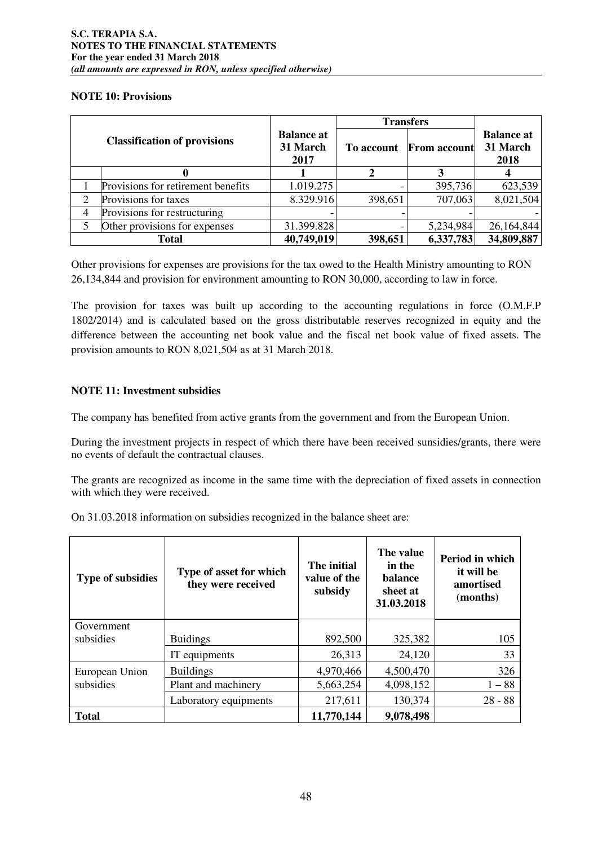## **NOTE 10: Provisions**

|   |                                     |                                       | <b>Transfers</b> |                     |                                       |
|---|-------------------------------------|---------------------------------------|------------------|---------------------|---------------------------------------|
|   | <b>Classification of provisions</b> | <b>Balance at</b><br>31 March<br>2017 | To account       | <b>From account</b> | <b>Balance</b> at<br>31 March<br>2018 |
|   |                                     |                                       |                  |                     |                                       |
|   | Provisions for retirement benefits  | 1.019.275                             |                  | 395,736             | 623,539                               |
|   | Provisions for taxes                | 8.329.916                             | 398,651          | 707,063             | 8,021,504                             |
| 4 | Provisions for restructuring        |                                       |                  |                     |                                       |
|   | Other provisions for expenses       | 31.399.828                            |                  | 5,234,984           | 26,164,844                            |
|   | <b>Total</b>                        | 40,749,019                            | 398,651          | 6,337,783           | 34,809,887                            |

Other provisions for expenses are provisions for the tax owed to the Health Ministry amounting to RON 26,134,844 and provision for environment amounting to RON 30,000, according to law in force.

The provision for taxes was built up according to the accounting regulations in force (O.M.F.P 1802/2014) and is calculated based on the gross distributable reserves recognized in equity and the difference between the accounting net book value and the fiscal net book value of fixed assets. The provision amounts to RON 8,021,504 as at 31 March 2018.

## **NOTE 11: Investment subsidies**

The company has benefited from active grants from the government and from the European Union.

During the investment projects in respect of which there have been received sunsidies/grants, there were no events of default the contractual clauses.

The grants are recognized as income in the same time with the depreciation of fixed assets in connection with which they were received.

| <b>Type of subsidies</b> | Type of asset for which<br>they were received | The initial<br>value of the<br>subsidy | The value<br>in the<br><b>balance</b><br>sheet at<br>31.03.2018 | <b>Period in which</b><br>it will be<br>amortised<br>(months) |
|--------------------------|-----------------------------------------------|----------------------------------------|-----------------------------------------------------------------|---------------------------------------------------------------|
| Government               |                                               |                                        |                                                                 |                                                               |
| subsidies                | <b>Buidings</b>                               | 892,500                                | 325,382                                                         | 105                                                           |
|                          | IT equipments                                 | 26,313                                 | 24,120                                                          | 33                                                            |
| European Union           | <b>Buildings</b>                              | 4,970,466                              | 4,500,470                                                       | 326                                                           |
| subsidies                | Plant and machinery                           | 5,663,254                              | 4,098,152                                                       | $1 - 88$                                                      |
|                          | Laboratory equipments                         | 217,611                                | 130,374                                                         | $28 - 88$                                                     |
| <b>Total</b>             |                                               | 11,770,144                             | 9,078,498                                                       |                                                               |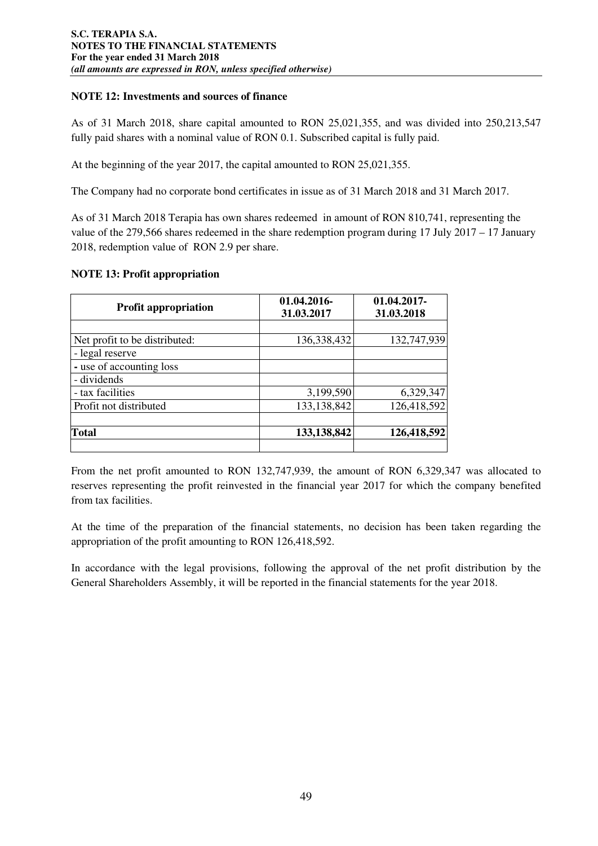## **NOTE 12: Investments and sources of finance**

As of 31 March 2018, share capital amounted to RON 25,021,355, and was divided into 250,213,547 fully paid shares with a nominal value of RON 0.1. Subscribed capital is fully paid.

At the beginning of the year 2017, the capital amounted to RON 25,021,355.

The Company had no corporate bond certificates in issue as of 31 March 2018 and 31 March 2017.

As of 31 March 2018 Terapia has own shares redeemed in amount of RON 810,741, representing the value of the 279,566 shares redeemed in the share redemption program during 17 July 2017 – 17 January 2018, redemption value of RON 2.9 per share.

## **NOTE 13: Profit appropriation**

| <b>Profit appropriation</b>   | 01.04.2016-<br>31.03.2017 | 01.04.2017-<br>31.03.2018 |  |
|-------------------------------|---------------------------|---------------------------|--|
|                               |                           |                           |  |
| Net profit to be distributed: | 136,338,432               | 132,747,939               |  |
| - legal reserve               |                           |                           |  |
| - use of accounting loss      |                           |                           |  |
| - dividends                   |                           |                           |  |
| - tax facilities              | 3,199,590                 | 6,329,347                 |  |
| Profit not distributed        | 133,138,842               | 126,418,592               |  |
| <b>Total</b>                  | 133,138,842               | 126,418,592               |  |
|                               |                           |                           |  |

From the net profit amounted to RON 132,747,939, the amount of RON 6,329,347 was allocated to reserves representing the profit reinvested in the financial year 2017 for which the company benefited from tax facilities.

At the time of the preparation of the financial statements, no decision has been taken regarding the appropriation of the profit amounting to RON 126,418,592.

In accordance with the legal provisions, following the approval of the net profit distribution by the General Shareholders Assembly, it will be reported in the financial statements for the year 2018.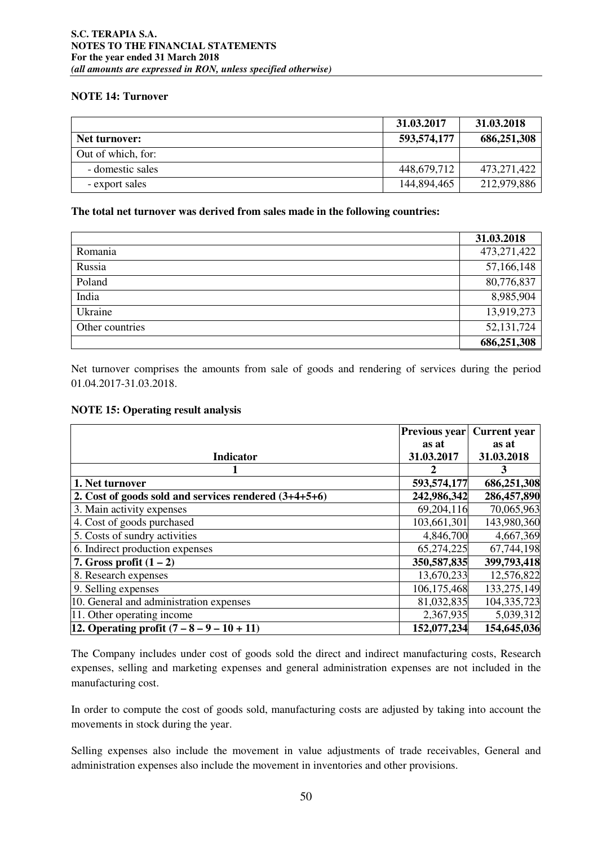## **NOTE 14: Turnover**

|                    | 31,03,2017  | 31.03.2018  |
|--------------------|-------------|-------------|
| Net turnover:      | 593,574,177 | 686,251,308 |
| Out of which, for: |             |             |
| - domestic sales   | 448,679,712 | 473,271,422 |
| - export sales     | 144,894,465 | 212,979,886 |

## **The total net turnover was derived from sales made in the following countries:**

|                 | 31.03.2018   |
|-----------------|--------------|
| Romania         | 473,271,422  |
| Russia          | 57,166,148   |
| Poland          | 80,776,837   |
| India           | 8,985,904    |
| Ukraine         | 13,919,273   |
| Other countries | 52, 131, 724 |
|                 | 686,251,308  |

Net turnover comprises the amounts from sale of goods and rendering of services during the period 01.04.2017-31.03.2018.

## **NOTE 15: Operating result analysis**

|                                                         | Previous year | <b>Current</b> year |
|---------------------------------------------------------|---------------|---------------------|
|                                                         | as at         | as at               |
| Indicator                                               | 31.03.2017    | 31.03.2018          |
|                                                         |               | 3                   |
| 1. Net turnover                                         | 593,574,177   | 686,251,308         |
| 2. Cost of goods sold and services rendered $(3+4+5+6)$ | 242,986,342   | 286,457,890         |
| 3. Main activity expenses                               | 69,204,116    | 70,065,963          |
| 4. Cost of goods purchased                              | 103,661,301   | 143,980,360         |
| 5. Costs of sundry activities                           | 4,846,700     | 4,667,369           |
| 6. Indirect production expenses                         | 65,274,225    | 67,744,198          |
| 7. Gross profit $(1 – 2)$                               | 350,587,835   | 399,793,418         |
| 8. Research expenses                                    | 13,670,233    | 12,576,822          |
| 9. Selling expenses                                     | 106,175,468   | 133,275,149         |
| 10. General and administration expenses                 | 81,032,835    | 104,335,723         |
| 11. Other operating income                              | 2,367,935     | 5,039,312           |
| 12. Operating profit $(7-8-9-10+11)$                    | 152,077,234   | 154,645,036         |

The Company includes under cost of goods sold the direct and indirect manufacturing costs, Research expenses, selling and marketing expenses and general administration expenses are not included in the manufacturing cost.

In order to compute the cost of goods sold, manufacturing costs are adjusted by taking into account the movements in stock during the year.

Selling expenses also include the movement in value adjustments of trade receivables, General and administration expenses also include the movement in inventories and other provisions.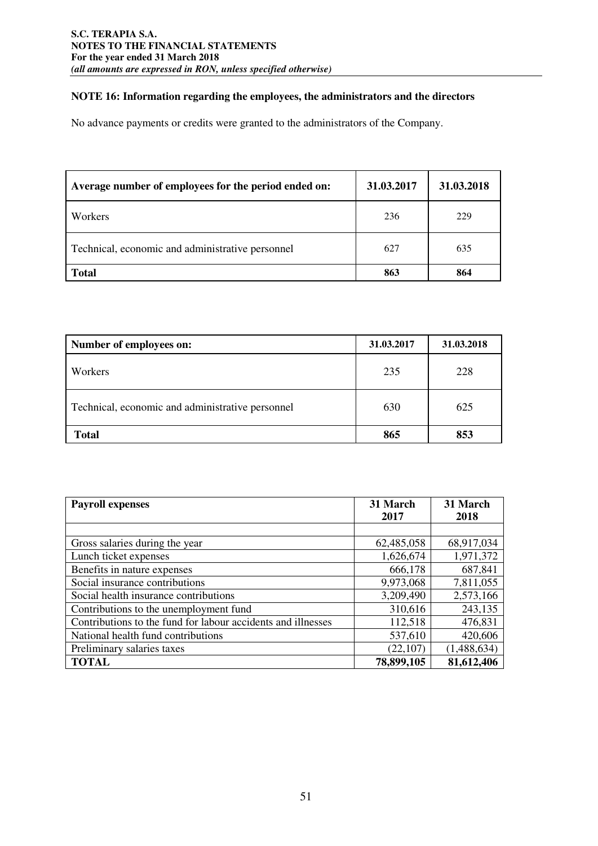## **NOTE 16: Information regarding the employees, the administrators and the directors**

No advance payments or credits were granted to the administrators of the Company.

| Average number of employees for the period ended on: | 31.03.2017 | 31.03.2018 |
|------------------------------------------------------|------------|------------|
| <b>Workers</b>                                       | 236        | 229        |
| Technical, economic and administrative personnel     | 627        | 635        |
| <b>Total</b>                                         | 863        | 864        |

| Number of employees on:                          | 31.03.2017 | 31.03.2018 |
|--------------------------------------------------|------------|------------|
| Workers                                          | 235        | 228        |
| Technical, economic and administrative personnel | 630        | 625        |
| <b>Total</b>                                     | 865        | 853        |

| <b>Payroll expenses</b>                                      | 31 March   | 31 March    |
|--------------------------------------------------------------|------------|-------------|
|                                                              | 2017       | 2018        |
|                                                              |            |             |
| Gross salaries during the year                               | 62,485,058 | 68,917,034  |
| Lunch ticket expenses                                        | 1,626,674  | 1,971,372   |
| Benefits in nature expenses                                  | 666,178    | 687,841     |
| Social insurance contributions                               | 9,973,068  | 7,811,055   |
| Social health insurance contributions                        | 3,209,490  | 2,573,166   |
| Contributions to the unemployment fund                       | 310,616    | 243,135     |
| Contributions to the fund for labour accidents and illnesses | 112,518    | 476,831     |
| National health fund contributions                           | 537,610    | 420,606     |
| Preliminary salaries taxes                                   | (22, 107)  | (1,488,634) |
| <b>TOTAL</b>                                                 | 78,899,105 | 81,612,406  |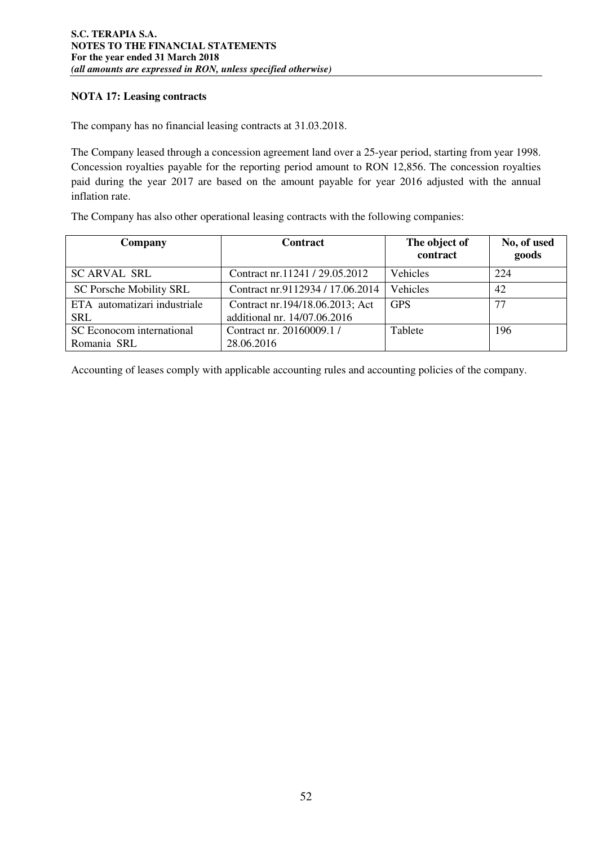## **NOTA 17: Leasing contracts**

The company has no financial leasing contracts at 31.03.2018.

The Company leased through a concession agreement land over a 25-year period, starting from year 1998. Concession royalties payable for the reporting period amount to RON 12,856. The concession royalties paid during the year 2017 are based on the amount payable for year 2016 adjusted with the annual inflation rate.

The Company has also other operational leasing contracts with the following companies:

| Company                                    | <b>Contract</b>                                                 | The object of<br>contract | No, of used<br>goods |
|--------------------------------------------|-----------------------------------------------------------------|---------------------------|----------------------|
| <b>SC ARVAL SRL</b>                        | Contract nr.11241/29.05.2012                                    | Vehicles                  | 224                  |
| SC Porsche Mobility SRL                    | Contract nr.9112934 / 17.06.2014                                | Vehicles                  | 42                   |
| ETA automatizari industriale<br><b>SRL</b> | Contract nr.194/18.06.2013; Act<br>additional nr. 14/07.06.2016 | <b>GPS</b>                | 77                   |
| SC Econocom international<br>Romania SRL   | Contract nr. 20160009.1 /<br>28.06.2016                         | Tablete                   | 196                  |

Accounting of leases comply with applicable accounting rules and accounting policies of the company.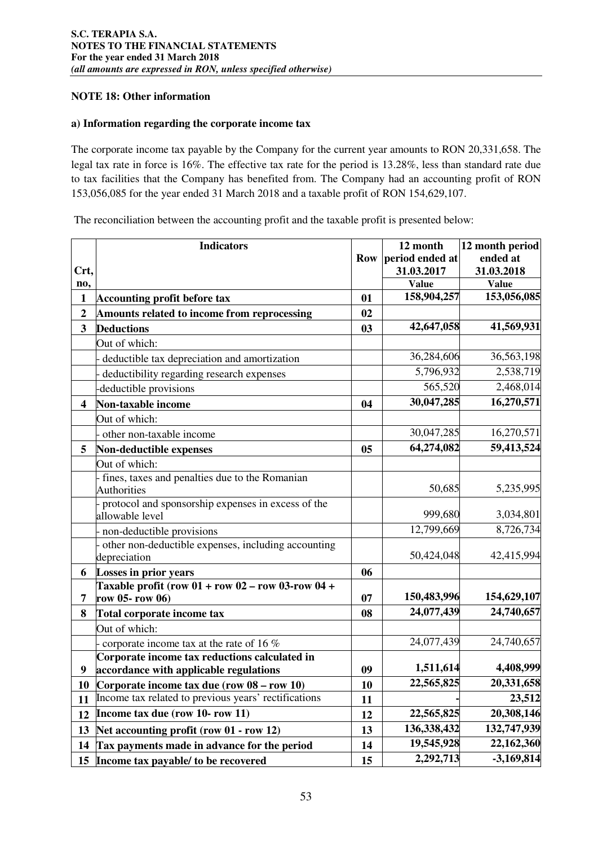## **NOTE 18: Other information**

## **a) Information regarding the corporate income tax**

The corporate income tax payable by the Company for the current year amounts to RON 20,331,658. The legal tax rate in force is 16%. The effective tax rate for the period is 13.28%, less than standard rate due to tax facilities that the Company has benefited from. The Company had an accounting profit of RON 153,056,085 for the year ended 31 March 2018 and a taxable profit of RON 154,629,107.

The reconciliation between the accounting profit and the taxable profit is presented below:

|                         | <b>Indicators</b>                                                       |                | 12 month                   | 12 month period            |
|-------------------------|-------------------------------------------------------------------------|----------------|----------------------------|----------------------------|
|                         |                                                                         | <b>Row</b>     | period ended at            | ended at                   |
| Crt,<br>no,             |                                                                         |                | 31.03.2017<br><b>Value</b> | 31.03.2018<br><b>Value</b> |
| $\mathbf{1}$            | <b>Accounting profit before tax</b>                                     | 01             | 158,904,257                | 153,056,085                |
| $\overline{2}$          | Amounts related to income from reprocessing                             | 02             |                            |                            |
| $\overline{\mathbf{3}}$ | <b>Deductions</b>                                                       | 03             | 42,647,058                 | 41,569,931                 |
|                         | Out of which:                                                           |                |                            |                            |
|                         | deductible tax depreciation and amortization                            |                | 36,284,606                 | 36,563,198                 |
|                         | deductibility regarding research expenses                               |                | 5,796,932                  | 2,538,719                  |
|                         | deductible provisions                                                   |                | 565,520                    | 2,468,014                  |
| $\overline{\mathbf{4}}$ | Non-taxable income                                                      | 04             | 30,047,285                 | 16,270,571                 |
|                         | Out of which:                                                           |                |                            |                            |
|                         | other non-taxable income                                                |                | 30,047,285                 | 16,270,571                 |
| 5                       | Non-deductible expenses                                                 | 0 <sub>5</sub> | 64,274,082                 | 59,413,524                 |
|                         | Out of which:                                                           |                |                            |                            |
|                         | fines, taxes and penalties due to the Romanian                          |                |                            |                            |
|                         | Authorities                                                             |                | 50,685                     | 5,235,995                  |
|                         | protocol and sponsorship expenses in excess of the<br>allowable level   |                | 999,680                    | 3,034,801                  |
|                         | non-deductible provisions                                               |                | 12,799,669                 | 8,726,734                  |
|                         | other non-deductible expenses, including accounting                     |                |                            |                            |
|                         | depreciation                                                            |                | 50,424,048                 | 42,415,994                 |
| 6                       | Losses in prior years                                                   | 06             |                            |                            |
| 7                       | Taxable profit (row $01 + row$ $02 - row$ 03-row 04 +<br>row 05-row 06) | 07             | 150,483,996                | 154,629,107                |
| 8                       | Total corporate income tax                                              | 08             | 24,077,439                 | 24,740,657                 |
|                         | Out of which:                                                           |                |                            |                            |
|                         | corporate income tax at the rate of 16 $%$                              |                | 24,077,439                 | 24,740,657                 |
|                         | Corporate income tax reductions calculated in                           |                |                            |                            |
| 9                       | accordance with applicable regulations                                  | 09             | 1,511,614                  | 4,408,999                  |
| 10                      | Corporate income tax due (row 08 - row 10)                              | 10             | 22,565,825                 | 20,331,658                 |
| 11                      | Income tax related to previous years' rectifications                    | 11             |                            | 23,512                     |
| 12                      | Income tax due (row 10- row 11)                                         | 12             | 22,565,825                 | 20,308,146                 |
| 13                      | Net accounting profit (row 01 - row 12)                                 | 13             | 136,338,432                | 132,747,939                |
| 14                      | Tax payments made in advance for the period                             | 14             | 19,545,928                 | 22,162,360                 |
| 15                      | Income tax payable/ to be recovered                                     | 15             | 2,292,713                  | $-3,169,814$               |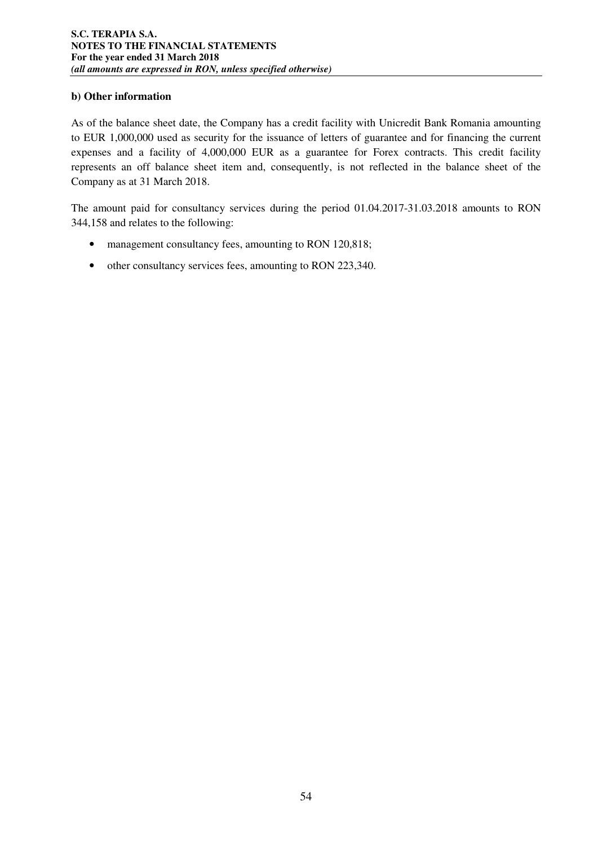## **b) Other information**

As of the balance sheet date, the Company has a credit facility with Unicredit Bank Romania amounting to EUR 1,000,000 used as security for the issuance of letters of guarantee and for financing the current expenses and a facility of 4,000,000 EUR as a guarantee for Forex contracts. This credit facility represents an off balance sheet item and, consequently, is not reflected in the balance sheet of the Company as at 31 March 2018.

The amount paid for consultancy services during the period 01.04.2017-31.03.2018 amounts to RON 344,158 and relates to the following:

- management consultancy fees, amounting to RON 120,818;
- other consultancy services fees, amounting to RON 223,340.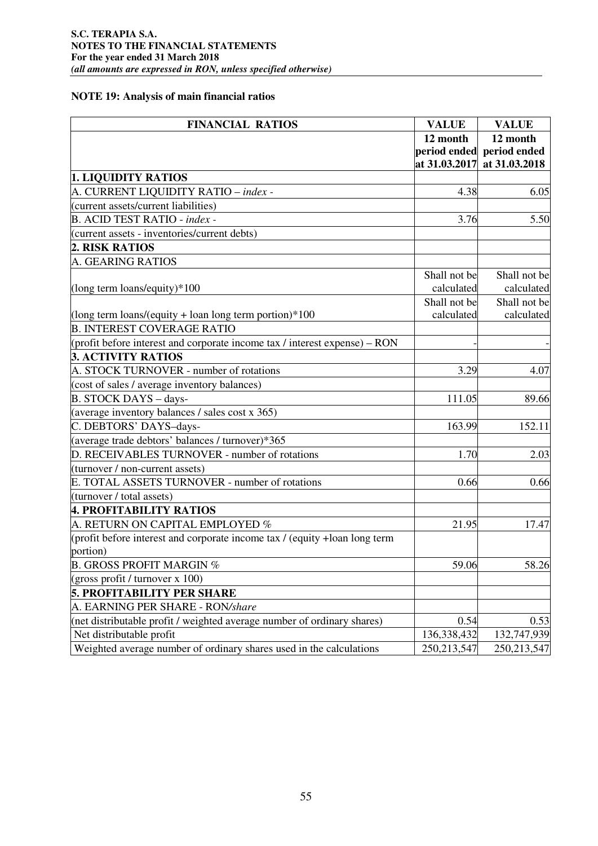## **NOTE 19: Analysis of main financial ratios**

| <b>FINANCIAL RATIOS</b>                                                      | <b>VALUE</b>               | <b>VALUE</b>                          |
|------------------------------------------------------------------------------|----------------------------|---------------------------------------|
|                                                                              | 12 month                   | 12 month<br>period ended period ended |
|                                                                              | at 31.03.2017              | at 31.03.2018                         |
| <b>1. LIQUIDITY RATIOS</b>                                                   |                            |                                       |
| A. CURRENT LIQUIDITY RATIO - index -                                         | 4.38                       | 6.05                                  |
| (current assets/current liabilities)                                         |                            |                                       |
| <b>B. ACID TEST RATIO - index -</b>                                          | 3.76                       | 5.50                                  |
| (current assets - inventories/current debts)                                 |                            |                                       |
| 2. RISK RATIOS                                                               |                            |                                       |
| A. GEARING RATIOS                                                            |                            |                                       |
| (long term loans/equity) $*100$                                              | Shall not be<br>calculated | Shall not be<br>calculated            |
|                                                                              | Shall not be               | Shall not be                          |
| (long term loans/(equity + loan long term portion) $*100$                    | calculated                 | calculated                            |
| <b>B. INTEREST COVERAGE RATIO</b>                                            |                            |                                       |
| (profit before interest and corporate income tax / interest expense) $-$ RON |                            |                                       |
| <b>3. ACTIVITY RATIOS</b>                                                    |                            |                                       |
| A. STOCK TURNOVER - number of rotations                                      | 3.29                       | 4.07                                  |
| (cost of sales / average inventory balances)                                 |                            |                                       |
| B. STOCK DAYS - days-                                                        | 111.05                     | 89.66                                 |
| (average inventory balances / sales cost $x$ 365)                            |                            |                                       |
| C. DEBTORS' DAYS-days-                                                       | 163.99                     | 152.11                                |
| (average trade debtors' balances / turnover)*365                             |                            |                                       |
| D. RECEIVABLES TURNOVER - number of rotations                                | 1.70                       | 2.03                                  |
| (turnover / non-current assets)                                              |                            |                                       |
| E. TOTAL ASSETS TURNOVER - number of rotations                               | 0.66                       | 0.66                                  |
| (turnover / total assets)                                                    |                            |                                       |
| 4. PROFITABILITY RATIOS                                                      |                            |                                       |
| A. RETURN ON CAPITAL EMPLOYED %                                              | 21.95                      | 17.47                                 |
| (profit before interest and corporate income tax / (equity + loan long term  |                            |                                       |
| portion)                                                                     |                            |                                       |
| B. GROSS PROFIT MARGIN $\%$                                                  | 59.06                      | 58.26                                 |
| (gross profit / turnover $x$ 100)                                            |                            |                                       |
| <b>5. PROFITABILITY PER SHARE</b>                                            |                            |                                       |
| A. EARNING PER SHARE - RON/share                                             |                            |                                       |
| (net distributable profit / weighted average number of ordinary shares)      | 0.54                       | 0.53                                  |
| Net distributable profit                                                     | 136,338,432                | 132,747,939                           |
| Weighted average number of ordinary shares used in the calculations          | 250, 213, 547              | 250, 213, 547                         |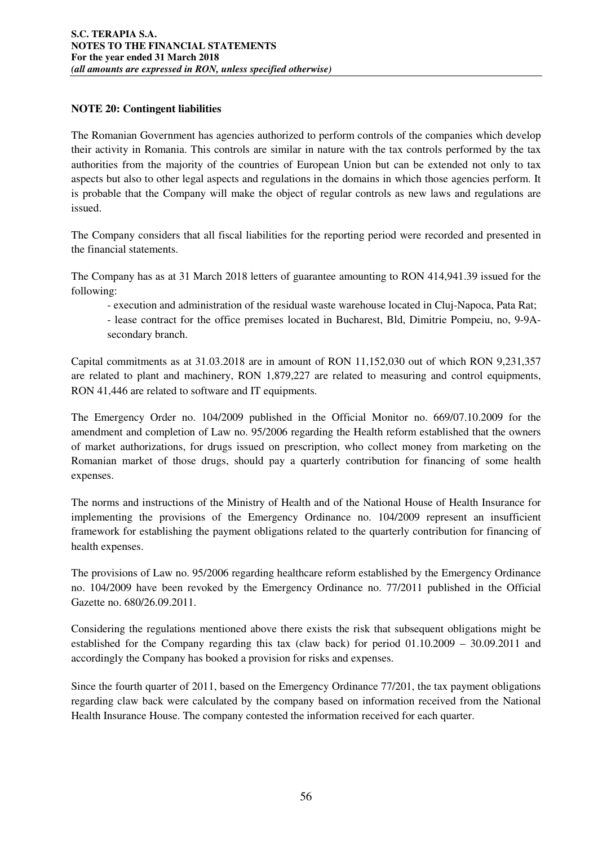## **NOTE 20: Contingent liabilities**

The Romanian Government has agencies authorized to perform controls of the companies which develop their activity in Romania. This controls are similar in nature with the tax controls performed by the tax authorities from the majority of the countries of European Union but can be extended not only to tax aspects but also to other legal aspects and regulations in the domains in which those agencies perform. It is probable that the Company will make the object of regular controls as new laws and regulations are issued.

The Company considers that all fiscal liabilities for the reporting period were recorded and presented in the financial statements.

The Company has as at 31 March 2018 letters of guarantee amounting to RON 414,941.39 issued for the following:

- execution and administration of the residual waste warehouse located in Cluj-Napoca, Pata Rat;

- lease contract for the office premises located in Bucharest, Bld, Dimitrie Pompeiu, no, 9-9Asecondary branch.

Capital commitments as at 31.03.2018 are in amount of RON 11,152,030 out of which RON 9,231,357 are related to plant and machinery, RON 1,879,227 are related to measuring and control equipments, RON 41,446 are related to software and IT equipments.

The Emergency Order no. 104/2009 published in the Official Monitor no. 669/07.10.2009 for the amendment and completion of Law no. 95/2006 regarding the Health reform established that the owners of market authorizations, for drugs issued on prescription, who collect money from marketing on the Romanian market of those drugs, should pay a quarterly contribution for financing of some health expenses.

The norms and instructions of the Ministry of Health and of the National House of Health Insurance for implementing the provisions of the Emergency Ordinance no. 104/2009 represent an insufficient framework for establishing the payment obligations related to the quarterly contribution for financing of health expenses.

The provisions of Law no. 95/2006 regarding healthcare reform established by the Emergency Ordinance no. 104/2009 have been revoked by the Emergency Ordinance no. 77/2011 published in the Official Gazette no. 680/26.09.2011.

Considering the regulations mentioned above there exists the risk that subsequent obligations might be established for the Company regarding this tax (claw back) for period 01.10.2009 – 30.09.2011 and accordingly the Company has booked a provision for risks and expenses.

Since the fourth quarter of 2011, based on the Emergency Ordinance 77/201, the tax payment obligations regarding claw back were calculated by the company based on information received from the National Health Insurance House. The company contested the information received for each quarter.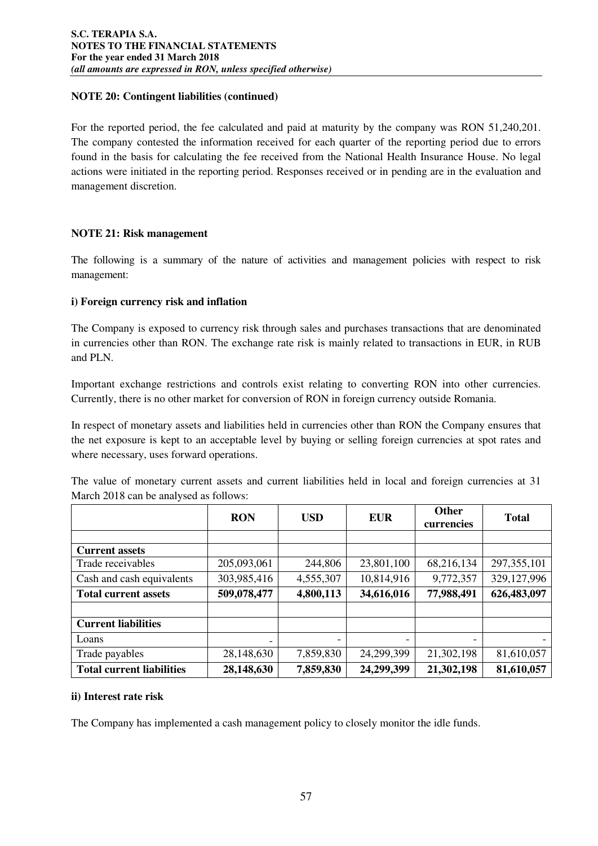## **NOTE 20: Contingent liabilities (continued)**

For the reported period, the fee calculated and paid at maturity by the company was RON 51,240,201. The company contested the information received for each quarter of the reporting period due to errors found in the basis for calculating the fee received from the National Health Insurance House. No legal actions were initiated in the reporting period. Responses received or in pending are in the evaluation and management discretion.

## **NOTE 21: Risk management**

The following is a summary of the nature of activities and management policies with respect to risk management:

## **i) Foreign currency risk and inflation**

The Company is exposed to currency risk through sales and purchases transactions that are denominated in currencies other than RON. The exchange rate risk is mainly related to transactions in EUR, in RUB and PLN.

Important exchange restrictions and controls exist relating to converting RON into other currencies. Currently, there is no other market for conversion of RON in foreign currency outside Romania.

In respect of monetary assets and liabilities held in currencies other than RON the Company ensures that the net exposure is kept to an acceptable level by buying or selling foreign currencies at spot rates and where necessary, uses forward operations.

The value of monetary current assets and current liabilities held in local and foreign currencies at 31 March 2018 can be analysed as follows:

|                                  | <b>RON</b>               | <b>USD</b> | <b>EUR</b> | <b>Other</b><br>currencies | <b>Total</b>  |
|----------------------------------|--------------------------|------------|------------|----------------------------|---------------|
|                                  |                          |            |            |                            |               |
| <b>Current assets</b>            |                          |            |            |                            |               |
| Trade receivables                | 205,093,061              | 244,806    | 23,801,100 | 68,216,134                 | 297, 355, 101 |
| Cash and cash equivalents        | 303,985,416              | 4,555,307  | 10,814,916 | 9,772,357                  | 329,127,996   |
| <b>Total current assets</b>      | 509,078,477              | 4,800,113  | 34,616,016 | 77,988,491                 | 626,483,097   |
|                                  |                          |            |            |                            |               |
| <b>Current liabilities</b>       |                          |            |            |                            |               |
| Loans                            | $\overline{\phantom{a}}$ |            |            |                            |               |
| Trade payables                   | 28,148,630               | 7,859,830  | 24,299,399 | 21,302,198                 | 81,610,057    |
| <b>Total current liabilities</b> | 28,148,630               | 7,859,830  | 24,299,399 | 21,302,198                 | 81,610,057    |

#### **ii) Interest rate risk**

The Company has implemented a cash management policy to closely monitor the idle funds.